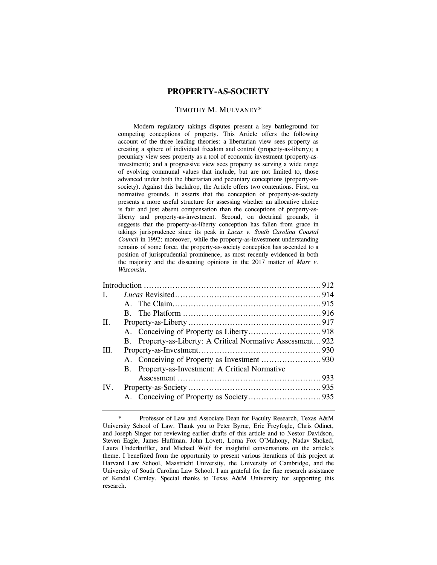# **PROPERTY-AS-SOCIETY**

### TIMOTHY M. MULVANEY\*

Modern regulatory takings disputes present a key battleground for competing conceptions of property. This Article offers the following account of the three leading theories: a libertarian view sees property as creating a sphere of individual freedom and control (property-as-liberty); a pecuniary view sees property as a tool of economic investment (property-asinvestment); and a progressive view sees property as serving a wide range of evolving communal values that include, but are not limited to, those advanced under both the libertarian and pecuniary conceptions (property-associety). Against this backdrop, the Article offers two contentions. First, on normative grounds, it asserts that the conception of property-as-society presents a more useful structure for assessing whether an allocative choice is fair and just absent compensation than the conceptions of property-asliberty and property-as-investment. Second, on doctrinal grounds, it suggests that the property-as-liberty conception has fallen from grace in takings jurisprudence since its peak in *Lucas v. South Carolina Coastal Council* in 1992; moreover, while the property-as-investment understanding remains of some force, the property-as-society conception has ascended to a position of jurisprudential prominence, as most recently evidenced in both the majority and the dissenting opinions in the 2017 matter of *Murr v. Wisconsin*.

| $\mathbf{L}$ |              |                                                             |  |
|--------------|--------------|-------------------------------------------------------------|--|
|              | $\mathbf{A}$ |                                                             |  |
|              | B.           |                                                             |  |
| $\Pi$ .      |              |                                                             |  |
|              |              |                                                             |  |
|              |              | B. Property-as-Liberty: A Critical Normative Assessment 922 |  |
| III.         |              |                                                             |  |
|              |              |                                                             |  |
|              |              | B. Property-as-Investment: A Critical Normative             |  |
|              |              |                                                             |  |
| $IV_{-}$     |              |                                                             |  |
|              |              |                                                             |  |
|              |              |                                                             |  |

<sup>\*</sup> Professor of Law and Associate Dean for Faculty Research, Texas A&M University School of Law. Thank you to Peter Byrne, Eric Freyfogle, Chris Odinet, and Joseph Singer for reviewing earlier drafts of this article and to Nestor Davidson, Steven Eagle, James Huffman, John Lovett, Lorna Fox O'Mahony, Nadav Shoked, Laura Underkuffler, and Michael Wolf for insightful conversations on the article's theme. I benefitted from the opportunity to present various iterations of this project at Harvard Law School, Maastricht University, the University of Cambridge, and the University of South Carolina Law School. I am grateful for the fine research assistance of Kendal Carnley. Special thanks to Texas A&M University for supporting this research.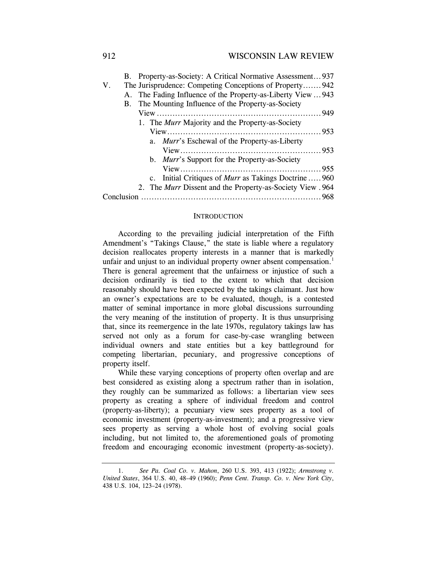|             | B. Property-as-Society: A Critical Normative Assessment937       |
|-------------|------------------------------------------------------------------|
| $V_{\cdot}$ | The Jurisprudence: Competing Conceptions of Property942          |
|             | A. The Fading Influence of the Property-as-Liberty View  943     |
|             | B. The Mounting Influence of the Property-as-Society             |
|             |                                                                  |
|             | 1. The <i>Murr</i> Majority and the Property-as-Society          |
|             |                                                                  |
|             | a. <i>Murr's</i> Eschewal of the Property-as-Liberty             |
|             |                                                                  |
|             | b. <i>Murr</i> 's Support for the Property-as-Society            |
|             |                                                                  |
|             | c. Initial Critiques of <i>Murr</i> as Takings Doctrine  960     |
|             | 2. The <i>Murr</i> Dissent and the Property-as-Society View .964 |
|             |                                                                  |

#### **INTRODUCTION**

According to the prevailing judicial interpretation of the Fifth Amendment's "Takings Clause," the state is liable where a regulatory decision reallocates property interests in a manner that is markedly unfair and unjust to an individual property owner absent compensation.<sup>1</sup> There is general agreement that the unfairness or injustice of such a decision ordinarily is tied to the extent to which that decision reasonably should have been expected by the takings claimant. Just how an owner's expectations are to be evaluated, though, is a contested matter of seminal importance in more global discussions surrounding the very meaning of the institution of property. It is thus unsurprising that, since its reemergence in the late 1970s, regulatory takings law has served not only as a forum for case-by-case wrangling between individual owners and state entities but a key battleground for competing libertarian, pecuniary, and progressive conceptions of property itself.

While these varying conceptions of property often overlap and are best considered as existing along a spectrum rather than in isolation, they roughly can be summarized as follows: a libertarian view sees property as creating a sphere of individual freedom and control (property-as-liberty); a pecuniary view sees property as a tool of economic investment (property-as-investment); and a progressive view sees property as serving a whole host of evolving social goals including, but not limited to, the aforementioned goals of promoting freedom and encouraging economic investment (property-as-society).

<sup>1.</sup> *See Pa. Coal Co. v. Mahon*, 260 U.S. 393, 413 (1922); *Armstrong v. United States*, 364 U.S. 40, 48–49 (1960); *Penn Cent. Transp. Co. v. New York City*, 438 U.S. 104, 123–24 (1978).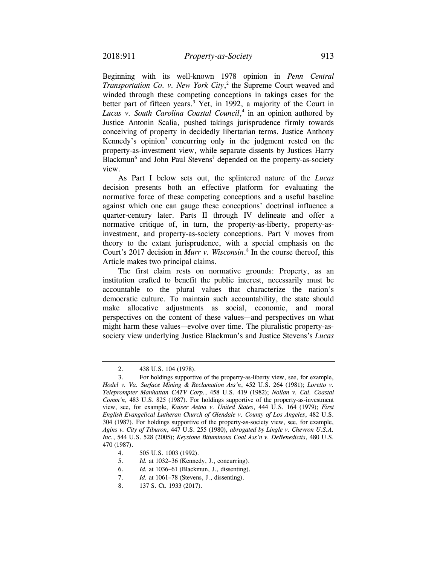Beginning with its well-known 1978 opinion in *Penn Central Transportation Co. v. New York City*, 2 the Supreme Court weaved and winded through these competing conceptions in takings cases for the better part of fifteen years.<sup>3</sup> Yet, in 1992, a majority of the Court in *Lucas v. South Carolina Coastal Council*, 4 in an opinion authored by Justice Antonin Scalia, pushed takings jurisprudence firmly towards conceiving of property in decidedly libertarian terms. Justice Anthony Kennedy's opinion<sup>5</sup> concurring only in the judgment rested on the property-as-investment view, while separate dissents by Justices Harry Blackmun<sup>6</sup> and John Paul Stevens<sup>7</sup> depended on the property-as-society view.

As Part I below sets out, the splintered nature of the *Lucas*  decision presents both an effective platform for evaluating the normative force of these competing conceptions and a useful baseline against which one can gauge these conceptions' doctrinal influence a quarter-century later. Parts II through IV delineate and offer a normative critique of, in turn, the property-as-liberty, property-asinvestment, and property-as-society conceptions. Part V moves from theory to the extant jurisprudence, with a special emphasis on the Court's 2017 decision in *Murr v. Wisconsin*. 8 In the course thereof, this Article makes two principal claims.

The first claim rests on normative grounds: Property, as an institution crafted to benefit the public interest, necessarily must be accountable to the plural values that characterize the nation's democratic culture. To maintain such accountability, the state should make allocative adjustments as social, economic, and moral perspectives on the content of these values—and perspectives on what might harm these values—evolve over time. The pluralistic property-associety view underlying Justice Blackmun's and Justice Stevens's *Lucas* 

<sup>2. 438</sup> U.S. 104 (1978).

<sup>3.</sup> For holdings supportive of the property-as-liberty view, see, for example, *Hodel v. Va. Surface Mining & Reclamation Ass'n*, 452 U.S. 264 (1981); *Loretto v. Teleprompter Manhattan CATV Corp.*, 458 U.S. 419 (1982); *Nollan v. Cal. Coastal Comm'n*, 483 U.S. 825 (1987). For holdings supportive of the property-as-investment view, see, for example, *Kaiser Aetna v. United States*, 444 U.S. 164 (1979); *First English Evangelical Lutheran Church of Glendale v. County of Los Angeles*, 482 U.S. 304 (1987). For holdings supportive of the property-as-society view, see, for example, *Agins v. City of Tiburon*, 447 U.S. 255 (1980), *abrogated by Lingle v. Chevron U.S.A. Inc.*, 544 U.S. 528 (2005); *Keystone Bituminous Coal Ass'n v. DeBenedictis*, 480 U.S. 470 (1987).

<sup>4. 505</sup> U.S. 1003 (1992).

 <sup>5.</sup> *Id.* at 1032–36 (Kennedy, J., concurring).

<sup>6.</sup> *Id.* at 1036–61 (Blackmun, J., dissenting).

<sup>7.</sup> *Id.* at 1061–78 (Stevens, J., dissenting).

<sup>8. 137</sup> S. Ct. 1933 (2017).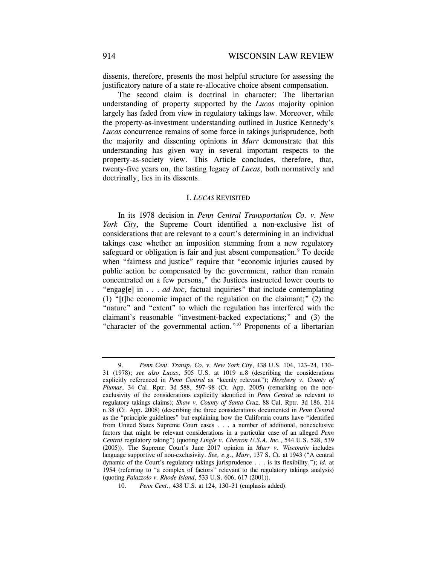dissents, therefore, presents the most helpful structure for assessing the justificatory nature of a state re-allocative choice absent compensation.

The second claim is doctrinal in character: The libertarian understanding of property supported by the *Lucas* majority opinion largely has faded from view in regulatory takings law. Moreover, while the property-as-investment understanding outlined in Justice Kennedy's *Lucas* concurrence remains of some force in takings jurisprudence, both the majority and dissenting opinions in *Murr* demonstrate that this understanding has given way in several important respects to the property-as-society view. This Article concludes, therefore, that, twenty-five years on, the lasting legacy of *Lucas*, both normatively and doctrinally, lies in its dissents.

#### I. *LUCAS* REVISITED

In its 1978 decision in *Penn Central Transportation Co. v. New York City*, the Supreme Court identified a non-exclusive list of considerations that are relevant to a court's determining in an individual takings case whether an imposition stemming from a new regulatory safeguard or obligation is fair and just absent compensation.<sup>9</sup> To decide when "fairness and justice" require that "economic injuries caused by public action be compensated by the government, rather than remain concentrated on a few persons," the Justices instructed lower courts to "engag[e] in . . . *ad hoc*, factual inquiries" that include contemplating (1) "[t]he economic impact of the regulation on the claimant;" (2) the "nature" and "extent" to which the regulation has interfered with the claimant's reasonable "investment-backed expectations;" and (3) the "character of the governmental action."10 Proponents of a libertarian

<sup>9.</sup> *Penn Cent. Transp. Co. v. New York City*, 438 U.S. 104, 123–24, 130– 31 (1978); *see also Lucas*, 505 U.S. at 1019 n.8 (describing the considerations explicitly referenced in *Penn Central* as "keenly relevant"); *Herzberg v. County of Plumas*, 34 Cal. Rptr. 3d 588, 597–98 (Ct. App. 2005) (remarking on the nonexclusivity of the considerations explicitly identified in *Penn Central* as relevant to regulatory takings claims); *Shaw v. County of Santa Cruz*, 88 Cal. Rptr. 3d 186, 214 n.38 (Ct. App. 2008) (describing the three considerations documented in *Penn Central*  as the "principle guidelines" but explaining how the California courts have "identified from United States Supreme Court cases . . . a number of additional, nonexclusive factors that might be relevant considerations in a particular case of an alleged *Penn Central* regulatory taking") (quoting *Lingle v. Chevron U.S.A. Inc.*, 544 U.S. 528, 539 (2005)). The Supreme Court's June 2017 opinion in *Murr v. Wisconsin* includes language supportive of non-exclusivity. *See, e.g.*, *Murr*, 137 S. Ct. at 1943 ("A central dynamic of the Court's regulatory takings jurisprudence . . . is its flexibility."); *id.* at 1954 (referring to "a complex of factors" relevant to the regulatory takings analysis) (quoting *Palazzolo v. Rhode Island*, 533 U.S. 606, 617 (2001)).

 <sup>10.</sup> *Penn Cent.*, 438 U.S. at 124, 130–31 (emphasis added).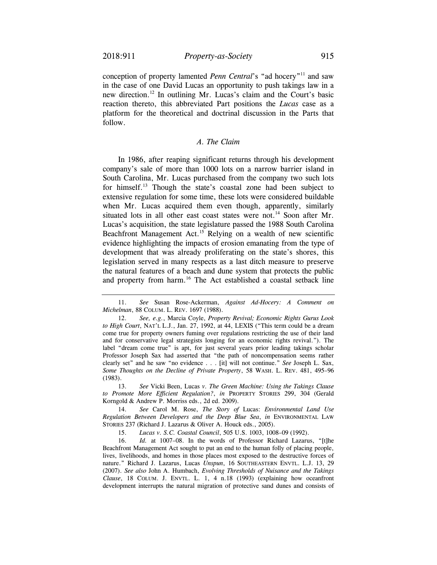conception of property lamented *Penn Central*'s "ad hocery"<sup>11</sup> and saw in the case of one David Lucas an opportunity to push takings law in a new [direction.12](https://direction.12) In outlining Mr. Lucas's claim and the Court's basic reaction thereto, this abbreviated Part positions the *Lucas* case as a platform for the theoretical and doctrinal discussion in the Parts that follow.

# *A. The Claim*

In 1986, after reaping significant returns through his development company's sale of more than 1000 lots on a narrow barrier island in South Carolina, Mr. Lucas purchased from the company two such lots for [himself.13](https://himself.13) Though the state's coastal zone had been subject to extensive regulation for some time, these lots were considered buildable when Mr. Lucas acquired them even though, apparently, similarly situated lots in all other east coast states were not.<sup>14</sup> Soon after Mr. Lucas's acquisition, the state legislature passed the 1988 South Carolina Beachfront Management Act.<sup>15</sup> Relying on a wealth of new scientific evidence highlighting the impacts of erosion emanating from the type of development that was already proliferating on the state's shores, this legislation served in many respects as a last ditch measure to preserve the natural features of a beach and dune system that protects the public and property from harm.<sup>16</sup> The Act established a coastal setback line

 13. *See* Vicki Been, Lucas *v. The Green Machine: Using the Takings Clause to Promote More Efficient Regulation?*, *in* PROPERTY STORIES 299, 304 (Gerald Korngold & Andrew P. Morriss eds., 2d ed. 2009).

 14. *See* Carol M. Rose, *The Story of* Lucas: *Environmental Land Use Regulation Between Developers and the Deep Blue Sea*, *in* ENVIRONMENTAL LAW STORIES 237 (Richard J. Lazarus & Oliver A. Houck eds., 2005).

15. *Lucas v. S.C. Coastal Council*, 505 U.S. 1003, 1008–09 (1992).

 nature." Richard J. Lazarus, Lucas *Unspun*, 16 SOUTHEASTERN ENVTL. L.J. 13, 29 *Clause*, 18 COLUM. J. ENVTL. L. 1, 4 n.18 (1993) (explaining how oceanfront 16. *Id.* at 1007–08. In the words of Professor Richard Lazarus, "[t]he Beachfront Management Act sought to put an end to the human folly of placing people, lives, livelihoods, and homes in those places most exposed to the destructive forces of (2007). *See also* John A. Humbach, *Evolving Thresholds of Nuisance and the Takings*  development interrupts the natural migration of protective sand dunes and consists of

 *Michelman*, 88 COLUM. L. REV. 1697 (1988). 11. *See* Susan Rose-Ackerman, *Against Ad-Hocery: A Comment on* 

 *Some Thoughts on the Decline of Private Property*, 58 WASH. L. REV. 481, 495–96 12. *See, e.g.*, Marcia Coyle, *Property Revival; Economic Rights Gurus Look to High Court*, NAT'L L.J., Jan. 27, 1992, at 44, LEXIS ("This term could be a dream come true for property owners fuming over regulations restricting the use of their land and for conservative legal strategists longing for an economic rights revival."). The label "dream come true" is apt, for just several years prior leading takings scholar Professor Joseph Sax had asserted that "the path of noncompensation seems rather clearly set" and he saw "no evidence . . . [it] will not continue." *See* Joseph L. Sax, (1983).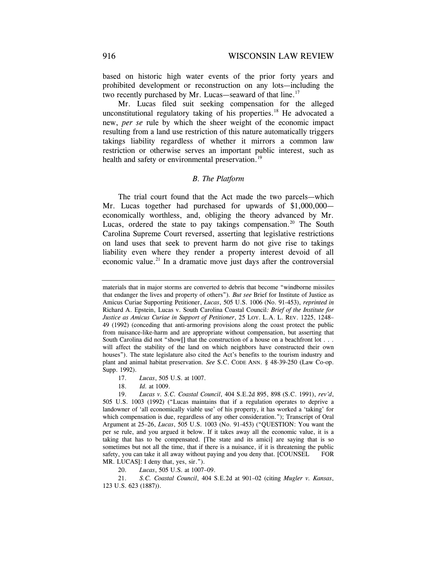based on historic high water events of the prior forty years and prohibited development or reconstruction on any lots—including the two recently purchased by Mr. Lucas—seaward of that line.<sup>17</sup>

Mr. Lucas filed suit seeking compensation for the alleged unconstitutional regulatory taking of his properties.<sup>18</sup> He advocated a new, *per se* rule by which the sheer weight of the economic impact resulting from a land use restriction of this nature automatically triggers takings liability regardless of whether it mirrors a common law restriction or otherwise serves an important public interest, such as health and safety or environmental preservation.<sup>19</sup>

### *B. The Platform*

The trial court found that the Act made the two parcels—which Mr. Lucas together had purchased for upwards of \$1,000,000economically worthless, and, obliging the theory advanced by Mr. Lucas, ordered the state to pay takings compensation.<sup>20</sup> The South Carolina Supreme Court reversed, asserting that legislative restrictions on land uses that seek to prevent harm do not give rise to takings liability even where they render a property interest devoid of all economic value.<sup>21</sup> In a dramatic move just days after the controversial

- 17. *Lucas*, 505 U.S. at 1007.
- 18. *Id.* at 1009.

20. *Lucas*, 505 U.S. at 1007–09.

21. *S.C. Coastal Council*, 404 S.E.2d at 901–02 (citing *Mugler v. Kansas*, 123 U.S. 623 (1887)).

 *Justice as Amicus Curiae in Support of Petitioner*, 25 LOY. L.A. L. REV. 1225, 1248– materials that in major storms are converted to debris that become "windborne missiles that endanger the lives and property of others")*. But see* Brief for Institute of Justice as Amicus Curiae Supporting Petitioner, *Lucas*, 505 U.S. 1006 (No. 91-453), *reprinted in*  Richard A. Epstein, Lucas v. South Carolina Coastal Council*: Brief of the Institute for*  49 (1992) (conceding that anti-armoring provisions along the coast protect the public from nuisance-like-harm and are appropriate without compensation, but asserting that South Carolina did not "show  $\Box$  that the construction of a house on a beachfront lot . . . will affect the stability of the land on which neighbors have constructed their own houses"). The state legislature also cited the Act's benefits to the tourism industry and plant and animal habitat preservation. *See* S.C. CODE ANN. § 48-39-250 (Law Co-op. Supp. 1992).

 <sup>19.</sup> *Lucas v. S.C. Coastal Council*, 404 S.E.2d 895, 898 (S.C. 1991), *rev'd*, 505 U.S. 1003 (1992) ("Lucas maintains that if a regulation operates to deprive a landowner of 'all economically viable use' of his property, it has worked a 'taking' for which compensation is due, regardless of any other consideration."); Transcript of Oral Argument at 25–26, *Lucas*, 505 U.S. 1003 (No. 91-453) ("QUESTION: You want the per se rule, and you argued it below. If it takes away all the economic value, it is a taking that has to be compensated. [The state and its amici] are saying that is so sometimes but not all the time, that if there is a nuisance, if it is threatening the public safety, you can take it all away without paying and you deny that. [COUNSEL FOR MR. LUCAS]: I deny that, yes, sir.").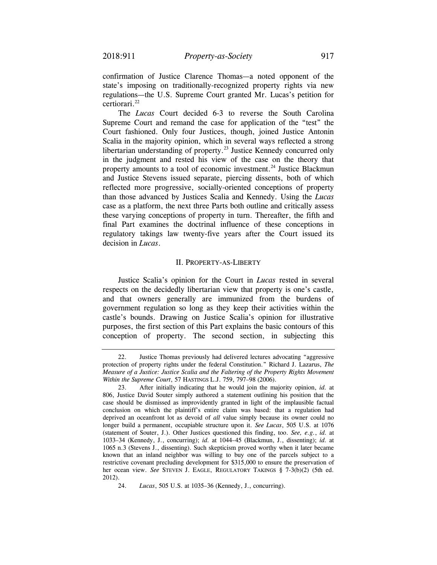confirmation of Justice Clarence Thomas—a noted opponent of the state's imposing on traditionally-recognized property rights via new regulations—the U.S. Supreme Court granted Mr. Lucas's petition for [certiorari.22](https://certiorari.22)

The *Lucas* Court decided 6-3 to reverse the South Carolina Supreme Court and remand the case for application of the "test" the Court fashioned. Only four Justices, though, joined Justice Antonin Scalia in the majority opinion, which in several ways reflected a strong libertarian understanding of property.<sup>23</sup> Justice Kennedy concurred only in the judgment and rested his view of the case on the theory that property amounts to a tool of economic investment.<sup>24</sup> Justice Blackmun and Justice Stevens issued separate, piercing dissents, both of which reflected more progressive, socially-oriented conceptions of property than those advanced by Justices Scalia and Kennedy. Using the *Lucas*  case as a platform, the next three Parts both outline and critically assess these varying conceptions of property in turn. Thereafter, the fifth and final Part examines the doctrinal influence of these conceptions in regulatory takings law twenty-five years after the Court issued its decision in *Lucas*.

### II. PROPERTY-AS-LIBERTY

Justice Scalia's opinion for the Court in *Lucas* rested in several respects on the decidedly libertarian view that property is one's castle, and that owners generally are immunized from the burdens of government regulation so long as they keep their activities within the castle's bounds. Drawing on Justice Scalia's opinion for illustrative purposes, the first section of this Part explains the basic contours of this conception of property. The second section, in subjecting this

<sup>22.</sup> Justice Thomas previously had delivered lectures advocating "aggressive protection of property rights under the federal Constitution." Richard J. Lazarus, *The Measure of a Justice: Justice Scalia and the Faltering of the Property Rights Movement Within the Supreme Court*, 57 HASTINGS L.J. 759, 797–98 (2006).

<sup>23.</sup> After initially indicating that he would join the majority opinion, *id.* at 806, Justice David Souter simply authored a statement outlining his position that the case should be dismissed as improvidently granted in light of the implausible factual conclusion on which the plaintiff's entire claim was based: that a regulation had deprived an oceanfront lot as devoid of *all* value simply because its owner could no longer build a permanent, occupiable structure upon it. *See Lucas*, 505 U.S. at 1076 (statement of Souter, J.). Other Justices questioned this finding, too. *See, e.g.*, *id.* at 1033–34 (Kennedy, J., concurring); *id.* at 1044–45 (Blackmun, J., dissenting); *id.* at 1065 n.3 (Stevens J., dissenting). Such skepticism proved worthy when it later became known that an inland neighbor was willing to buy one of the parcels subject to a restrictive covenant precluding development for \$315,000 to ensure the preservation of her ocean view. *See* STEVEN J. EAGLE, REGULATORY TAKINGS § 7-3(b)(2) (5th ed. 2012).

 <sup>24.</sup> *Lucas*, 505 U.S. at 1035–36 (Kennedy, J., concurring).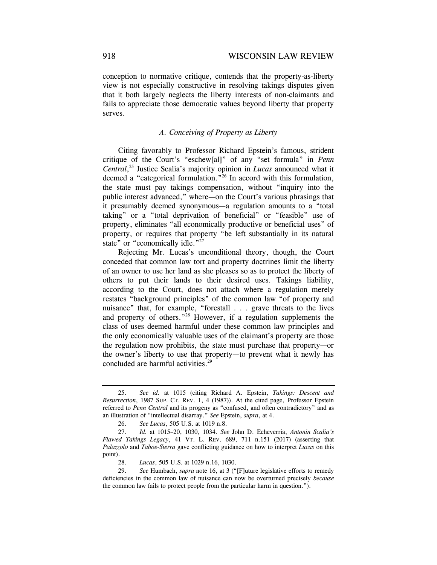conception to normative critique, contends that the property-as-liberty view is not especially constructive in resolving takings disputes given that it both largely neglects the liberty interests of non-claimants and fails to appreciate those democratic values beyond liberty that property serves.

## *A. Conceiving of Property as Liberty*

Citing favorably to Professor Richard Epstein's famous, strident critique of the Court's "eschew[al]" of any "set formula" in *Penn Central*, 25 Justice Scalia's majority opinion in *Lucas* announced what it deemed a "categorical formulation."<sup>26</sup> In accord with this formulation, the state must pay takings compensation, without "inquiry into the public interest advanced," where—on the Court's various phrasings that it presumably deemed synonymous—a regulation amounts to a "total taking" or a "total deprivation of beneficial" or "feasible" use of property, eliminates "all economically productive or beneficial uses" of property, or requires that property "be left substantially in its natural state" or "economically idle."<sup>27</sup>

Rejecting Mr. Lucas's unconditional theory, though, the Court conceded that common law tort and property doctrines limit the liberty of an owner to use her land as she pleases so as to protect the liberty of others to put their lands to their desired uses. Takings liability, according to the Court, does not attach where a regulation merely restates "background principles" of the common law "of property and nuisance" that, for example, "forestall . . . grave threats to the lives and property of others."28 However, if a regulation supplements the class of uses deemed harmful under these common law principles and the only economically valuable uses of the claimant's property are those the regulation now prohibits, the state must purchase that property—or the owner's liberty to use that property—to prevent what it newly has concluded are harmful activities.<sup>29</sup>

 *Resurrection*, 1987 SUP. CT. REV. 1, 4 (1987)). At the cited page, Professor Epstein 25. *See id.* at 1015 (citing Richard A. Epstein, *Takings: Descent and*  referred to *Penn Central* and its progeny as "confused, and often contradictory" and as an illustration of "intellectual disarray." *See* Epstein, *supra*, at 4.

<sup>26.</sup> *See Lucas*, 505 U.S. at 1019 n.8.

 *Flawed Takings Legacy*, 41 VT. L. REV. 689, 711 n.151 (2017) (asserting that 27. *Id.* at 1015–20, 1030, 1034. *See* John D. Echeverria, *Antonin Scalia's Palazzolo* and *Tahoe-Sierra* gave conflicting guidance on how to interpret *Lucas* on this point).

 <sup>28.</sup> *Lucas*, 505 U.S. at 1029 n.16, 1030.

 <sup>29.</sup> *See* Humbach, *supra* note 16, at 3 ("[F]uture legislative efforts to remedy deficiencies in the common law of nuisance can now be overturned precisely *because*  the common law fails to protect people from the particular harm in question.").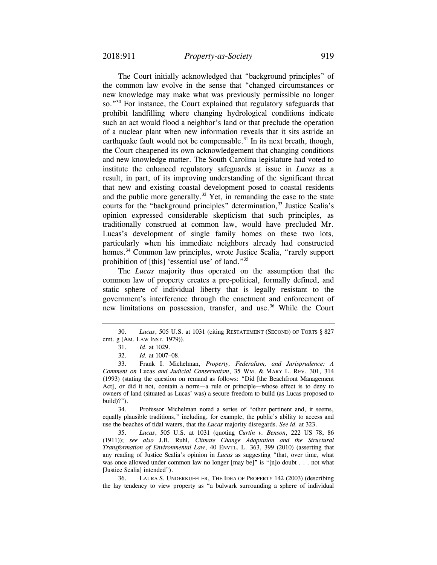The Court initially acknowledged that "background principles" of the common law evolve in the sense that "changed circumstances or new knowledge may make what was previously permissible no longer so."30 For instance, the Court explained that regulatory safeguards that prohibit landfilling where changing hydrological conditions indicate such an act would flood a neighbor's land or that preclude the operation of a nuclear plant when new information reveals that it sits astride an earthquake fault would not be compensable.<sup>31</sup> In its next breath, though, the Court cheapened its own acknowledgement that changing conditions and new knowledge matter. The South Carolina legislature had voted to institute the enhanced regulatory safeguards at issue in *Lucas* as a result, in part, of its improving understanding of the significant threat that new and existing coastal development posed to coastal residents and the public more generally.<sup>32</sup> Yet, in remanding the case to the state courts for the "background principles" determination,<sup>33</sup> Justice Scalia's opinion expressed considerable skepticism that such principles, as traditionally construed at common law, would have precluded Mr. Lucas's development of single family homes on these two lots, particularly when his immediate neighbors already had constructed homes.<sup>34</sup> Common law principles, wrote Justice Scalia, "rarely support prohibition of [this] 'essential use' of land."35

The *Lucas* majority thus operated on the assumption that the common law of property creates a pre-political, formally defined, and static sphere of individual liberty that is legally resistant to the government's interference through the enactment and enforcement of new limitations on possession, transfer, and use.<sup>36</sup> While the Court

34. Professor Michelman noted a series of "other pertinent and, it seems, equally plausible traditions," including, for example, the public's ability to access and use the beaches of tidal waters, that the *Lucas* majority disregards. *See id.* at 323.

35. *Lucas*, 505 U.S. at 1031 (quoting *Curtin v. Benson*, 222 US 78, 86 (1911)); *see also* J.B. Ruhl, *Climate Change Adaptation and the Structural Transformation of Environmental Law*, 40 ENVTL. L. 363, 399 (2010) (asserting that any reading of Justice Scalia's opinion in *Lucas* as suggesting "that, over time, what was once allowed under common law no longer [may be]" is "[n]o doubt . . . not what [Justice Scalia] intended").

36. LAURA S. UNDERKUFFLER, THE IDEA OF PROPERTY 142 (2003) (describing the lay tendency to view property as "a bulwark surrounding a sphere of individual

 30. *Lucas*, 505 U.S. at 1031 (citing RESTATEMENT (SECOND) OF TORTS § 827 cmt. g (AM. LAW INST. 1979)).

 <sup>31.</sup> *Id*. at 1029.

 <sup>32.</sup> *Id.* at 1007–08.

 *Comment on* Lucas *and Judicial Conservatism*, 35 WM. & MARY L. REV. 301, 314 33. Frank I. Michelman, *Property, Federalism, and Jurisprudence: A*  (1993) (stating the question on remand as follows: "Did [the Beachfront Management Act], or did it not, contain a norm—a rule or principle—whose effect is to deny to owners of land (situated as Lucas' was) a secure freedom to build (as Lucas proposed to build)?").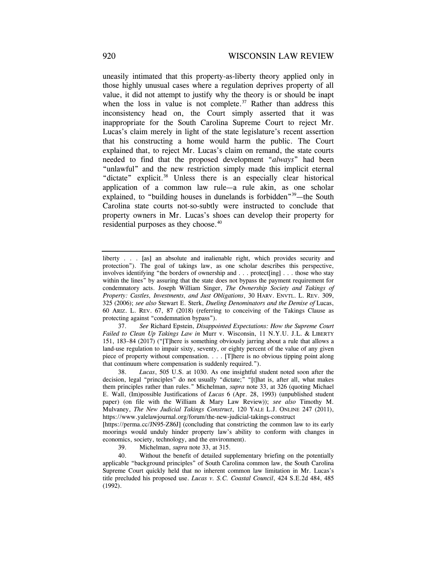"unlawful" and the new restriction simply made this implicit eternal uneasily intimated that this property-as-liberty theory applied only in those highly unusual cases where a regulation deprives property of all value, it did not attempt to justify why the theory is or should be inapt when the loss in value is not complete.<sup>37</sup> Rather than address this inconsistency head on, the Court simply asserted that it was inappropriate for the South Carolina Supreme Court to reject Mr. Lucas's claim merely in light of the state legislature's recent assertion that his constructing a home would harm the public. The Court explained that, to reject Mr. Lucas's claim on remand, the state courts needed to find that the proposed development "*always*" had been "dictate" explicit.<sup>38</sup> Unless there is an especially clear historical application of a common law rule—a rule akin, as one scholar explained, to "building houses in dunelands is forbidden"<sup>39</sup>—the South Carolina state courts not-so-subtly were instructed to conclude that property owners in Mr. Lucas's shoes can develop their property for residential purposes as they choose.<sup>40</sup>

 *Failed to Clean Up Takings Law in* Murr v. Wisconsin, 11 N.Y.U. J.L. & LIBERTY 37. *See* Richard Epstein, *Disappointed Expectations: How the Supreme Court*  151, 183–84 (2017) ("[T]here is something obviously jarring about a rule that allows a land-use regulation to impair sixty, seventy, or eighty percent of the value of any given piece of property without compensation. . . . [T]here is no obvious tipping point along that continuum where compensation is suddenly required.").

 *Property: Castles, Investments, and Just Obligations*, 30 HARV. ENVTL. L. REV. 309, 60 ARIZ. L. REV. 67, 87 (2018) (referring to conceiving of the Takings Clause as liberty . . . [as] an absolute and inalienable right, which provides security and protection"). The goal of takings law, as one scholar describes this perspective, involves identifying "the borders of ownership and . . . protect[ing] . . . those who stay within the lines" by assuring that the state does not bypass the payment requirement for condemnatory acts. Joseph William Singer, *The Ownership Society and Takings of*  325 (2006); *see also* Stewart E. Sterk, *Dueling Denominators and the Demise of* Lucas, protecting against "condemnation bypass").

 <sup>38.</sup> *Lucas*, 505 U.S. at 1030. As one insightful student noted soon after the decision, legal "principles" do not usually "dictate;" "[t]hat is, after all, what makes them principles rather than rules." Michelman, *supra* note 33, at 326 (quoting Michael E. Wall, (Im)possible Justifications of *Lucas* 6 (Apr. 28, 1993) (unpublished student paper) (on file with the William & Mary Law Review)); *see also* Timothy M. Mulvaney, *The New Judicial Takings Construct*, 120 YALE L.J. ONLINE 247 (2011), <https://www.yalelawjournal.org/forum/the-new-judicial-takings-construct>

<sup>[</sup><https://perma.cc/JN95-Z86J>] (concluding that constricting the common law to its early moorings would unduly hinder property law's ability to conform with changes in economics, society, technology, and the environment).

<sup>39.</sup> Michelman, *supra* note 33, at 315.

<sup>40.</sup> Without the benefit of detailed supplementary briefing on the potentially applicable "background principles" of South Carolina common law, the South Carolina Supreme Court quickly held that no inherent common law limitation in Mr. Lucas's title precluded his proposed use. *Lucas v. S.C. Coastal Council*, 424 S.E.2d 484, 485 (1992).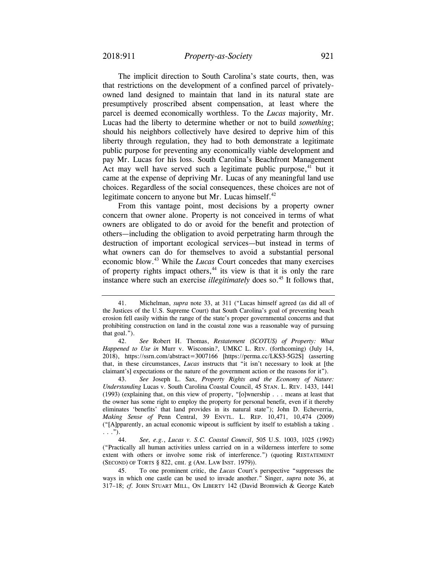The implicit direction to South Carolina's state courts, then, was that restrictions on the development of a confined parcel of privatelyowned land designed to maintain that land in its natural state are presumptively proscribed absent compensation, at least where the parcel is deemed economically worthless. To the *Lucas* majority, Mr. Lucas had the liberty to determine whether or not to build *something*; should his neighbors collectively have desired to deprive him of this liberty through regulation, they had to both demonstrate a legitimate public purpose for preventing any economically viable development and pay Mr. Lucas for his loss. South Carolina's Beachfront Management Act may well have served such a legitimate public purpose, $41$  but it came at the expense of depriving Mr. Lucas of any meaningful land use choices. Regardless of the social consequences, these choices are not of legitimate concern to anyone but Mr. Lucas himself.<sup>42</sup>

From this vantage point, most decisions by a property owner concern that owner alone. Property is not conceived in terms of what owners are obligated to do or avoid for the benefit and protection of others—including the obligation to avoid perpetrating harm through the destruction of important ecological services—but instead in terms of what owners can do for themselves to avoid a substantial personal economic blow.43 While the *Lucas* Court concedes that many exercises of property rights impact others, $44$  its view is that it is only the rare instance where such an exercise *illegitimately* does so.<sup>45</sup> It follows that,

<sup>41.</sup> Michelman, *supra* note 33, at 311 ("Lucas himself agreed (as did all of the Justices of the U.S. Supreme Court) that South Carolina's goal of preventing beach erosion fell easily within the range of the state's proper governmental concerns and that prohibiting construction on land in the coastal zone was a reasonable way of pursuing that goal.").

 *Happened to Use in* Murr v. Wisconsin*?*, UMKC L. REV. (forthcoming) (July 14, 42. *See* Robert H. Thomas, *Restatement (SCOTUS) of Property: What*  2018), <https://ssrn.com/abstract=3007166> [\[https://perma.cc/LKS3-5G2S\]](https://perma.cc/LKS3-5G2S) (asserting that, in these circumstances, *Lucas* instructs that "it isn't necessary to look at [the claimant's] expectations or the nature of the government action or the reasons for it").

 *Understanding* Lucas v. South Carolina Coastal Council, 45 STAN. L. REV. 1433, 1441 *Making Sense of* Penn Central, 39 ENVTL. L. REP. 10,471, 10,474 (2009) 43. *See* Joseph L. Sax, *Property Rights and the Economy of Nature:*  (1993) (explaining that, on this view of property, "[o]wnership . . . means at least that the owner has some right to employ the property for personal benefit, even if it thereby eliminates 'benefits' that land provides in its natural state"); John D. Echeverria, ("[A]pparently, an actual economic wipeout is sufficient by itself to establish a taking . . . .").

<sup>44.</sup> *See, e.g.*, *Lucas v. S.C. Coastal Council*, 505 U.S. 1003, 1025 (1992) ("Practically all human activities unless carried on in a wilderness interfere to some extent with others or involve some risk of interference.") (quoting RESTATEMENT (SECOND) OF TORTS § 822, cmt. g (AM. LAW INST. 1979)).

<sup>45.</sup> To one prominent critic, the *Lucas* Court's perspective "suppresses the ways in which one castle can be used to invade another." Singer, *supra* note 36, at 317–18; *cf.* JOHN STUART MILL, ON LIBERTY 142 (David Bromwich & George Kateb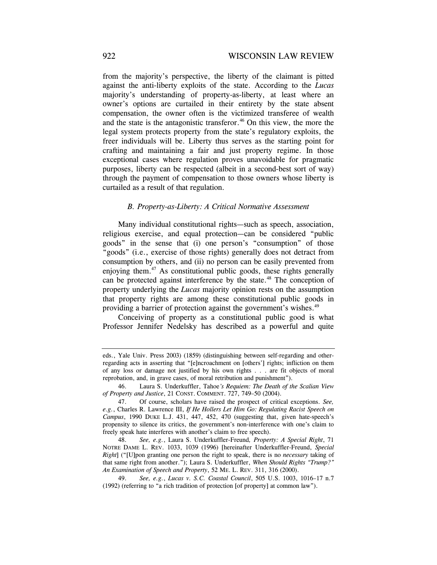from the majority's perspective, the liberty of the claimant is pitted against the anti-liberty exploits of the state. According to the *Lucas*  majority's understanding of property-as-liberty, at least where an owner's options are curtailed in their entirety by the state absent compensation, the owner often is the victimized transferee of wealth and the state is the antagonistic transferor.<sup>46</sup> On this view, the more the legal system protects property from the state's regulatory exploits, the freer individuals will be. Liberty thus serves as the starting point for crafting and maintaining a fair and just property regime. In those exceptional cases where regulation proves unavoidable for pragmatic purposes, liberty can be respected (albeit in a second-best sort of way) through the payment of compensation to those owners whose liberty is curtailed as a result of that regulation.

#### *B. Property-as-Liberty: A Critical Normative Assessment*

Many individual constitutional rights—such as speech, association, religious exercise, and equal protection—can be considered "public goods" in the sense that (i) one person's "consumption" of those "goods" (i.e., exercise of those rights) generally does not detract from consumption by others, and (ii) no person can be easily prevented from enjoying them.<sup>47</sup> As constitutional public goods, these rights generally can be protected against interference by the state.<sup>48</sup> The conception of property underlying the *Lucas* majority opinion rests on the assumption that property rights are among these constitutional public goods in providing a barrier of protection against the government's wishes.<sup>49</sup>

Conceiving of property as a constitutional public good is what Professor Jennifer Nedelsky has described as a powerful and quite

eds., Yale Univ. Press 2003) (1859) (distinguishing between self-regarding and otherregarding acts in asserting that "[e]ncroachment on [others'] rights; infliction on them of any loss or damage not justified by his own rights . . . are fit objects of moral reprobation, and, in grave cases, of moral retribution and punishment").

<sup>46.</sup> Laura S. Underkuffler, Tahoe*'s Requiem: The Death of the Scalian View of Property and Justice*, 21 CONST. COMMENT. 727, 749–50 (2004).

 47. Of course, scholars have raised the prospect of critical exceptions. *See, e.g.*, Charles R. Lawrence III, *If He Hollers Let Him Go: Regulating Racist Speech on Campus*, 1990 DUKE L.J. 431, 447, 452, 470 (suggesting that, given hate-speech's propensity to silence its critics, the government's non-interference with one's claim to freely speak hate interferes with another's claim to free speech).

 *An Examination of Speech and Property*, 52 ME. L. REV. 311, 316 (2000). 48. *See, e.g.*, Laura S. Underkuffler-Freund*, Property: A Special Right*, 71 NOTRE DAME L. REV. 1033, 1039 (1996) [hereinafter Underkuffler-Freund, *Special Right*] ("[U]pon granting one person the right to speak, there is no *necessary* taking of that same right from another."); Laura S. Underkuffler, *When Should Rights "Trump?"* 

 <sup>49.</sup> *See, e.g.*, *Lucas v. S.C. Coastal Council*, 505 U.S. 1003, 1016–17 n.7 (1992) (referring to "a rich tradition of protection [of property] at common law").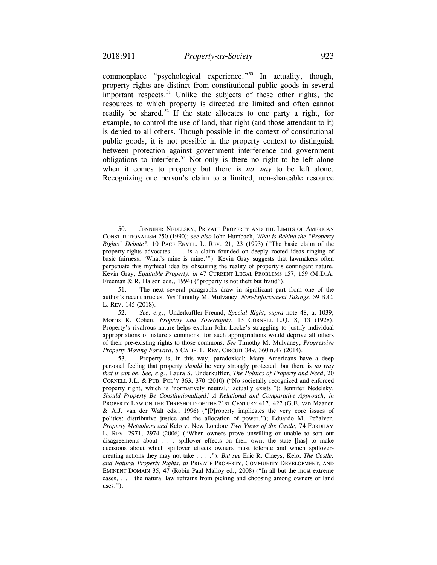commonplace "psychological experience."50 In actuality, though, property rights are distinct from constitutional public goods in several important respects.<sup>51</sup> Unlike the subjects of these other rights, the resources to which property is directed are limited and often cannot readily be shared.<sup>52</sup> If the state allocates to one party a right, for example, to control the use of land, that right (and those attendant to it) is denied to all others. Though possible in the context of constitutional public goods, it is not possible in the property context to distinguish between protection against government interference and government obligations to interfere.<sup>53</sup> Not only is there no right to be left alone when it comes to property but there is *no way* to be left alone. Recognizing one person's claim to a limited, non-shareable resource

 50. JENNIFER NEDELSKY, PRIVATE PROPERTY AND THE LIMITS OF AMERICAN *Rights" Debate?*, 10 PACE ENVTL. L. REV. 21, 23 (1993) ("The basic claim of the CONSTITUTIONALISM 250 (1990); *see also* John Humbach, *What is Behind the "Property*  property-rights advocates . . . is a claim founded on deeply rooted ideas ringing of basic fairness: 'What's mine is mine.'"). Kevin Gray suggests that lawmakers often perpetuate this mythical idea by obscuring the reality of property's contingent nature. Kevin Gray, *Equitable Property, in* 47 CURRENT LEGAL PROBLEMS 157, 159 (M.D.A. Freeman & R. Halson eds., 1994) ("property is not theft but fraud").

<sup>51.</sup> The next several paragraphs draw in significant part from one of the author's recent articles. *See* Timothy M. Mulvaney, *Non-Enforcement Takings*, 59 B.C. L. REV. 145 (2018).

 *Property Moving Forward*, 5 CALIF. L. REV. CIRCUIT 349, 360 n.47 (2014). 52. *See, e.g.*, Underkuffler-Freund, *Special Right*, *supra* note 48, at 1039; Morris R. Cohen, *Property and Sovereignty*, 13 CORNELL L.Q. 8, 13 (1928). Property's rivalrous nature helps explain John Locke's struggling to justify individual appropriations of nature's commons, for such appropriations would deprive all others of their pre-existing rights to those commons. *See* Timothy M. Mulvaney, *Progressive* 

 CORNELL J.L. & PUB. POL'Y 363, 370 (2010) ("No societally recognized and enforced 53. Property is, in this way, paradoxical: Many Americans have a deep personal feeling that property *should* be very strongly protected, but there is *no way that it can be*. *See, e.g.*, Laura S. Underkuffler, *The Politics of Property and Need*, 20 property right, which is 'normatively neutral,' actually exists."); Jennifer Nedelsky, *Should Property Be Constitutionalized? A Relational and Comparative Approach*, *in*  PROPERTY LAW ON THE THRESHOLD OF THE 21ST CENTURY 417, 427 (G.E. van Maanen & A.J. van der Walt eds., 1996) ("[P]roperty implicates the very core issues of politics: distributive justice and the allocation of power."); Eduardo M. Peñalver, *Property Metaphors and* Kelo v. New London*: Two Views of the Castle*, 74 FORDHAM L. REV. 2971, 2974 (2006) ("When owners prove unwilling or unable to sort out disagreements about . . . spillover effects on their own, the state [has] to make decisions about which spillover effects owners must tolerate and which spillovercreating actions they may not take . . . ."). *But see* Eric R. Claeys, Kelo, *The Castle, and Natural Property Rights*, *in* PRIVATE PROPERTY, COMMUNITY DEVELOPMENT, AND EMINENT DOMAIN 35, 47 (Robin Paul Malloy ed., 2008) ("In all but the most extreme cases, . . . the natural law refrains from picking and choosing among owners or land uses.").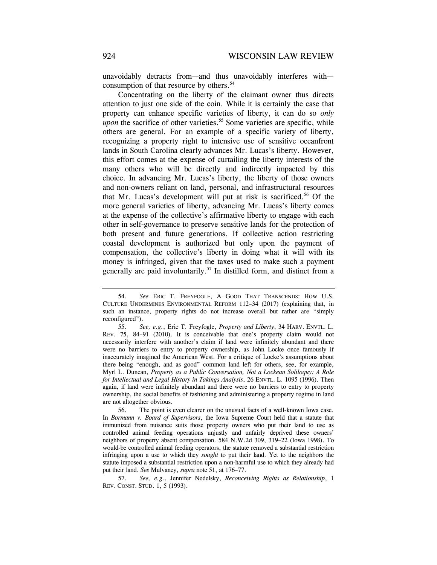unavoidably detracts from—and thus unavoidably interferes with consumption of that resource by others.<sup>54</sup>

Concentrating on the liberty of the claimant owner thus directs attention to just one side of the coin. While it is certainly the case that property can enhance specific varieties of liberty, it can do so *only upon* the sacrifice of other varieties.<sup>55</sup> Some varieties are specific, while others are general. For an example of a specific variety of liberty, recognizing a property right to intensive use of sensitive oceanfront lands in South Carolina clearly advances Mr. Lucas's liberty. However, this effort comes at the expense of curtailing the liberty interests of the many others who will be directly and indirectly impacted by this choice. In advancing Mr. Lucas's liberty, the liberty of those owners and non-owners reliant on land, personal, and infrastructural resources that Mr. Lucas's development will put at risk is sacrificed.<sup>56</sup> Of the more general varieties of liberty, advancing Mr. Lucas's liberty comes at the expense of the collective's affirmative liberty to engage with each other in self-governance to preserve sensitive lands for the protection of both present and future generations. If collective action restricting coastal development is authorized but only upon the payment of compensation, the collective's liberty in doing what it will with its money is infringed, given that the taxes used to make such a payment generally are paid involuntarily.<sup>57</sup> In distilled form, and distinct from a

 54. *See* ERIC T. FREYFOGLE, A GOOD THAT TRANSCENDS: HOW U.S. CULTURE UNDERMINES ENVIRONMENTAL REFORM 112–34 (2017) (explaining that, in such an instance, property rights do not increase overall but rather are "simply reconfigured").

 55. *See, e.g.*, Eric T. Freyfogle, *Property and Liberty*, 34 HARV. ENVTL. L. REV. 75, 84–91 (2010). It is conceivable that one's property claim would not necessarily interfere with another's claim if land were infinitely abundant and there were no barriers to entry to property ownership, as John Locke once famously if inaccurately imagined the American West. For a critique of Locke's assumptions about there being "enough, and as good" common land left for others, see, for example, Myrl L. Duncan, *Property as a Public Conversation, Not a Lockean Soliloquy: A Role for Intellectual and Legal History in Takings Analysis*, 26 ENVTL. L. 1095 (1996). Then again, if land were infinitely abundant and there were no barriers to entry to property ownership, the social benefits of fashioning and administering a property regime in land are not altogether obvious.

 In *Bormann v. Board of Supervisors*, the Iowa Supreme Court held that a statute that 56. The point is even clearer on the unusual facts of a well-known Iowa case. immunized from nuisance suits those property owners who put their land to use as controlled animal feeding operations unjustly and unfairly deprived these owners' neighbors of property absent compensation. 584 N.W.2d 309, 319–22 (Iowa 1998). To would-be controlled animal feeding operators, the statute removed a substantial restriction infringing upon a use to which they *sought* to put their land. Yet to the neighbors the statute imposed a substantial restriction upon a non-harmful use to which they already had put their land. *See* Mulvaney, *supra* note 51, at 176–77.

 REV. CONST. STUD. 1, 5 (1993). 57. *See, e.g.*, Jennifer Nedelsky, *Reconceiving Rights as Relationship*, 1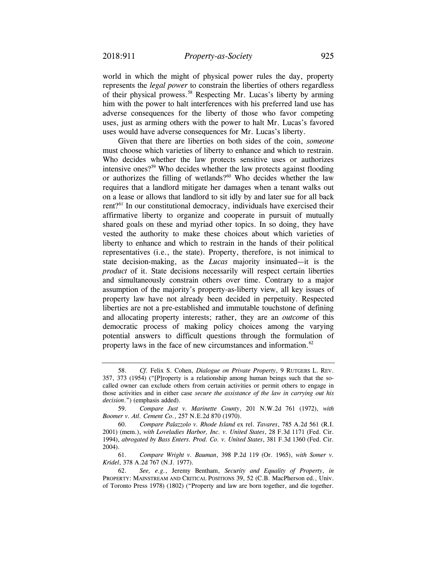world in which the might of physical power rules the day, property represents the *legal power* to constrain the liberties of others regardless of their physical [prowess.58](https://prowess.58) Respecting Mr. Lucas's liberty by arming him with the power to halt interferences with his preferred land use has adverse consequences for the liberty of those who favor competing uses, just as arming others with the power to halt Mr. Lucas's favored uses would have adverse consequences for Mr. Lucas's liberty.

 vested the authority to make these choices about which varieties of Given that there are liberties on both sides of the coin, *someone*  must choose which varieties of liberty to enhance and which to restrain. Who decides whether the law protects sensitive uses or authorizes intensive ones?59 Who decides whether the law protects against flooding or authorizes the filling of wetlands? $60$  Who decides whether the law requires that a landlord mitigate her damages when a tenant walks out on a lease or allows that landlord to sit idly by and later sue for all back rent?61 In our constitutional democracy, individuals have exercised their affirmative liberty to organize and cooperate in pursuit of mutually shared goals on these and myriad other topics. In so doing, they have liberty to enhance and which to restrain in the hands of their political representatives (i.e., the state). Property, therefore, is not inimical to state decision-making, as the *Lucas* majority insinuated—it is the *product* of it. State decisions necessarily will respect certain liberties and simultaneously constrain others over time. Contrary to a major assumption of the majority's property-as-liberty view, all key issues of property law have not already been decided in perpetuity. Respected liberties are not a pre-established and immutable touchstone of defining and allocating property interests; rather, they are an *outcome* of this democratic process of making policy choices among the varying potential answers to difficult questions through the formulation of property laws in the face of new circumstances and information. $62$ 

<sup>58.</sup> *Cf.* Felix S. Cohen, *Dialogue on Private Property*, 9 RUTGERS L. REV. 357, 373 (1954) ("[P]roperty is a relationship among human beings such that the socalled owner can exclude others from certain activities or permit others to engage in those activities and in either case *secure the assistance of the law in carrying out his decision*.") (emphasis added).

<sup>59.</sup> *Compare Just v. Marinette County*, 201 N.W.2d 761 (1972), *with Boomer v. Atl. Cement Co.*, 257 N.E.2d 870 (1970).

 <sup>60.</sup> *Compare Palazzolo v. Rhode Island* ex rel. *Tavares*, 785 A.2d 561 (R.I. 2001) (mem.), *with Loveladies Harbor, Inc. v. United States*, 28 F.3d 1171 (Fed. Cir. 1994), *abrogated by Bass Enters. Prod. Co. v. United States*, 381 F.3d 1360 (Fed. Cir. 2004).

<sup>61.</sup> *Compare Wright v. Bauman*, 398 P.2d 119 (Or. 1965), *with Somer v. Kridel*, 378 A.2d 767 (N.J. 1977).

<sup>62.</sup> *See, e.g.*, Jeremy Bentham, *Security and Equality of Property*, *in*  PROPERTY: MAINSTREAM AND CRITICAL POSITIONS 39, 52 (C.B. MacPherson ed., Univ. of Toronto Press 1978) (1802) ("Property and law are born together, and die together.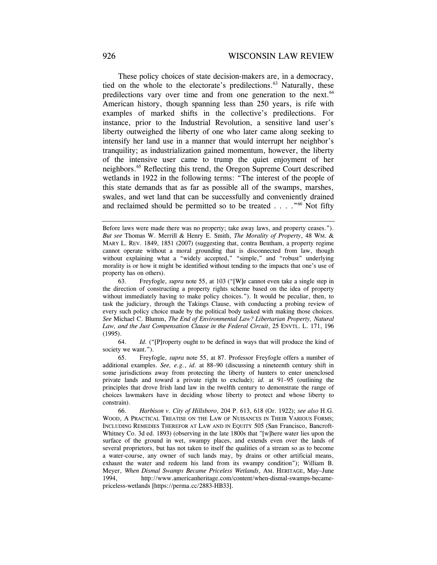These policy choices of state decision-makers are, in a democracy, tied on the whole to the electorate's predilections.<sup>63</sup> Naturally, these predilections vary over time and from one generation to the next.<sup>64</sup> American history, though spanning less than 250 years, is rife with examples of marked shifts in the collective's predilections. For instance, prior to the Industrial Revolution, a sensitive land user's liberty outweighed the liberty of one who later came along seeking to intensify her land use in a manner that would interrupt her neighbor's tranquility; as industrialization gained momentum, however, the liberty of the intensive user came to trump the quiet enjoyment of her [neighbors.65](https://neighbors.65) Reflecting this trend, the Oregon Supreme Court described wetlands in 1922 in the following terms: "The interest of the people of this state demands that as far as possible all of the swamps, marshes, swales, and wet land that can be successfully and conveniently drained and reclaimed should be permitted so to be treated . . . ."66 Not fifty

 64. *Id.* ("[P]roperty ought to be defined in ways that will produce the kind of society we want.").

65. Freyfogle, *supra* note 55, at 87. Professor Freyfogle offers a number of additional examples. *See, e.g.*, *id.* at 88–90 (discussing a nineteenth century shift in some jurisdictions away from protecting the liberty of hunters to enter unenclosed private lands and toward a private right to exclude); *id.* at 91–95 (outlining the principles that drove Irish land law in the twelfth century to demonstrate the range of choices lawmakers have in deciding whose liberty to protect and whose liberty to constrain).

 66. *Harbison v. City of Hillsboro*, 204 P. 613, 618 (Or. 1922); *see also* H.G. WOOD, A PRACTICAL TREATISE ON THE LAW OF NUISANCES IN THEIR VARIOUS FORMS; INCLUDING REMEDIES THEREFOR AT LAW AND IN EQUITY 505 (San Francisco, Bancroft-Whitney Co. 3d ed. 1893) (observing in the late 1800s that "[w]here water lies upon the surface of the ground in wet, swampy places, and extends even over the lands of several proprietors, but has not taken to itself the qualities of a stream so as to become a water-course, any owner of such lands may, by drains or other artificial means, exhaust the water and redeem his land from its swampy condition"); William B. Meyer, *When Dismal Swamps Became Priceless Wetlands*, AM. HERITAGE, May–June 1994, <http://www.americanheritage.com/content/when-dismal-swamps-became>priceless-wetlands [\[https://perma.cc/2883-HB33](https://perma.cc/2883-HB33)].

 *But see* Thomas W. Merrill & Henry E. Smith, *The Morality of Property*, 48 WM. & Before laws were made there was no property; take away laws, and property ceases."). MARY L. REV. 1849, 1851 (2007) (suggesting that, contra Bentham, a property regime cannot operate without a moral grounding that is disconnected from law, though without explaining what a "widely accepted," "simple," and "robust" underlying morality is or how it might be identified without tending to the impacts that one's use of property has on others).

<sup>63.</sup> Freyfogle, *supra* note 55, at 103 ("[W]e cannot even take a single step in the direction of constructing a property rights scheme based on the idea of property without immediately having to make policy choices."). It would be peculiar, then, to task the judiciary, through the Takings Clause, with conducting a probing review of every such policy choice made by the political body tasked with making those choices. *See* Michael C. Blumm, *The End of Environmental Law? Libertarian Property, Natural Law, and the Just Compensation Clause in the Federal Circuit*, 25 ENVTL. L. 171, 196 (1995).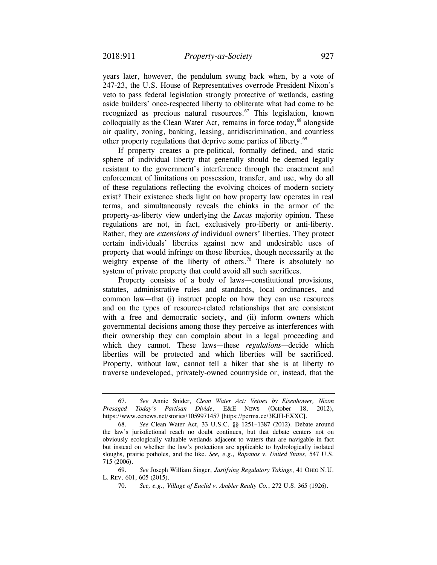years later, however, the pendulum swung back when, by a vote of 247-23, the U.S. House of Representatives overrode President Nixon's veto to pass federal legislation strongly protective of wetlands, casting aside builders' once-respected liberty to obliterate what had come to be recognized as precious natural resources.<sup>67</sup> This legislation, known colloquially as the Clean Water Act, remains in force today,  $68$  alongside air quality, zoning, banking, leasing, antidiscrimination, and countless other property regulations that deprive some parties of liberty.<sup>69</sup>

If property creates a pre-political, formally defined, and static sphere of individual liberty that generally should be deemed legally resistant to the government's interference through the enactment and enforcement of limitations on possession, transfer, and use, why do all of these regulations reflecting the evolving choices of modern society exist? Their existence sheds light on how property law operates in real terms, and simultaneously reveals the chinks in the armor of the property-as-liberty view underlying the *Lucas* majority opinion. These regulations are not, in fact, exclusively pro-liberty or anti-liberty. Rather, they are *extensions of* individual owners' liberties. They protect certain individuals' liberties against new and undesirable uses of property that would infringe on those liberties, though necessarily at the weighty expense of the liberty of others.<sup>70</sup> There is absolutely no system of private property that could avoid all such sacrifices.

Property consists of a body of laws—constitutional provisions, statutes, administrative rules and standards, local ordinances, and common law—that (i) instruct people on how they can use resources and on the types of resource-related relationships that are consistent with a free and democratic society, and (ii) inform owners which governmental decisions among those they perceive as interferences with their ownership they can complain about in a legal proceeding and which they cannot. These laws—these *regulations*—decide which liberties will be protected and which liberties will be sacrificed. Property, without law, cannot tell a hiker that she is at liberty to traverse undeveloped, privately-owned countryside or, instead, that the

<sup>67.</sup> *See* Annie Snider, *Clean Water Act: Vetoes by Eisenhower, Nixon Presaged Today's Partisan Divide*, E&E NEWS (October 18, 2012), <https://www.eenews.net/stories/1059971457>[\[https://perma.cc/3KJH-EXXC](https://perma.cc/3KJH-EXXC)].

<sup>68.</sup> *See* Clean Water Act, 33 U.S.C. §§ 1251–1387 (2012). Debate around the law's jurisdictional reach no doubt continues, but that debate centers not on obviously ecologically valuable wetlands adjacent to waters that are navigable in fact but instead on whether the law's protections are applicable to hydrologically isolated sloughs, prairie potholes, and the like. *See, e.g., Rapanos v. United States*, 547 U.S. 715 (2006).

 <sup>69.</sup> *See* Joseph William Singer, *Justifying Regulatory Takings*, 41 OHIO N.U. L. REV. 601, 605 (2015).

 <sup>70.</sup> *See, e.g.*, *Village of Euclid v. Ambler Realty Co.*, 272 U.S. 365 (1926).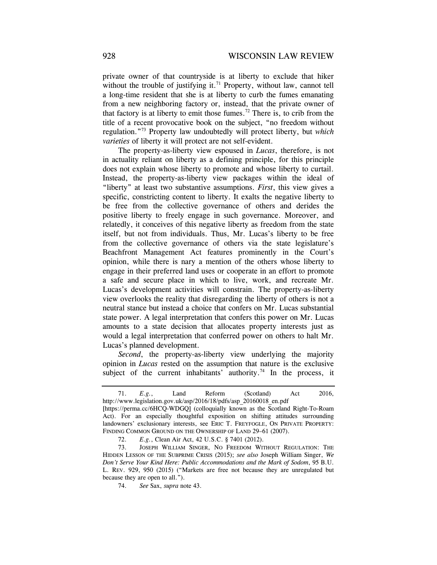private owner of that countryside is at liberty to exclude that hiker without the trouble of justifying it.<sup>71</sup> Property, without law, cannot tell a long-time resident that she is at liberty to curb the fumes emanating from a new neighboring factory or, instead, that the private owner of that factory is at liberty to emit those fumes.<sup>72</sup> There is, to crib from the title of a recent provocative book on the subject, "no freedom without regulation."73 Property law undoubtedly will protect liberty, but *which varieties* of liberty it will protect are not self-evident.

The property-as-liberty view espoused in *Lucas*, therefore, is not in actuality reliant on liberty as a defining principle, for this principle does not explain whose liberty to promote and whose liberty to curtail. Instead, the property-as-liberty view packages within the ideal of "liberty" at least two substantive assumptions. *First*, this view gives a specific, constricting content to liberty. It exalts the negative liberty to be free from the collective governance of others and derides the positive liberty to freely engage in such governance. Moreover, and relatedly, it conceives of this negative liberty as freedom from the state itself, but not from individuals. Thus, Mr. Lucas's liberty to be free from the collective governance of others via the state legislature's Beachfront Management Act features prominently in the Court's opinion, while there is nary a mention of the others whose liberty to engage in their preferred land uses or cooperate in an effort to promote a safe and secure place in which to live, work, and recreate Mr. Lucas's development activities will constrain. The property-as-liberty view overlooks the reality that disregarding the liberty of others is not a neutral stance but instead a choice that confers on Mr. Lucas substantial state power. A legal interpretation that confers this power on Mr. Lucas amounts to a state decision that allocates property interests just as would a legal interpretation that conferred power on others to halt Mr. Lucas's planned development.

*Second*, the property-as-liberty view underlying the majority opinion in *Lucas* rested on the assumption that nature is the exclusive subject of the current inhabitants' authority.<sup>74</sup> In the process, it

72. *E.g.*, Clean Air Act, 42 U.S.C. § 7401 (2012).

<sup>71.</sup> *E.g.*, Land Reform (Scotland) Act 2016, [http://www.legislation.gov.uk/asp/2016/18/pdfs/asp\\_20160018\\_en.pdf](http://www.legislation.gov.uk/asp/2016/18/pdfs/asp_20160018_en.pdf) [[https://perma.cc/6HCQ-WDGQ\]](https://perma.cc/6HCQ-WDGQ) (colloquially known as the Scotland Right-To-Roam Act). For an especially thoughtful exposition on shifting attitudes surrounding landowners' exclusionary interests, see ERIC T. FREYFOGLE, ON PRIVATE PROPERTY: FINDING COMMON GROUND ON THE OWNERSHIP OF LAND 29-61 (2007).

 <sup>73.</sup> JOSEPH WILLIAM SINGER, NO FREEDOM WITHOUT REGULATION: THE HIDDEN LESSON OF THE SUBPRIME CRISIS (2015); *see also* Joseph William Singer, *We Don't Serve Your Kind Here: Public Accommodations and the Mark of Sodom*, 95 B.U. L. REV. 929, 950 (2015) ("Markets are free not because they are unregulated but because they are open to all.").

<sup>74.</sup> *See* Sax, *supra* note 43.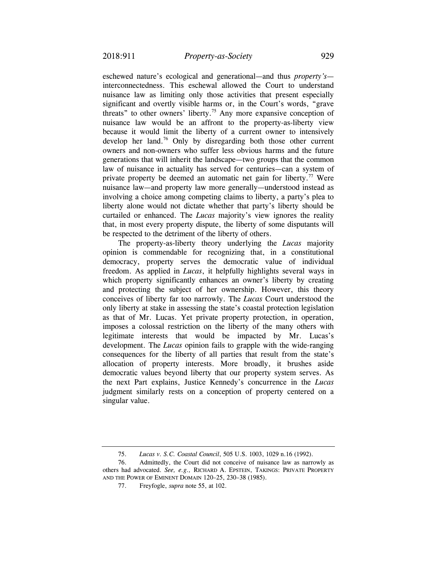eschewed nature's ecological and generational—and thus *property's* interconnectedness. This eschewal allowed the Court to understand nuisance law as limiting only those activities that present especially significant and overtly visible harms or, in the Court's words, "grave threats" to other owners' liberty.<sup>75</sup> Any more expansive conception of nuisance law would be an affront to the property-as-liberty view because it would limit the liberty of a current owner to intensively develop her land.76 Only by disregarding both those other current owners and non-owners who suffer less obvious harms and the future generations that will inherit the landscape—two groups that the common law of nuisance in actuality has served for centuries—can a system of private property be deemed an automatic net gain for liberty.<sup>77</sup> Were nuisance law—and property law more generally—understood instead as involving a choice among competing claims to liberty, a party's plea to liberty alone would not dictate whether that party's liberty should be curtailed or enhanced. The *Lucas* majority's view ignores the reality that, in most every property dispute, the liberty of some disputants will be respected to the detriment of the liberty of others.

The property-as-liberty theory underlying the *Lucas* majority opinion is commendable for recognizing that, in a constitutional democracy, property serves the democratic value of individual freedom. As applied in *Lucas*, it helpfully highlights several ways in which property significantly enhances an owner's liberty by creating and protecting the subject of her ownership. However, this theory conceives of liberty far too narrowly. The *Lucas* Court understood the only liberty at stake in assessing the state's coastal protection legislation as that of Mr. Lucas. Yet private property protection, in operation, imposes a colossal restriction on the liberty of the many others with legitimate interests that would be impacted by Mr. Lucas's development. The *Lucas* opinion fails to grapple with the wide-ranging consequences for the liberty of all parties that result from the state's allocation of property interests. More broadly, it brushes aside democratic values beyond liberty that our property system serves. As the next Part explains, Justice Kennedy's concurrence in the *Lucas*  judgment similarly rests on a conception of property centered on a singular value.

<sup>75.</sup> *Lucas v. S.C. Coastal Council*, 505 U.S. 1003, 1029 n.16 (1992).

<sup>76.</sup> Admittedly, the Court did not conceive of nuisance law as narrowly as others had advocated. *See, e.g.,* RICHARD A. EPSTEIN, TAKINGS: PRIVATE PROPERTY AND THE POWER OF EMINENT DOMAIN 120–25, 230–38 (1985).

 <sup>77.</sup> Freyfogle, *supra* note 55, at 102.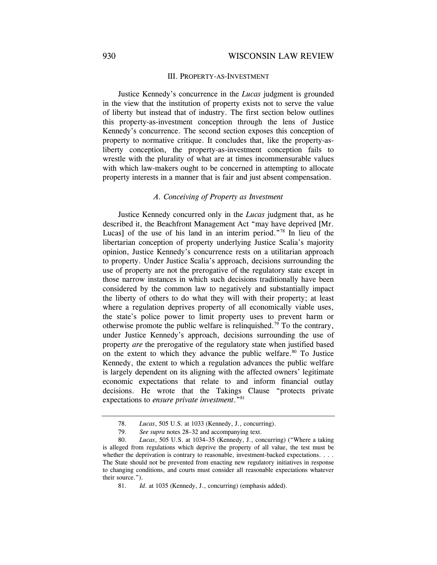### III. PROPERTY-AS-INVESTMENT

Justice Kennedy's concurrence in the *Lucas* judgment is grounded in the view that the institution of property exists not to serve the value of liberty but instead that of industry. The first section below outlines this property-as-investment conception through the lens of Justice Kennedy's concurrence. The second section exposes this conception of property to normative critique. It concludes that, like the property-asliberty conception, the property-as-investment conception fails to wrestle with the plurality of what are at times incommensurable values with which law-makers ought to be concerned in attempting to allocate property interests in a manner that is fair and just absent compensation.

### *A. Conceiving of Property as Investment*

Justice Kennedy concurred only in the *Lucas* judgment that, as he described it, the Beachfront Management Act "may have deprived [Mr. Lucas] of the use of his land in an interim period."<sup>78</sup> In lieu of the libertarian conception of property underlying Justice Scalia's majority opinion, Justice Kennedy's concurrence rests on a utilitarian approach to property. Under Justice Scalia's approach, decisions surrounding the use of property are not the prerogative of the regulatory state except in those narrow instances in which such decisions traditionally have been considered by the common law to negatively and substantially impact the liberty of others to do what they will with their property; at least where a regulation deprives property of all economically viable uses, the state's police power to limit property uses to prevent harm or otherwise promote the public welfare is relinquished.<sup>79</sup> To the contrary, under Justice Kennedy's approach, decisions surrounding the use of property *are* the prerogative of the regulatory state when justified based on the extent to which they advance the public welfare.<sup>80</sup> To Justice Kennedy, the extent to which a regulation advances the public welfare is largely dependent on its aligning with the affected owners' legitimate economic expectations that relate to and inform financial outlay decisions. He wrote that the Takings Clause "protects private expectations to *ensure private investment*."81

<sup>78.</sup> *Lucas*, 505 U.S. at 1033 (Kennedy, J., concurring).

 <sup>79.</sup> *See supra* notes 28–32 and accompanying text.

<sup>80.</sup> *Lucas*, 505 U.S. at 1034–35 (Kennedy, J., concurring) ("Where a taking is alleged from regulations which deprive the property of all value, the test must be whether the deprivation is contrary to reasonable, investment-backed expectations. . . . The State should not be prevented from enacting new regulatory initiatives in response to changing conditions, and courts must consider all reasonable expectations whatever their source.").

 <sup>81.</sup> *Id*. at 1035 (Kennedy, J., concurring) (emphasis added).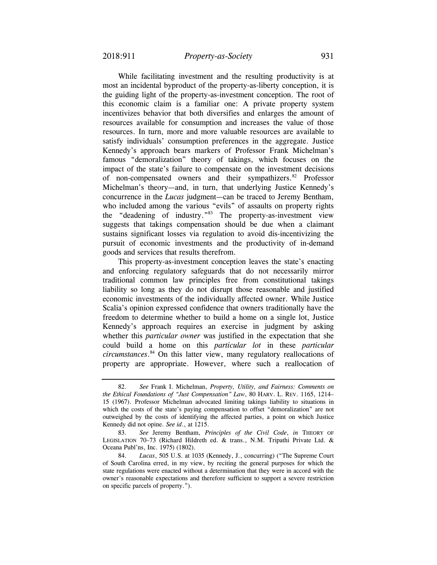While facilitating investment and the resulting productivity is at most an incidental byproduct of the property-as-liberty conception, it is the guiding light of the property-as-investment conception. The root of this economic claim is a familiar one: A private property system incentivizes behavior that both diversifies and enlarges the amount of resources available for consumption and increases the value of those resources. In turn, more and more valuable resources are available to satisfy individuals' consumption preferences in the aggregate. Justice Kennedy's approach bears markers of Professor Frank Michelman's famous "demoralization" theory of takings, which focuses on the impact of the state's failure to compensate on the investment decisions of non-compensated owners and their sympathizers.<sup>82</sup> Professor Michelman's theory—and, in turn, that underlying Justice Kennedy's concurrence in the *Lucas* judgment—can be traced to Jeremy Bentham, who included among the various "evils" of assaults on property rights the "deadening of industry."83 The property-as-investment view suggests that takings compensation should be due when a claimant sustains significant losses via regulation to avoid dis-incentivizing the pursuit of economic investments and the productivity of in-demand goods and services that results therefrom.

This property-as-investment conception leaves the state's enacting and enforcing regulatory safeguards that do not necessarily mirror traditional common law principles free from constitutional takings liability so long as they do not disrupt those reasonable and justified economic investments of the individually affected owner. While Justice Scalia's opinion expressed confidence that owners traditionally have the freedom to determine whether to build a home on a single lot, Justice Kennedy's approach requires an exercise in judgment by asking whether this *particular owner* was justified in the expectation that she could build a home on this *particular lot* in these *particular [circumstances](https://circumstances.84)*. 84 On this latter view, many regulatory reallocations of property are appropriate. However, where such a reallocation of

 *the Ethical Foundations of "Just Compensation" Law*, 80 HARV. L. REV. 1165, 1214– 82. *See* Frank I. Michelman, *Property, Utility, and Fairness: Comments on*  15 (1967). Professor Michelman advocated limiting takings liability to situations in which the costs of the state's paying compensation to offset "demoralization" are not outweighed by the costs of identifying the affected parties, a point on which Justice Kennedy did not opine. *See id*., at 1215.

<sup>83.</sup> *See* Jeremy Bentham, *Principles of the Civil Code*, *in* THEORY OF LEGISLATION 70–73 (Richard Hildreth ed. & trans., N.M. Tripathi Private Ltd. & Oceana Publ'ns, Inc. 1975) (1802).

 <sup>84.</sup> *Lucas*, 505 U.S. at 1035 (Kennedy, J., concurring) ("The Supreme Court of South Carolina erred, in my view, by reciting the general purposes for which the state regulations were enacted without a determination that they were in accord with the owner's reasonable expectations and therefore sufficient to support a severe restriction on specific parcels of property.").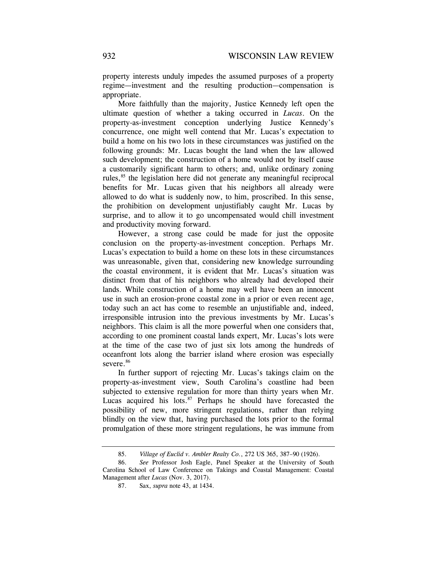property interests unduly impedes the assumed purposes of a property regime—investment and the resulting production—compensation is appropriate.

More faithfully than the majority, Justice Kennedy left open the ultimate question of whether a taking occurred in *Lucas*. On the property-as-investment conception underlying Justice Kennedy's concurrence, one might well contend that Mr. Lucas's expectation to build a home on his two lots in these circumstances was justified on the following grounds: Mr. Lucas bought the land when the law allowed such development; the construction of a home would not by itself cause a customarily significant harm to others; and, unlike ordinary zoning rules,<sup>85</sup> the legislation here did not generate any meaningful reciprocal benefits for Mr. Lucas given that his neighbors all already were allowed to do what is suddenly now, to him, proscribed. In this sense, the prohibition on development unjustifiably caught Mr. Lucas by surprise, and to allow it to go uncompensated would chill investment and productivity moving forward.

However, a strong case could be made for just the opposite conclusion on the property-as-investment conception. Perhaps Mr. Lucas's expectation to build a home on these lots in these circumstances was unreasonable, given that, considering new knowledge surrounding the coastal environment, it is evident that Mr. Lucas's situation was distinct from that of his neighbors who already had developed their lands. While construction of a home may well have been an innocent use in such an erosion-prone coastal zone in a prior or even recent age, today such an act has come to resemble an unjustifiable and, indeed, irresponsible intrusion into the previous investments by Mr. Lucas's neighbors. This claim is all the more powerful when one considers that, according to one prominent coastal lands expert, Mr. Lucas's lots were at the time of the case two of just six lots among the hundreds of oceanfront lots along the barrier island where erosion was especially severe.<sup>86</sup>

In further support of rejecting Mr. Lucas's takings claim on the property-as-investment view, South Carolina's coastline had been subjected to extensive regulation for more than thirty years when Mr. Lucas acquired his lots. $87$  Perhaps he should have forecasted the possibility of new, more stringent regulations, rather than relying blindly on the view that, having purchased the lots prior to the formal promulgation of these more stringent regulations, he was immune from

<sup>85.</sup> *Village of Euclid v. Ambler Realty Co.*, 272 US 365, 387–90 (1926).

 <sup>86.</sup> *See* Professor Josh Eagle, Panel Speaker at the University of South Carolina School of Law Conference on Takings and Coastal Management: Coastal Management after *Lucas* (Nov. 3, 2017).

<sup>87.</sup> Sax, *supra* note 43, at 1434.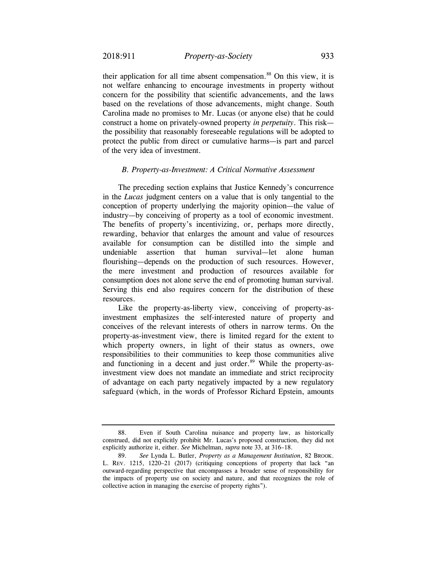their application for all time absent compensation. $88$  On this view, it is not welfare enhancing to encourage investments in property without concern for the possibility that scientific advancements, and the laws based on the revelations of those advancements, might change. South Carolina made no promises to Mr. Lucas (or anyone else) that he could construct a home on privately-owned property *in perpetuity*. This risk the possibility that reasonably foreseeable regulations will be adopted to protect the public from direct or cumulative harms—is part and parcel of the very idea of investment.

### *B. Property-as-Investment: A Critical Normative Assessment*

The preceding section explains that Justice Kennedy's concurrence in the *Lucas* judgment centers on a value that is only tangential to the conception of property underlying the majority opinion—the value of industry—by conceiving of property as a tool of economic investment. The benefits of property's incentivizing, or, perhaps more directly, rewarding, behavior that enlarges the amount and value of resources available for consumption can be distilled into the simple and undeniable assertion that human survival—let alone human flourishing—depends on the production of such resources. However, the mere investment and production of resources available for consumption does not alone serve the end of promoting human survival. Serving this end also requires concern for the distribution of these resources.

Like the property-as-liberty view, conceiving of property-asinvestment emphasizes the self-interested nature of property and conceives of the relevant interests of others in narrow terms. On the property-as-investment view, there is limited regard for the extent to which property owners, in light of their status as owners, owe responsibilities to their communities to keep those communities alive and functioning in a decent and just order.<sup>89</sup> While the property-asinvestment view does not mandate an immediate and strict reciprocity of advantage on each party negatively impacted by a new regulatory safeguard (which, in the words of Professor Richard Epstein, amounts

<sup>88.</sup> Even if South Carolina nuisance and property law, as historically construed, did not explicitly prohibit Mr. Lucas's proposed construction, they did not explicitly authorize it, either. *See* Michelman, *supra* note 33, at 316–18.

 <sup>89.</sup> *See* Lynda L. Butler, *Property as a Management Institution*, 82 BROOK. L. REV. 1215, 1220–21 (2017) (critiquing conceptions of property that lack "an outward-regarding perspective that encompasses a broader sense of responsibility for the impacts of property use on society and nature, and that recognizes the role of collective action in managing the exercise of property rights").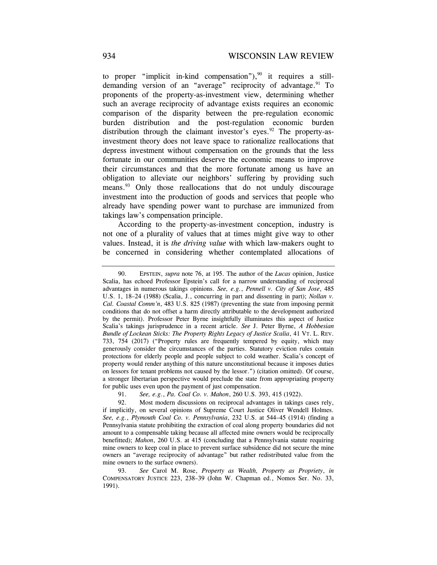to proper "implicit in-kind compensation"), $90$  it requires a stilldemanding version of an "average" reciprocity of advantage. $91$  To proponents of the property-as-investment view, determining whether such an average reciprocity of advantage exists requires an economic comparison of the disparity between the pre-regulation economic burden distribution and the post-regulation economic burden distribution through the claimant investor's eyes. <sup>92</sup> The property-asinvestment theory does not leave space to rationalize reallocations that depress investment without compensation on the grounds that the less fortunate in our communities deserve the economic means to improve their circumstances and that the more fortunate among us have an obligation to alleviate our neighbors' suffering by providing such means.<sup>93</sup> Only those reallocations that do not unduly discourage investment into the production of goods and services that people who already have spending power want to purchase are immunized from takings law's compensation principle.

According to the property-as-investment conception, industry is not one of a plurality of values that at times might give way to other values. Instead, it is *the driving value* with which law-makers ought to be concerned in considering whether contemplated allocations of

 *Cal. Coastal Comm'n*, 483 U.S. 825 (1987) (preventing the state from imposing permit *Bundle of Lockean Sticks: The Property Rights Legacy of Justice Scalia*, 41 VT. L. REV. 90. EPSTEIN, *supra* note 76, at 195. The author of the *Lucas* opinion, Justice Scalia, has echoed Professor Epstein's call for a narrow understanding of reciprocal advantages in numerous takings opinions. *See, e.g.*, *Pennell v. City of San Jose*, 485 U.S. 1, 18–24 (1988) (Scalia, J., concurring in part and dissenting in part); *Nollan v.*  conditions that do not offset a harm directly attributable to the development authorized by the permit). Professor Peter Byrne insightfully illuminates this aspect of Justice Scalia's takings jurisprudence in a recent article. *See* J. Peter Byrne, *A Hobbesian*  733, 754 (2017) ("Property rules are frequently tempered by equity, which may generously consider the circumstances of the parties. Statutory eviction rules contain protections for elderly people and people subject to cold weather. Scalia's concept of property would render anything of this nature unconstitutional because it imposes duties on lessors for tenant problems not caused by the lessor.") (citation omitted). Of course, a stronger libertarian perspective would preclude the state from appropriating property for public uses even upon the payment of just compensation.

<sup>91.</sup> *See, e.g.*, *Pa. Coal Co. v. Mahon*, 260 U.S. 393, 415 (1922).

<sup>92.</sup> Most modern discussions on reciprocal advantages in takings cases rely, if implicitly, on several opinions of Supreme Court Justice Oliver Wendell Holmes. *See, e.g.*, *Plymouth Coal Co. v. Pennsylvania*, 232 U.S. at 544–45 (1914) (finding a Pennsylvania statute prohibiting the extraction of coal along property boundaries did not amount to a compensable taking because all affected mine owners would be reciprocally benefitted); *Mahon*, 260 U.S. at 415 (concluding that a Pennsylvania statute requiring mine owners to keep coal in place to prevent surface subsidence did not secure the mine owners an "average reciprocity of advantage" but rather redistributed value from the mine owners to the surface owners).

<sup>93.</sup> *See* Carol M. Rose, *Property as Wealth, Property as Propriety*, *in*  COMPENSATORY JUSTICE 223, 238–39 (John W. Chapman ed., Nomos Ser. No. 33, 1991).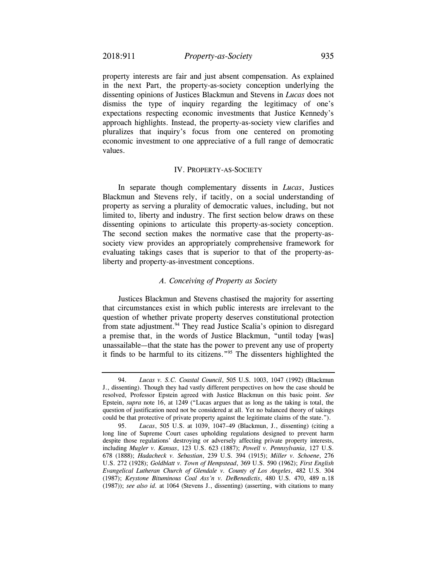property interests are fair and just absent compensation. As explained in the next Part, the property-as-society conception underlying the dissenting opinions of Justices Blackmun and Stevens in *Lucas* does not dismiss the type of inquiry regarding the legitimacy of one's expectations respecting economic investments that Justice Kennedy's approach highlights. Instead, the property-as-society view clarifies and pluralizes that inquiry's focus from one centered on promoting economic investment to one appreciative of a full range of democratic values.

#### IV. PROPERTY-AS-SOCIETY

In separate though complementary dissents in *Lucas*, Justices Blackmun and Stevens rely, if tacitly, on a social understanding of property as serving a plurality of democratic values, including, but not limited to, liberty and industry. The first section below draws on these dissenting opinions to articulate this property-as-society conception. The second section makes the normative case that the property-associety view provides an appropriately comprehensive framework for evaluating takings cases that is superior to that of the property-asliberty and property-as-investment conceptions.

### *A. Conceiving of Property as Society*

Justices Blackmun and Stevens chastised the majority for asserting that circumstances exist in which public interests are irrelevant to the question of whether private property deserves constitutional protection from state adjustment.<sup>94</sup> They read Justice Scalia's opinion to disregard a premise that, in the words of Justice Blackmun, "until today [was] unassailable—that the state has the power to prevent any use of property it finds to be harmful to its citizens."95 The dissenters highlighted the

<sup>94.</sup> *Lucas v. S.C. Coastal Council*, 505 U.S. 1003, 1047 (1992) (Blackmun J., dissenting). Though they had vastly different perspectives on how the case should be resolved, Professor Epstein agreed with Justice Blackmun on this basic point. *See*  Epstein, *supra* note 16, at 1249 ("Lucas argues that as long as the taking is total, the question of justification need not be considered at all. Yet no balanced theory of takings could be that protective of private property against the legitimate claims of the state.").

<sup>95.</sup> *Lucas*, 505 U.S. at 1039, 1047–49 (Blackmun, J., dissenting) (citing a long line of Supreme Court cases upholding regulations designed to prevent harm despite those regulations' destroying or adversely affecting private property interests, including *Mugler v. Kansas*, 123 U.S. 623 (1887); *Powell v. Pennsylvania*, 127 U.S. 678 (1888); *Hadacheck v. Sebastian*, 239 U.S. 394 (1915); *Miller v. Schoene*, 276 U.S. 272 (1928); *Goldblatt v. Town of Hempstead*, 369 U.S. 590 (1962); *First English Evangelical Lutheran Church of Glendale v. County of Los Angeles*, 482 U.S. 304 (1987); *Keystone Bituminous Coal Ass'n v. DeBenedictis*, 480 U.S. 470, 489 n.18 (1987)); *see also id.* at 1064 (Stevens J., dissenting) (asserting, with citations to many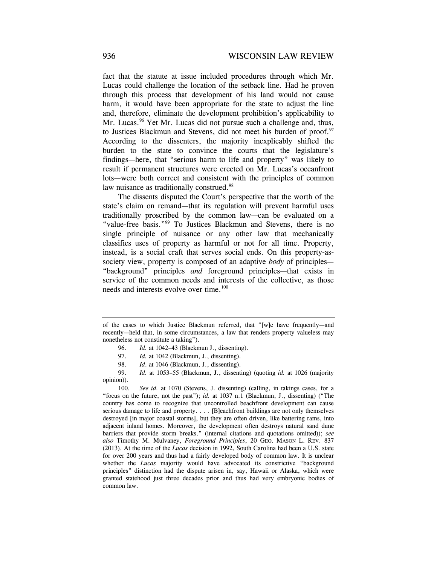fact that the statute at issue included procedures through which Mr. Lucas could challenge the location of the setback line. Had he proven through this process that development of his land would not cause harm, it would have been appropriate for the state to adjust the line and, therefore, eliminate the development prohibition's applicability to Mr. Lucas.<sup>96</sup> Yet Mr. Lucas did not pursue such a challenge and, thus, to Justices Blackmun and Stevens, did not meet his burden of proof.<sup>97</sup> According to the dissenters, the majority inexplicably shifted the burden to the state to convince the courts that the legislature's findings—here, that "serious harm to life and property" was likely to result if permanent structures were erected on Mr. Lucas's oceanfront lots—were both correct and consistent with the principles of common law nuisance as traditionally construed.<sup>98</sup>

The dissents disputed the Court's perspective that the worth of the state's claim on remand—that its regulation will prevent harmful uses traditionally proscribed by the common law—can be evaluated on a "value-free basis."<sup>99</sup> To Justices Blackmun and Stevens, there is no single principle of nuisance or any other law that mechanically classifies uses of property as harmful or not for all time. Property, instead, is a social craft that serves social ends. On this property-associety view, property is composed of an adaptive *body* of principles— "background" principles *and* foreground principles—that exists in service of the common needs and interests of the collective, as those needs and interests evolve over time.<sup>100</sup>

of the cases to which Justice Blackmun referred, that "[w]e have frequently—and recently—held that, in some circumstances, a law that renders property valueless may nonetheless not constitute a taking").

<sup>96.</sup> *Id.* at 1042–43 (Blackmun J., dissenting).

<sup>97.</sup> *Id.* at 1042 (Blackmun, J., dissenting).

<sup>98.</sup> *Id*. at 1046 (Blackmun, J., dissenting).

<sup>99.</sup> *Id.* at 1053–55 (Blackmun, J., dissenting) (quoting *id.* at 1026 (majority opinion)).

 <sup>100.</sup> *See id.* at 1070 (Stevens, J. dissenting) (calling, in takings cases, for a "focus on the future, not the past"); *id.* at 1037 n.1 (Blackmun, J., dissenting) ("The country has come to recognize that uncontrolled beachfront development can cause serious damage to life and property. . . . [B]eachfront buildings are not only themselves destroyed [in major coastal storms], but they are often driven, like battering rams, into adjacent inland homes. Moreover, the development often destroys natural sand dune barriers that provide storm breaks." (internal citations and quotations omitted)); *see also* Timothy M. Mulvaney, *Foreground Principles*, 20 GEO. MASON L. REV. 837 (2013). At the time of the *Lucas* decision in 1992, South Carolina had been a U.S. state for over 200 years and thus had a fairly developed body of common law. It is unclear whether the *Lucas* majority would have advocated its constrictive "background" principles" distinction had the dispute arisen in, say, Hawaii or Alaska, which were granted statehood just three decades prior and thus had very embryonic bodies of common law.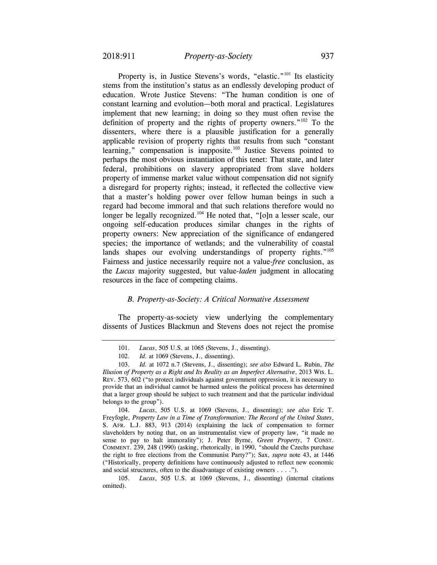that a master's holding power over fellow human beings in such a Property is, in Justice Stevens's words, "elastic."<sup>101</sup> Its elasticity stems from the institution's status as an endlessly developing product of education. Wrote Justice Stevens: "The human condition is one of constant learning and evolution—both moral and practical. Legislatures implement that new learning; in doing so they must often revise the definition of property and the rights of property owners." $102$  To the dissenters, where there is a plausible justification for a generally applicable revision of property rights that results from such "constant learning," compensation is inapposite. $103$  Justice Stevens pointed to perhaps the most obvious instantiation of this tenet: That state, and later federal, prohibitions on slavery appropriated from slave holders property of immense market value without compensation did not signify a disregard for property rights; instead, it reflected the collective view regard had become immoral and that such relations therefore would no longer be legally recognized.<sup>104</sup> He noted that, "[o]n a lesser scale, our ongoing self-education produces similar changes in the rights of property owners: New appreciation of the significance of endangered species; the importance of wetlands; and the vulnerability of coastal lands shapes our evolving understandings of property rights."<sup>105</sup> Fairness and justice necessarily require not a value-*free* conclusion, as the *Lucas* majority suggested, but value-*laden* judgment in allocating resources in the face of competing claims.

#### *B. Property-as-Society: A Critical Normative Assessment*

The property-as-society view underlying the complementary dissents of Justices Blackmun and Stevens does not reject the promise

104. *Lucas*, 505 U.S. at 1069 (Stevens, J., dissenting); *see also* Eric T. Freyfogle, *Property Law in a Time of Transformation: The Record of the United States*, S. AFR. L.J. 883, 913 (2014) (explaining the lack of compensation to former slaveholders by noting that, on an instrumentalist view of property law, "it made no sense to pay to halt immorality"); J. Peter Byrne, *Green Property*, 7 CONST. COMMENT. 239, 248 (1990) (asking, rhetorically, in 1990, "should the Czechs purchase the right to free elections from the Communist Party?"); Sax, *supra* note 43, at 1446 ("Historically, property definitions have continuously adjusted to reflect new economic and social structures, often to the disadvantage of existing owners . . . .").

105. *Lucas*, 505 U.S. at 1069 (Stevens, J., dissenting) (internal citations omitted).

<sup>101.</sup> *Lucas*, 505 U.S. at 1065 (Stevens, J., dissenting).

 <sup>102.</sup> *Id.* at 1069 (Stevens, J., dissenting).

 *Illusion of Property as a Right and Its Reality as an Imperfect Alternative*, 2013 WIS. L. 103. *Id.* at 1072 n.7 (Stevens, J., dissenting); *see also* Edward L. Rubin, *The*  REV. 573, 602 ("to protect individuals against government oppression, it is necessary to provide that an individual cannot be harmed unless the political process has determined that a larger group should be subject to such treatment and that the particular individual belongs to the group").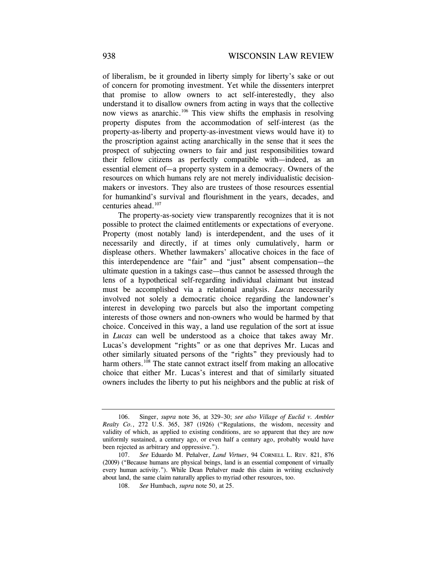of liberalism, be it grounded in liberty simply for liberty's sake or out of concern for promoting investment. Yet while the dissenters interpret that promise to allow owners to act self-interestedly, they also understand it to disallow owners from acting in ways that the collective now views as anarchic.106 This view shifts the emphasis in resolving property disputes from the accommodation of self-interest (as the property-as-liberty and property-as-investment views would have it) to the proscription against acting anarchically in the sense that it sees the prospect of subjecting owners to fair and just responsibilities toward their fellow citizens as perfectly compatible with—indeed, as an essential element of—a property system in a democracy. Owners of the resources on which humans rely are not merely individualistic decisionmakers or investors. They also are trustees of those resources essential for humankind's survival and flourishment in the years, decades, and centuries ahead.<sup>107</sup>

The property-as-society view transparently recognizes that it is not possible to protect the claimed entitlements or expectations of everyone. Property (most notably land) is interdependent, and the uses of it necessarily and directly, if at times only cumulatively, harm or displease others. Whether lawmakers' allocative choices in the face of this interdependence are "fair" and "just" absent compensation—the ultimate question in a takings case—thus cannot be assessed through the lens of a hypothetical self-regarding individual claimant but instead must be accomplished via a relational analysis. *Lucas* necessarily involved not solely a democratic choice regarding the landowner's interest in developing two parcels but also the important competing interests of those owners and non-owners who would be harmed by that choice. Conceived in this way, a land use regulation of the sort at issue in *Lucas* can well be understood as a choice that takes away Mr. Lucas's development "rights" or as one that deprives Mr. Lucas and other similarly situated persons of the "rights" they previously had to harm others.<sup>108</sup> The state cannot extract itself from making an allocative choice that either Mr. Lucas's interest and that of similarly situated owners includes the liberty to put his neighbors and the public at risk of

<sup>106.</sup> Singer, *supra* note 36, at 329–30; *see also Village of Euclid v. Ambler Realty Co.*, 272 U.S. 365, 387 (1926) ("Regulations, the wisdom, necessity and validity of which, as applied to existing conditions, are so apparent that they are now uniformly sustained, a century ago, or even half a century ago, probably would have been rejected as arbitrary and oppressive.").

 <sup>107.</sup> *See* Eduardo M. Peñalver, *Land Virtues*, 94 CORNELL L. REV. 821, 876 (2009) ("Because humans are physical beings, land is an essential component of virtually every human activity."). While Dean Peñalver made this claim in writing exclusively about land, the same claim naturally applies to myriad other resources, too.

 <sup>108.</sup> *See* Humbach, *supra* note 50, at 25.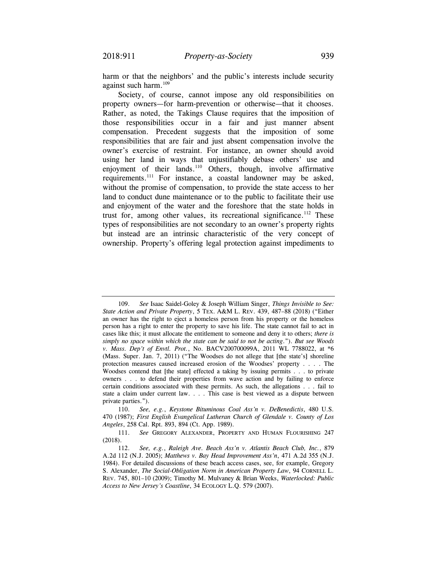harm or that the neighbors' and the public's interests include security against such harm.<sup>109</sup>

Society, of course, cannot impose any old responsibilities on property owners—for harm-prevention or otherwise—that it chooses. Rather, as noted, the Takings Clause requires that the imposition of those responsibilities occur in a fair and just manner absent compensation. Precedent suggests that the imposition of some responsibilities that are fair and just absent compensation involve the owner's exercise of restraint. For instance, an owner should avoid using her land in ways that unjustifiably debase others' use and enjoyment of their lands. $110$  Others, though, involve affirmative requirements.111 For instance, a coastal landowner may be asked, without the promise of compensation, to provide the state access to her land to conduct dune maintenance or to the public to facilitate their use and enjoyment of the water and the foreshore that the state holds in trust for, among other values, its recreational significance.<sup>112</sup> These types of responsibilities are not secondary to an owner's property rights but instead are an intrinsic characteristic of the very concept of ownership. Property's offering legal protection against impediments to

 *State Action and Private Property*, 5 TEX. A&M L. REV. 439, 487–88 (2018) ("Either 109. *See* Isaac Saidel-Goley & Joseph William Singer, *Things Invisible to See:*  an owner has the right to eject a homeless person from his property or the homeless person has a right to enter the property to save his life. The state cannot fail to act in cases like this; it must allocate the entitlement to someone and deny it to others; *there is simply no space within which the state can be said to not be acting*."). *But see Woods v. Mass. Dep't of Envtl. Prot.*, No. BACV200700099A, 2011 WL 7788022, at \*6 (Mass. Super. Jan. 7, 2011) ("The Woodses do not allege that [the state's] shoreline protection measures caused increased erosion of the Woodses' property . . . . The Woodses contend that [the state] effected a taking by issuing permits . . . to private owners . . . to defend their properties from wave action and by failing to enforce certain conditions associated with these permits. As such, the allegations . . . fail to state a claim under current law. . . . This case is best viewed as a dispute between private parties.").

<sup>110.</sup> *See, e.g.*, *Keystone Bituminous Coal Ass'n v. DeBenedictis*, 480 U.S. 470 (1987); *First English Evangelical Lutheran Church of Glendale v. County of Los Angeles*, 258 Cal. Rpt. 893, 894 (Ct. App. 1989).

<sup>111.</sup> *See* GREGORY ALEXANDER, PROPERTY AND HUMAN FLOURISHING 247 (2018).

 <sup>112.</sup> *See, e.g.*, *Raleigh Ave. Beach Ass'n v. Atlantis Beach Club, Inc.*, 879 A.2d 112 (N.J. 2005); *Matthews v. Bay Head Improvement Ass'n*, 471 A.2d 355 (N.J. 1984). For detailed discussions of these beach access cases, see, for example, Gregory S. Alexander, *The Social-Obligation Norm in American Property Law*, 94 CORNELL L. REV. 745, 801–10 (2009); Timothy M. Mulvaney & Brian Weeks, *Waterlocked: Public Access to New Jersey's Coastline*, 34 ECOLOGY L.Q. 579 (2007).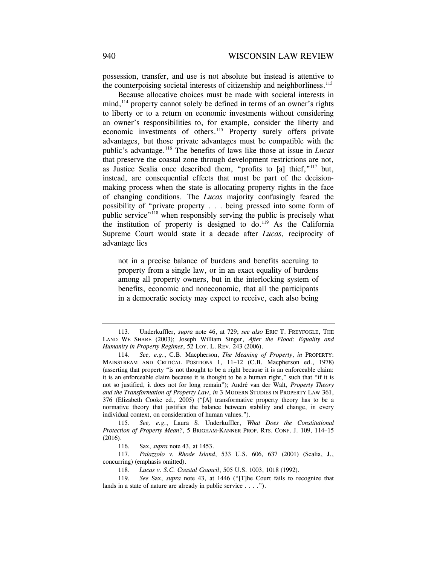possession, transfer, and use is not absolute but instead is attentive to the counterpoising societal interests of citizenship and neighborliness.<sup>113</sup>

Because allocative choices must be made with societal interests in  $mind<sup>114</sup>$  property cannot solely be defined in terms of an owner's rights to liberty or to a return on economic investments without considering an owner's responsibilities to, for example, consider the liberty and economic investments of others.<sup>115</sup> Property surely offers private advantages, but those private advantages must be compatible with the public's advantage.116 The benefits of laws like those at issue in *Lucas*  that preserve the coastal zone through development restrictions are not, as Justice Scalia once described them, "profits to [a] thief,"117 but, instead, are consequential effects that must be part of the decisionmaking process when the state is allocating property rights in the face of changing conditions. The *Lucas* majority confusingly feared the possibility of "private property . . . being pressed into some form of public service"<sup>118</sup> when responsibly serving the public is precisely what the institution of property is designed to  $\phi$ .<sup>119</sup> As the California Supreme Court would state it a decade after *Lucas*, reciprocity of advantage lies

not in a precise balance of burdens and benefits accruing to property from a single law, or in an exact equality of burdens among all property owners, but in the interlocking system of benefits, economic and noneconomic, that all the participants in a democratic society may expect to receive, each also being

 *Humanity in Property Regimes*, 52 LOY. L. REV. 243 (2006). 113. Underkuffler, *supra* note 46, at 729; *see also* ERIC T. FREYFOGLE, THE LAND WE SHARE (2003); Joseph William Singer, *After the Flood: Equality and* 

 114. *See, e.g.*, C.B. Macpherson, *The Meaning of Property*, *in* PROPERTY:  MAINSTREAM AND CRITICAL POSITIONS 1, 11–12 (C.B. Macpherson ed., 1978) (asserting that property "is not thought to be a right because it is an enforceable claim: it is an enforceable claim because it is thought to be a human right," such that "if it is not so justified, it does not for long remain"); André van der Walt, *Property Theory and the Transformation of Property Law*, *in* 3 MODERN STUDIES IN PROPERTY LAW 361, 376 (Elizabeth Cooke ed., 2005) ("[A] transformative property theory has to be a normative theory that justifies the balance between stability and change, in every individual context, on consideration of human values.").

 *Protection of Property Mean?*, 5 BRIGHAM-KANNER PROP. RTS. CONF. J. 109, 114–15 115. *See, e.g.*, Laura S. Underkuffler, *What Does the Constitutional*  (2016).

 <sup>116.</sup> Sax, *supra* note 43, at 1453.

 <sup>117.</sup> *Palazzolo v. Rhode Island*, 533 U.S. 606, 637 (2001) (Scalia, J., concurring) (emphasis omitted).

<sup>118.</sup> *Lucas v. S.C. Coastal Council*, 505 U.S. 1003, 1018 (1992).

 <sup>119.</sup> *See* Sax, *supra* note 43, at 1446 ("[T]he Court fails to recognize that lands in a state of nature are already in public service . . . .").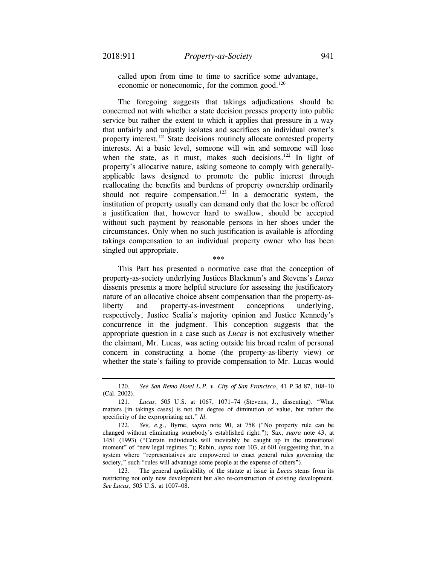called upon from time to time to sacrifice some advantage, economic or noneconomic, for the common good. $120$ 

The foregoing suggests that takings adjudications should be concerned not with whether a state decision presses property into public service but rather the extent to which it applies that pressure in a way that unfairly and unjustly isolates and sacrifices an individual owner's property interest.121 State decisions routinely allocate contested property interests. At a basic level, someone will win and someone will lose when the state, as it must, makes such decisions. $122$  In light of property's allocative nature, asking someone to comply with generallyapplicable laws designed to promote the public interest through reallocating the benefits and burdens of property ownership ordinarily should not require compensation.<sup>123</sup> In a democratic system, the institution of property usually can demand only that the loser be offered a justification that, however hard to swallow, should be accepted without such payment by reasonable persons in her shoes under the circumstances. Only when no such justification is available is affording takings compensation to an individual property owner who has been singled out appropriate.

\*\*\*

This Part has presented a normative case that the conception of property-as-society underlying Justices Blackmun's and Stevens's *Lucas*  dissents presents a more helpful structure for assessing the justificatory nature of an allocative choice absent compensation than the property-asliberty and property-as-investment conceptions underlying, respectively, Justice Scalia's majority opinion and Justice Kennedy's concurrence in the judgment. This conception suggests that the appropriate question in a case such as *Lucas* is not exclusively whether the claimant, Mr. Lucas, was acting outside his broad realm of personal concern in constructing a home (the property-as-liberty view) or whether the state's failing to provide compensation to Mr. Lucas would

<sup>120.</sup> *See San Remo Hotel L.P. v. City of San Francisco*, 41 P.3d 87, 108–10 (Cal. 2002).

 <sup>121.</sup> *Lucas*, 505 U.S. at 1067, 1071–74 (Stevens, J., dissenting). "What matters [in takings cases] is not the degree of diminution of value, but rather the specificity of the expropriating act." *Id.*

 <sup>122.</sup> *See, e.g.*, Byrne, *supra* note 90, at 758 ("No property rule can be changed without eliminating somebody's established right."); Sax, *supra* note 43, at 1451 (1993) ("Certain individuals will inevitably be caught up in the transitional moment" of "new legal regimes."); Rubin, *supra* note 103, at 601 (suggesting that, in a system where "representatives are empowered to enact general rules governing the society," such "rules will advantage some people at the expense of others").

<sup>123.</sup> The general applicability of the statute at issue in *Lucas* stems from its restricting not only new development but also re-construction of existing development. *See Lucas*, 505 U.S. at 1007–08.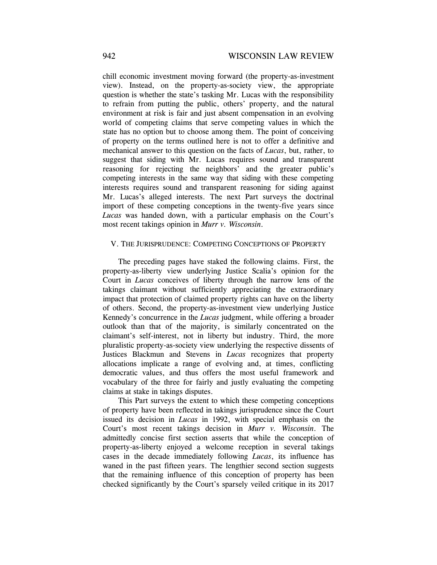chill economic investment moving forward (the property-as-investment view). Instead, on the property-as-society view, the appropriate question is whether the state's tasking Mr. Lucas with the responsibility to refrain from putting the public, others' property, and the natural environment at risk is fair and just absent compensation in an evolving world of competing claims that serve competing values in which the state has no option but to choose among them. The point of conceiving of property on the terms outlined here is not to offer a definitive and mechanical answer to this question on the facts of *Lucas*, but, rather, to suggest that siding with Mr. Lucas requires sound and transparent reasoning for rejecting the neighbors' and the greater public's competing interests in the same way that siding with these competing interests requires sound and transparent reasoning for siding against Mr. Lucas's alleged interests. The next Part surveys the doctrinal import of these competing conceptions in the twenty-five years since *Lucas* was handed down, with a particular emphasis on the Court's most recent takings opinion in *Murr v. Wisconsin*.

### V. THE JURISPRUDENCE: COMPETING CONCEPTIONS OF PROPERTY

The preceding pages have staked the following claims. First, the property-as-liberty view underlying Justice Scalia's opinion for the Court in *Lucas* conceives of liberty through the narrow lens of the takings claimant without sufficiently appreciating the extraordinary impact that protection of claimed property rights can have on the liberty of others. Second, the property-as-investment view underlying Justice Kennedy's concurrence in the *Lucas* judgment, while offering a broader outlook than that of the majority, is similarly concentrated on the claimant's self-interest, not in liberty but industry. Third, the more pluralistic property-as-society view underlying the respective dissents of Justices Blackmun and Stevens in *Lucas* recognizes that property allocations implicate a range of evolving and, at times, conflicting democratic values, and thus offers the most useful framework and vocabulary of the three for fairly and justly evaluating the competing claims at stake in takings disputes.

This Part surveys the extent to which these competing conceptions of property have been reflected in takings jurisprudence since the Court issued its decision in *Lucas* in 1992, with special emphasis on the Court's most recent takings decision in *Murr v. Wisconsin*. The admittedly concise first section asserts that while the conception of property-as-liberty enjoyed a welcome reception in several takings cases in the decade immediately following *Lucas*, its influence has waned in the past fifteen years. The lengthier second section suggests that the remaining influence of this conception of property has been checked significantly by the Court's sparsely veiled critique in its 2017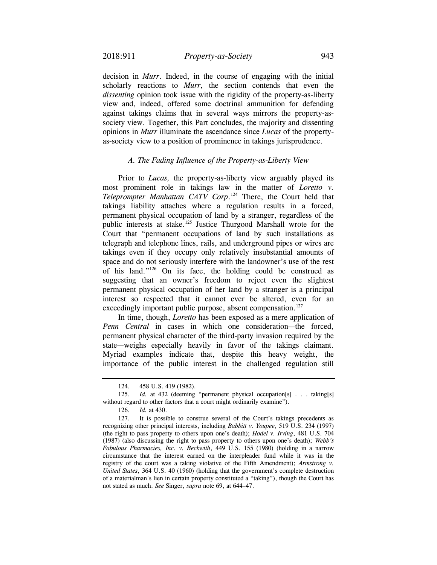decision in *Murr*. Indeed, in the course of engaging with the initial scholarly reactions to *Murr*, the section contends that even the *dissenting* opinion took issue with the rigidity of the property-as-liberty view and, indeed, offered some doctrinal ammunition for defending against takings claims that in several ways mirrors the property-associety view. Together, this Part concludes, the majority and dissenting opinions in *Murr* illuminate the ascendance since *Lucas* of the propertyas-society view to a position of prominence in takings jurisprudence.

# *A. The Fading Influence of the Property-as-Liberty View*

 Prior to *Lucas,* the property-as-liberty view arguably played its most prominent role in takings law in the matter of *Loretto v. Teleprompter Manhattan CATV Corp*. 124 There, the Court held that takings liability attaches where a regulation results in a forced, permanent physical occupation of land by a stranger, regardless of the public interests at stake.<sup>125</sup> Justice Thurgood Marshall wrote for the Court that "permanent occupations of land by such installations as telegraph and telephone lines, rails, and underground pipes or wires are takings even if they occupy only relatively insubstantial amounts of space and do not seriously interfere with the landowner's use of the rest of his land."126 On its face, the holding could be construed as suggesting that an owner's freedom to reject even the slightest permanent physical occupation of her land by a stranger is a principal interest so respected that it cannot ever be altered, even for an exceedingly important public purpose, absent compensation.<sup>127</sup>

 permanent physical character of the third-party invasion required by the In time, though, *Loretto* has been exposed as a mere application of *Penn Central* in cases in which one consideration—the forced, state—weighs especially heavily in favor of the takings claimant. Myriad examples indicate that, despite this heavy weight, the importance of the public interest in the challenged regulation still

126. *Id.* at 430.

<sup>124. 458</sup> U.S. 419 (1982).

<sup>125.</sup> *Id.* at 432 (deeming "permanent physical occupation[s] . . . taking[s] without regard to other factors that a court might ordinarily examine").

<sup>127.</sup> It is possible to construe several of the Court's takings precedents as recognizing other principal interests, including *Babbitt v. Youpee*, 519 U.S. 234 (1997) (the right to pass property to others upon one's death); *Hodel v. Irving*, 481 U.S. 704 (1987) (also discussing the right to pass property to others upon one's death); *Webb's Fabulous Pharmacies, Inc. v. Beckwith*, 449 U.S. 155 (1980) (holding in a narrow circumstance that the interest earned on the interpleader fund while it was in the registry of the court was a taking violative of the Fifth Amendment); *Armstrong v. United States*, 364 U.S. 40 (1960) (holding that the government's complete destruction of a materialman's lien in certain property constituted a "taking"), though the Court has not stated as much. *See* Singer, *supra* note 69, at 644–47.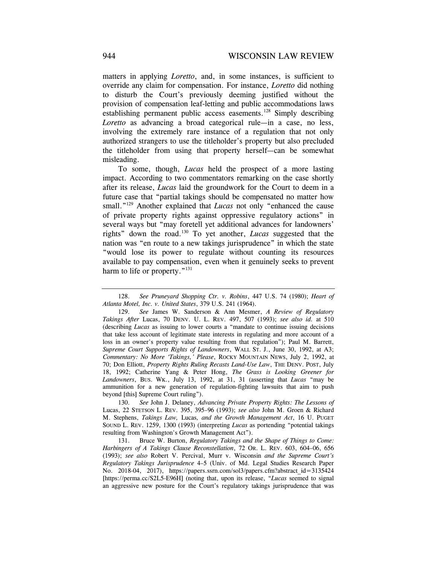matters in applying *Loretto*, and, in some instances, is sufficient to override any claim for compensation. For instance, *Loretto* did nothing to disturb the Court's previously deeming justified without the provision of compensation leaf-letting and public accommodations laws establishing permanent public access easements.<sup>128</sup> Simply describing *Loretto* as advancing a broad categorical rule—in a case, no less, involving the extremely rare instance of a regulation that not only authorized strangers to use the titleholder's property but also precluded the titleholder from using that property herself—can be somewhat misleading.

To some, though, *Lucas* held the prospect of a more lasting impact. According to two commentators remarking on the case shortly after its release, *Lucas* laid the groundwork for the Court to deem in a future case that "partial takings should be compensated no matter how small."<sup>129</sup> Another explained that *Lucas* not only "enhanced the cause of private property rights against oppressive regulatory actions" in several ways but "may foretell yet additional advances for landowners' rights" down the road.130 To yet another, *Lucas* suggested that the nation was "en route to a new takings jurisprudence" in which the state "would lose its power to regulate without counting its resources available to pay compensation, even when it genuinely seeks to prevent harm to life or property."<sup>131</sup>

130. *See* John J. Delaney, *Advancing Private Property Rights: The Lessons of*  Lucas, 22 STETSON L. REV. 395, 395–96 (1993); *see also* John M. Groen & Richard M. Stephens, *Takings Law,* Lucas*, and the Growth Management Act*, 16 U. PUGET SOUND L. REV. 1259, 1300 (1993) (interpreting *Lucas* as portending "potential takings resulting from Washington's Growth Management Act").

 *Harbingers of A Takings Clause Reconstellation*, 72 OR. L. REV. 603, 604–06, 656 131. Bruce W. Burton, *Regulatory Takings and the Shape of Things to Come:*  (1993); *see also* Robert V. Percival, Murr v. Wisconsin *and the Supreme Court's Regulatory Takings Jurisprudence* 4–5 (Univ. of Md. Legal Studies Research Paper No. 2018-04, 2017), [https://papers.ssrn.com/sol3/papers.cfm?abstract\\_id=3135424](https://papers.ssrn.com/sol3/papers.cfm?abstract_id=3135424) [[https://perma.cc/S2L5-E96H\]](https://perma.cc/S2L5-E96H) (noting that, upon its release, "*Lucas* seemed to signal an aggressive new posture for the Court's regulatory takings jurisprudence that was

<sup>128.</sup> *See Pruneyard Shopping Ctr. v. Robins*, 447 U.S. 74 (1980); *Heart of Atlanta Motel, Inc. v. United States*, 379 U.S. 241 (1964).

 *Takings After* Lucas, 70 DENV. U. L. REV. 497, 507 (1993); *see also id.* at 510 129. *See* James W. Sanderson & Ann Mesmer, *A Review of Regulatory*  (describing *Lucas* as issuing to lower courts a "mandate to continue issuing decisions that take less account of legitimate state interests in regulating and more account of a loss in an owner's property value resulting from that regulation"); Paul M. Barrett, *Supreme Court Supports Rights of Landowners*, WALL ST. J., June 30, 1992, at A3; *Commentary: No More 'Takings,' Please*, ROCKY MOUNTAIN NEWS, July 2, 1992, at 70; Don Elliott, *Property Rights Ruling Recasts Land-Use Law*, THE DENV. POST, July 18, 1992; Catherine Yang & Peter Hong, *The Grass is Looking Greener for Landowners*, BUS. WK., July 13, 1992, at 31, 31 (asserting that *Lucas* "may be ammunition for a new generation of regulation-fighting lawsuits that aim to push beyond [this] Supreme Court ruling").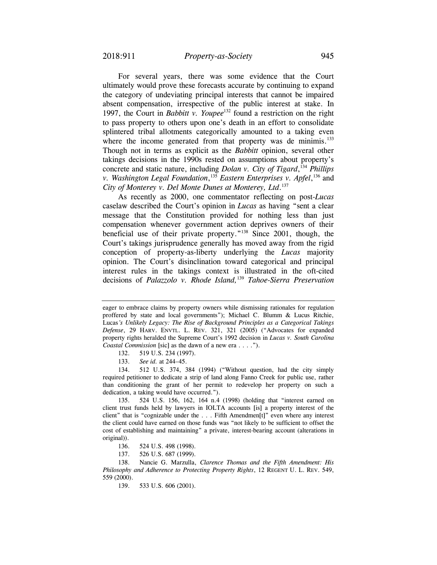For several years, there was some evidence that the Court ultimately would prove these forecasts accurate by continuing to expand the category of undeviating principal interests that cannot be impaired absent compensation, irrespective of the public interest at stake. In 1997, the Court in *Babbitt v. Youpee*<sup>132</sup> found a restriction on the right to pass property to others upon one's death in an effort to consolidate splintered tribal allotments categorically amounted to a taking even where the income generated from that property was de minimis.<sup>133</sup> Though not in terms as explicit as the *Babbitt* opinion, several other takings decisions in the 1990s rested on assumptions about property's concrete and static nature, including *Dolan v. City of Tigard*, <sup>134</sup>*Phillips v. Washington Legal Foundation*, <sup>135</sup>*Eastern Enterprises v. Apfel*, 136 and *City of Monterey v. Del Monte Dunes at Monterey, Ltd*. 137

As recently as 2000, one commentator reflecting on post-*Lucas*  caselaw described the Court's opinion in *Lucas* as having "sent a clear message that the Constitution provided for nothing less than just compensation whenever government action deprives owners of their beneficial use of their private property."<sup>138</sup> Since 2001, though, the Court's takings jurisprudence generally has moved away from the rigid conception of property-as-liberty underlying the *Lucas* majority opinion. The Court's disinclination toward categorical and principal interest rules in the takings context is illustrated in the oft-cited decisions of *Palazzolo v. Rhode Island,*<sup>139</sup> *Tahoe-Sierra Preservation* 

134. 512 U.S. 374, 384 (1994) ("Without question, had the city simply required petitioner to dedicate a strip of land along Fanno Creek for public use, rather than conditioning the grant of her permit to redevelop her property on such a dedication, a taking would have occurred.").

135. 524 U.S. 156, 162, 164 n.4 (1998) (holding that "interest earned on client trust funds held by lawyers in IOLTA accounts [is] a property interest of the client" that is "cognizable under the . . . Fifth Amendmen[t]" even where any interest the client could have earned on those funds was "not likely to be sufficient to offset the cost of establishing and maintaining" a private, interest-bearing account (alterations in original)).

136. 524 U.S. 498 (1998).

137. 526 U.S. 687 (1999).

 *Philosophy and Adherence to Protecting Property Rights*, 12 REGENT U. L. REV. 549, 138. Nancie G. Marzulla, *Clarence Thomas and the Fifth Amendment: His*  559 (2000).

139. 533 U.S. 606 (2001).

 *Defense*, 29 HARV. ENVTL. L. REV. 321, 321 (2005) ("Advocates for expanded eager to embrace claims by property owners while dismissing rationales for regulation proffered by state and local governments"); Michael C. Blumm & Lucus Ritchie, Lucas*'s Unlikely Legacy: The Rise of Background Principles as a Categorical Takings*  property rights heralded the Supreme Court's 1992 decision in *Lucas v. South Carolina Coastal Commission* [sic] as the dawn of a new era . . . .").

<sup>132. 519</sup> U.S. 234 (1997).

 <sup>133.</sup> *See id.* at 244–45.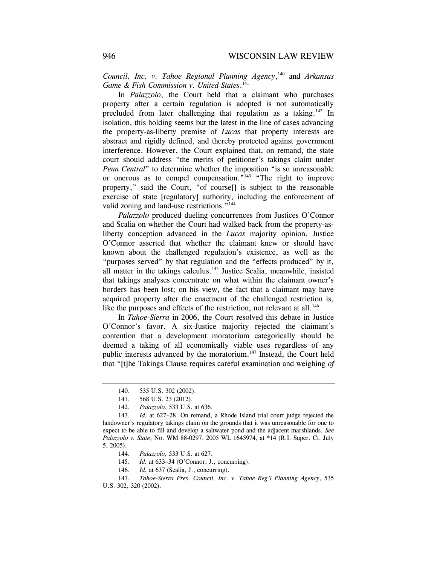*Council, Inc. v. Tahoe Regional Planning Agency*, 140 and *Arkansas Game & Fish Commission v. United States*. 141

In *Palazzolo*, the Court held that a claimant who purchases property after a certain regulation is adopted is not automatically precluded from later challenging that regulation as a taking.<sup>142</sup> In isolation, this holding seems but the latest in the line of cases advancing the property-as-liberty premise of *Lucas* that property interests are abstract and rigidly defined, and thereby protected against government interference. However, the Court explained that, on remand, the state court should address "the merits of petitioner's takings claim under *Penn Central*" to determine whether the imposition "is so unreasonable or onerous as to compel compensation."143 "The right to improve property," said the Court, "of course[] is subject to the reasonable exercise of state [regulatory] authority, including the enforcement of valid zoning and land-use restrictions."<sup>144</sup>

*Palazzolo* produced dueling concurrences from Justices O'Connor and Scalia on whether the Court had walked back from the property-asliberty conception advanced in the *Lucas* majority opinion. Justice O'Connor asserted that whether the claimant knew or should have known about the challenged regulation's existence, as well as the "purposes served" by that regulation and the "effects produced" by it, all matter in the takings calculus.<sup>145</sup> Justice Scalia, meanwhile, insisted that takings analyses concentrate on what within the claimant owner's borders has been lost; on his view, the fact that a claimant may have acquired property after the enactment of the challenged restriction is, like the purposes and effects of the restriction, not relevant at all.<sup>146</sup>

In *Tahoe-Sierra* in 2006, the Court resolved this debate in Justice O'Connor's favor. A six-Justice majority rejected the claimant's contention that a development moratorium categorically should be deemed a taking of all economically viable uses regardless of any public interests advanced by the moratorium.<sup>147</sup> Instead, the Court held that "[t]he Takings Clause requires careful examination and weighing *of* 

- 144. *Palazzolo*, 533 U.S. at 627.
- 145. *Id.* at 633–34 (O'Connor, J., concurring).
- 146. *Id.* at 637 (Scalia, J., concurring).

<sup>140. 535</sup> U.S. 302 (2002).

<sup>141. 568</sup> U.S. 23 (2012).

 <sup>142.</sup> *Palazzolo*, 533 U.S. at 636.

<sup>143.</sup> *Id.* at 627–28. On remand, a Rhode Island trial court judge rejected the landowner's regulatory takings claim on the grounds that it was unreasonable for one to expect to be able to fill and develop a saltwater pond and the adjacent marshlands. *See Palazzolo v. State*, No. WM 88-0297, 2005 WL 1645974, at \*14 (R.I. Super. Ct. July 5, 2005).

 <sup>147.</sup> *Tahoe-Sierra Pres. Council, Inc. v. Tahoe Reg'l Planning Agency*, 535 U.S. 302, 320 (2002).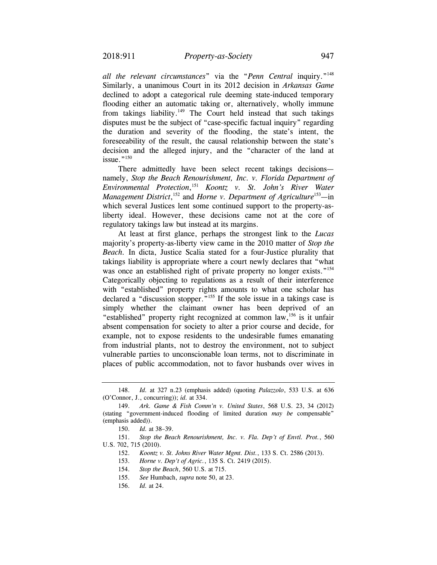*all the relevant circumstances*" via the "*Penn Central* inquiry."148 Similarly, a unanimous Court in its 2012 decision in *Arkansas Game*  declined to adopt a categorical rule deeming state-induced temporary flooding either an automatic taking or, alternatively, wholly immune from takings liability.<sup>149</sup> The Court held instead that such takings disputes must be the subject of "case-specific factual inquiry" regarding the duration and severity of the flooding, the state's intent, the foreseeability of the result, the causal relationship between the state's decision and the alleged injury, and the "character of the land at issue."<sup>150</sup>

There admittedly have been select recent takings decisions namely, *Stop the Beach Renourishment, Inc. v. Florida Department of Environmental Protection*, <sup>151</sup>*Koontz v. St. John's River Water Management District*,<sup>152</sup> and *Horne v. Department of Agriculture*<sup>153</sup>—in which several Justices lent some continued support to the property-asliberty ideal. However, these decisions came not at the core of regulatory takings law but instead at its margins.

At least at first glance, perhaps the strongest link to the *Lucas*  majority's property-as-liberty view came in the 2010 matter of *Stop the Beach.* In dicta, Justice Scalia stated for a four-Justice plurality that takings liability is appropriate where a court newly declares that "what was once an established right of private property no longer exists."<sup>154</sup> Categorically objecting to regulations as a result of their interference with "established" property rights amounts to what one scholar has declared a "discussion stopper."<sup>155</sup> If the sole issue in a takings case is simply whether the claimant owner has been deprived of an "established" property right recognized at common law,156 is it unfair absent compensation for society to alter a prior course and decide, for example, not to expose residents to the undesirable fumes emanating from industrial plants, not to destroy the environment, not to subject vulnerable parties to unconscionable loan terms, not to discriminate in places of public accommodation, not to favor husbands over wives in

 151. *Stop the Beach Renourishment, Inc. v. Fla. Dep't of Envtl. Prot.*, 560 U.S. 702, 715 (2010).

<sup>148.</sup> *Id.* at 327 n.23 (emphasis added) (quoting *Palazzolo*, 533 U.S. at 636 (O'Connor, J., concurring)); *id.* at 334.

<sup>149.</sup> *Ark. Game & Fish Comm'n v. United States*, 568 U.S. 23, 34 (2012) (stating "government-induced flooding of limited duration *may be* compensable" (emphasis added)).

 <sup>150.</sup> *Id.* at 38–39.

<sup>152.</sup> *Koontz v. St. Johns River Water Mgmt. Dist.*, 133 S. Ct. 2586 (2013).

 <sup>153.</sup> *Horne v. Dep't of Agric.*, 135 S. Ct. 2419 (2015).

 <sup>154.</sup> *Stop the Beach*, 560 U.S. at 715.

<sup>155.</sup> *See* Humbach, *supra* note 50, at 23.

<sup>156.</sup> *Id.* at 24.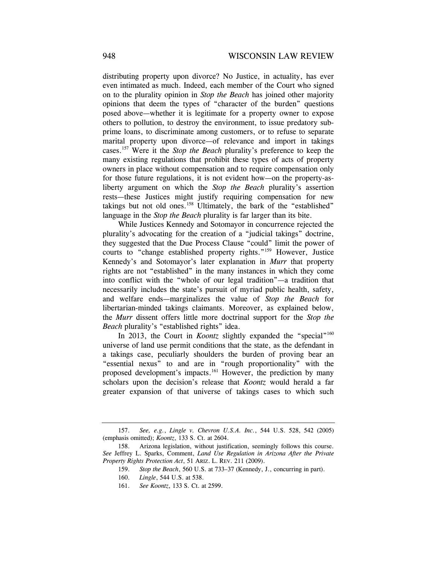distributing property upon divorce? No Justice, in actuality, has ever even intimated as much. Indeed, each member of the Court who signed on to the plurality opinion in *Stop the Beach* has joined other majority opinions that deem the types of "character of the burden" questions posed above—whether it is legitimate for a property owner to expose others to pollution, to destroy the environment, to issue predatory subprime loans, to discriminate among customers, or to refuse to separate marital property upon divorce—of relevance and import in takings cases.157 Were it the *Stop the Beach* plurality's preference to keep the many existing regulations that prohibit these types of acts of property owners in place without compensation and to require compensation only for those future regulations, it is not evident how—on the property-asliberty argument on which the *Stop the Beach* plurality's assertion rests—these Justices might justify requiring compensation for new takings but not old ones.158 Ultimately, the bark of the "established" language in the *Stop the Beach* plurality is far larger than its bite.

 libertarian-minded takings claimants. Moreover, as explained below, While Justices Kennedy and Sotomayor in concurrence rejected the plurality's advocating for the creation of a "judicial takings" doctrine, they suggested that the Due Process Clause "could" limit the power of courts to "change established property rights."159 However, Justice Kennedy's and Sotomayor's later explanation in *Murr* that property rights are not "established" in the many instances in which they come into conflict with the "whole of our legal tradition"—a tradition that necessarily includes the state's pursuit of myriad public health, safety, and welfare ends—marginalizes the value of *Stop the Beach* for the *Murr* dissent offers little more doctrinal support for the *Stop the Beach* plurality's "established rights" idea.

In 2013, the Court in *Koontz* slightly expanded the "special"<sup>160</sup> universe of land use permit conditions that the state, as the defendant in a takings case, peculiarly shoulders the burden of proving bear an "essential nexus" to and are in "rough proportionality" with the proposed development's impacts.161 However, the prediction by many scholars upon the decision's release that *Koontz* would herald a far greater expansion of that universe of takings cases to which such

<sup>157.</sup> *See, e.g.*, *Lingle v. Chevron U.S.A. Inc.*, 544 U.S. 528, 542 (2005) (emphasis omitted); *Koontz*, 133 S. Ct. at 2604.

<sup>158.</sup> Arizona legislation, without justification, seemingly follows this course. *See* Jeffrey L. Sparks, Comment, *Land Use Regulation in Arizona After the Private Property Rights Protection Act*, 51 ARIZ. L. REV. 211 (2009).

<sup>159.</sup> *Stop the Beach*, 560 U.S. at 733–37 (Kennedy, J., concurring in part).

<sup>160.</sup> *Lingle*, 544 U.S. at 538.

<sup>161.</sup> *See Koontz*, 133 S. Ct. at 2599.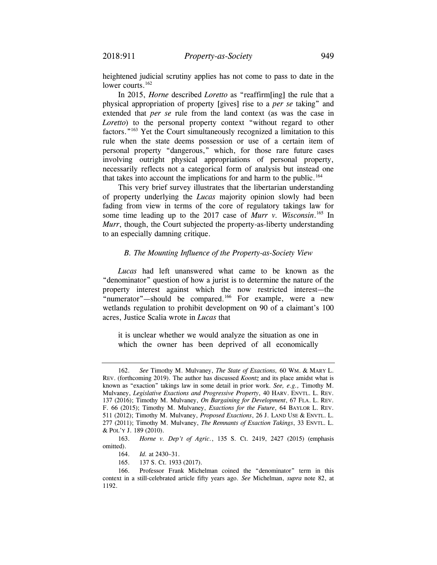heightened judicial scrutiny applies has not come to pass to date in the lower courts.<sup>162</sup>

In 2015, *Horne* described *Loretto* as "reaffirm[ing] the rule that a physical appropriation of property [gives] rise to a *per se* taking" and extended that *per se* rule from the land context (as was the case in *Loretto*) to the personal property context "without regard to other factors."163 Yet the Court simultaneously recognized a limitation to this rule when the state deems possession or use of a certain item of personal property "dangerous," which, for those rare future cases involving outright physical appropriations of personal property, necessarily reflects not a categorical form of analysis but instead one that takes into account the implications for and harm to the public.<sup>164</sup>

This very brief survey illustrates that the libertarian understanding of property underlying the *Lucas* majority opinion slowly had been fading from view in terms of the core of regulatory takings law for some time leading up to the 2017 case of *Murr v. Wisconsin*. 165 In *Murr*, though, the Court subjected the property-as-liberty understanding to an especially damning critique.

## *B. The Mounting Influence of the Property-as-Society View*

*Lucas* had left unanswered what came to be known as the "denominator" question of how a jurist is to determine the nature of the property interest against which the now restricted interest—the "numerator"—should be compared.<sup>166</sup> For example, were a new wetlands regulation to prohibit development on 90 of a claimant's 100 acres, Justice Scalia wrote in *Lucas* that

it is unclear whether we would analyze the situation as one in which the owner has been deprived of all economically

 162. *See* Timothy M. Mulvaney, *The State of Exactions,* 60 WM. & MARY L. Mulvaney, *Legislative Exactions and Progressive Property*, 40 HARV. ENVTL. L. REV. 137 (2016); Timothy M. Mulvaney, *On Bargaining for Development*, 67 FLA. L. REV. 511 (2012); Timothy M. Mulvaney, *Proposed Exactions*, 26 J. LAND USE & ENVTL. L. 277 (2011); Timothy M. Mulvaney, *The Remnants of Exaction Takings*, 33 ENVTL. L. REV. (forthcoming 2019). The author has discussed *Koontz* and its place amidst what is known as "exaction" takings law in some detail in prior work. *See, e.g.,* Timothy M. F. 66 (2015); Timothy M. Mulvaney, *Exactions for the Future*, 64 BAYLOR L. REV. & POL'Y J. 189 (2010).

<sup>163.</sup> *Horne v. Dep't of Agric.*, 135 S. Ct. 2419, 2427 (2015) (emphasis omitted).

<sup>164.</sup> *Id.* at 2430–31.

<sup>165. 137</sup> S. Ct. 1933 (2017).

<sup>166.</sup> Professor Frank Michelman coined the "denominator" term in this context in a still-celebrated article fifty years ago. *See* Michelman, *supra* note 82, at 1192.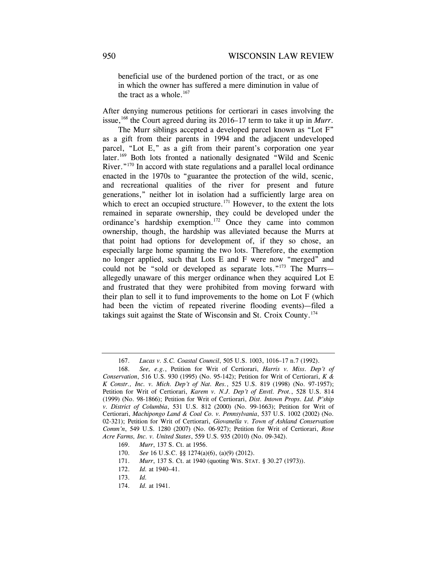beneficial use of the burdened portion of the tract, or as one in which the owner has suffered a mere diminution in value of the tract as a whole. $167$ 

After denying numerous petitions for certiorari in cases involving the issue,<sup>168</sup> the Court agreed during its 2016–17 term to take it up in *Murr*.

 allegedly unaware of this merger ordinance when they acquired Lot E The Murr siblings accepted a developed parcel known as "Lot F" as a gift from their parents in 1994 and the adjacent undeveloped parcel, "Lot E," as a gift from their parent's corporation one year later.<sup>169</sup> Both lots fronted a nationally designated "Wild and Scenic River."<sup>170</sup> In accord with state regulations and a parallel local ordinance enacted in the 1970s to "guarantee the protection of the wild, scenic, and recreational qualities of the river for present and future generations," neither lot in isolation had a sufficiently large area on which to erect an occupied structure.<sup>171</sup> However, to the extent the lots remained in separate ownership, they could be developed under the ordinance's hardship exemption.172 Once they came into common ownership, though, the hardship was alleviated because the Murrs at that point had options for development of, if they so chose, an especially large home spanning the two lots. Therefore, the exemption no longer applied, such that Lots E and F were now "merged" and could not be "sold or developed as separate lots."<sup>173</sup> The Murrs and frustrated that they were prohibited from moving forward with their plan to sell it to fund improvements to the home on Lot F (which had been the victim of repeated riverine flooding events)—filed a takings suit against the State of Wisconsin and St. Croix County.174

<sup>167.</sup> *Lucas v. S.C. Coastal Council*, 505 U.S. 1003, 1016–17 n.7 (1992).

<sup>168.</sup> *See, e.g.*, Petition for Writ of Certiorari, *Harris v. Miss. Dep't of Conservation*, 516 U.S. 930 (1995) (No. 95-142); Petition for Writ of Certiorari, *K & K Constr., Inc. v. Mich. Dep't of Nat. Res.*, 525 U.S. 819 (1998) (No. 97-1957); Petition for Writ of Certiorari, *Karem v. N.J. Dep't of Envtl. Prot.*, 528 U.S. 814 (1999) (No. 98-1866); Petition for Writ of Certiorari, *Dist. Intown Props. Ltd. P'ship v. District of Columbia*, 531 U.S. 812 (2000) (No. 99-1663); Petition for Writ of Certiorari, *Machipongo Land & Coal Co. v. Pennsylvania*, 537 U.S. 1002 (2002) (No. 02-321); Petition for Writ of Certiorari, *Giovanella v. Town of Ashland Conservation Comm'n*, 549 U.S. 1280 (2007) (No. 06-927); Petition for Writ of Certiorari, *Rose Acre Farms, Inc. v. United States*, 559 U.S. 935 (2010) (No. 09-342).

<sup>169.</sup> *Murr*, 137 S. Ct. at 1956.

 <sup>170.</sup> *See* 16 U.S.C. §§ 1274(a)(6), (a)(9) (2012).

 <sup>171.</sup> *Murr*, 137 S. Ct. at 1940 (quoting WIS. STAT. § 30.27 (1973)).

 <sup>172.</sup> *Id.* at 1940–41.

 <sup>173.</sup> *Id.*

 <sup>174.</sup> *Id.* at 1941.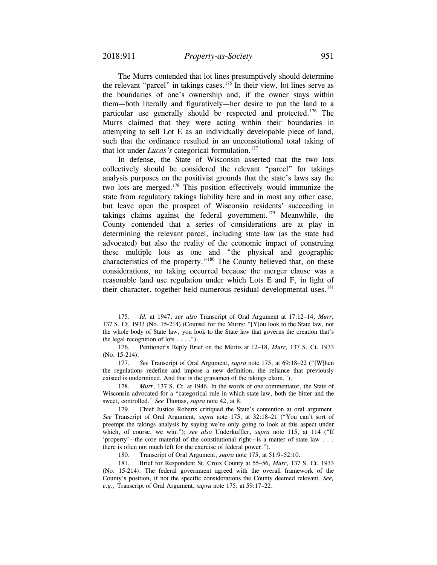The Murrs contended that lot lines presumptively should determine the relevant "parcel" in takings cases.<sup>175</sup> In their view, lot lines serve as the boundaries of one's ownership and, if the owner stays within them—both literally and figuratively—her desire to put the land to a particular use generally should be respected and protected.176 The Murrs claimed that they were acting within their boundaries in attempting to sell Lot E as an individually developable piece of land, such that the ordinance resulted in an unconstitutional total taking of that lot under *Lucas's* categorical formulation.177

In defense, the State of Wisconsin asserted that the two lots collectively should be considered the relevant "parcel" for takings analysis purposes on the positivist grounds that the state's laws say the two lots are merged.178 This position effectively would immunize the state from regulatory takings liability here and in most any other case, but leave open the prospect of Wisconsin residents' succeeding in takings claims against the federal government.<sup>179</sup> Meanwhile, the County contended that a series of considerations are at play in determining the relevant parcel, including state law (as the state had advocated) but also the reality of the economic impact of construing these multiple lots as one and "the physical and geographic characteristics of the property."180 The County believed that, on these considerations, no taking occurred because the merger clause was a reasonable land use regulation under which Lots E and F, in light of their character, together held numerous residual developmental uses.<sup>181</sup>

180. Transcript of Oral Argument, *supra* note 175, at 51:9–52:10.

<sup>175.</sup> *Id.* at 1947; *see also* Transcript of Oral Argument at 17:12–14, *Murr*, 137 S. Ct. 1933 (No. 15-214) (Counsel for the Murrs: "[Y]ou look to the State law, not the whole body of State law, you look to the State law that governs the creation that's the legal recognition of lots  $\dots$ .").

<sup>176.</sup> Petitioner's Reply Brief on the Merits at 12–18, *Murr*, 137 S. Ct. 1933 (No. 15-214).

 <sup>177.</sup> *See* Transcript of Oral Argument, *supra* note 175, at 69:18–22 ("[W]hen the regulations redefine and impose a new definition, the reliance that previously existed is undermined. And that is the gravamen of the takings claim.").

 <sup>178.</sup> *Murr*, 137 S. Ct. at 1946. In the words of one commentator, the State of Wisconsin advocated for a "categorical rule in which state law, both the bitter and the sweet, controlled." *See* Thomas, *supra* note 42, at 8.

<sup>179.</sup> Chief Justice Roberts critiqued the State's contention at oral argument. *See* Transcript of Oral Argument, *supra* note 175, at 32:18–21 ("You can't sort of preempt the takings analysis by saying we're only going to look at this aspect under which, of course, we win."); *see also* Underkuffler, *supra* note 115, at 114 ("If 'property'—the core material of the constitutional right—is a matter of state law . . . there is often not much left for the exercise of federal power.").

<sup>181.</sup> Brief for Respondent St. Croix County at 55–56, *Murr*, 137 S. Ct. 1933 (No. 15-214). The federal government agreed with the overall framework of the County's position, if not the specific considerations the County deemed relevant. *See, e.g.,* Transcript of Oral Argument, *supra* note 175, at 59:17–22.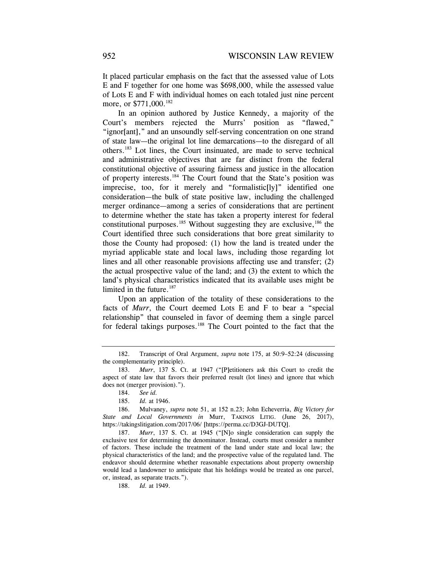It placed particular emphasis on the fact that the assessed value of Lots E and F together for one home was \$698,000, while the assessed value of Lots E and F with individual homes on each totaled just nine percent more, or \$771,000.<sup>182</sup>

In an opinion authored by Justice Kennedy, a majority of the Court's members rejected the Murrs' position as "flawed," "ignor[ant]," and an unsoundly self-serving concentration on one strand of state law—the original lot line demarcations—to the disregard of all others.183 Lot lines, the Court insinuated, are made to serve technical and administrative objectives that are far distinct from the federal constitutional objective of assuring fairness and justice in the allocation of property interests.184 The Court found that the State's position was imprecise, too, for it merely and "formalistic[ly]" identified one consideration—the bulk of state positive law, including the challenged merger ordinance—among a series of considerations that are pertinent to determine whether the state has taken a property interest for federal constitutional purposes.<sup>185</sup> Without suggesting they are exclusive,  $186$  the Court identified three such considerations that bore great similarity to those the County had proposed: (1) how the land is treated under the myriad applicable state and local laws, including those regarding lot lines and all other reasonable provisions affecting use and transfer; (2) the actual prospective value of the land; and (3) the extent to which the land's physical characteristics indicated that its available uses might be limited in the future.<sup>187</sup>

Upon an application of the totality of these considerations to the facts of *Murr*, the Court deemed Lots E and F to bear a "special relationship" that counseled in favor of deeming them a single parcel for federal takings purposes.<sup>188</sup> The Court pointed to the fact that the

<sup>182.</sup> Transcript of Oral Argument, *supra* note 175, at 50:9–52:24 (discussing the complementarity principle).

 <sup>183.</sup> *Murr*, 137 S. Ct. at 1947 ("[P]etitioners ask this Court to credit the aspect of state law that favors their preferred result (lot lines) and ignore that which does not (merger provision).").

<sup>184.</sup> *See id.*

 <sup>185.</sup> *Id.* at 1946.

 <sup>186.</sup> Mulvaney, *supra* note 51, at 152 n.23; John Echeverria, *Big Victory for State and Local Governments in* Murr, TAKINGS LITIG. (June 26, 2017), [https://takingslitigation.com/2017/06/](https://takingslitigation.com/2017/06) [\[https://perma.cc/D3GJ-DUTQ](https://perma.cc/D3GJ-DUTQ)].

 <sup>187.</sup> *Murr*, 137 S. Ct. at 1945 ("[N]o single consideration can supply the exclusive test for determining the denominator. Instead, courts must consider a number of factors. These include the treatment of the land under state and local law; the physical characteristics of the land; and the prospective value of the regulated land. The endeavor should determine whether reasonable expectations about property ownership would lead a landowner to anticipate that his holdings would be treated as one parcel, or, instead, as separate tracts.").

<sup>188.</sup> *Id.* at 1949.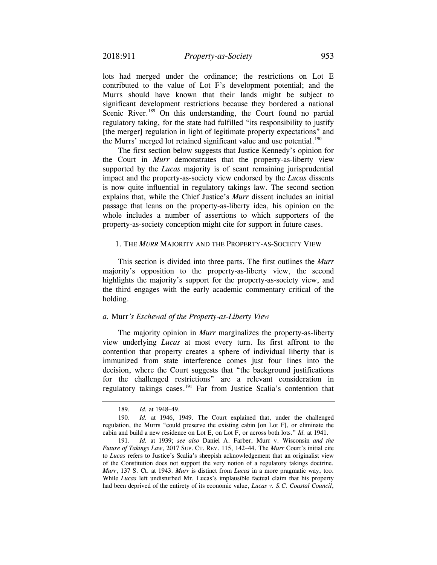lots had merged under the ordinance; the restrictions on Lot E contributed to the value of Lot F's development potential; and the Murrs should have known that their lands might be subject to significant development restrictions because they bordered a national Scenic River.<sup>189</sup> On this understanding, the Court found no partial regulatory taking, for the state had fulfilled "its responsibility to justify [the merger] regulation in light of legitimate property expectations" and the Murrs' merged lot retained significant value and use potential.<sup>190</sup>

 whole includes a number of assertions to which supporters of the The first section below suggests that Justice Kennedy's opinion for the Court in *Murr* demonstrates that the property-as-liberty view supported by the *Lucas* majority is of scant remaining jurisprudential impact and the property-as-society view endorsed by the *Lucas* dissents is now quite influential in regulatory takings law. The second section explains that, while the Chief Justice's *Murr* dissent includes an initial passage that leans on the property-as-liberty idea, his opinion on the property-as-society conception might cite for support in future cases.

## 1. THE *MURR* MAJORITY AND THE PROPERTY-AS-SOCIETY VIEW

This section is divided into three parts. The first outlines the *Murr*  majority's opposition to the property-as-liberty view, the second highlights the majority's support for the property-as-society view, and the third engages with the early academic commentary critical of the holding.

#### *a.* Murr*'s Eschewal of the Property-as-Liberty View*

The majority opinion in *Murr* marginalizes the property-as-liberty view underlying *Lucas* at most every turn. Its first affront to the contention that property creates a sphere of individual liberty that is immunized from state interference comes just four lines into the decision, where the Court suggests that "the background justifications for the challenged restrictions" are a relevant consideration in regulatory takings cases.191 Far from Justice Scalia's contention that

<sup>189.</sup> *Id.* at 1948–49.

 <sup>190.</sup> *Id.* at 1946, 1949. The Court explained that, under the challenged regulation, the Murrs "could preserve the existing cabin [on Lot F], or eliminate the cabin and build a new residence on Lot E, on Lot F, or across both lots." *Id.* at 1941.

 *Future of Takings Law*, 2017 SUP. CT. REV. 115, 142–44. The *Murr* Court's initial cite 191. *Id.* at 1939; *see also* Daniel A. Farber, Murr v. Wisconsin *and the*  to *Lucas* refers to Justice's Scalia's sheepish acknowledgement that an originalist view of the Constitution does not support the very notion of a regulatory takings doctrine. *Murr*, 137 S. Ct. at 1943. *Murr* is distinct from *Lucas* in a more pragmatic way, too. While *Lucas* left undisturbed Mr. Lucas's implausible factual claim that his property had been deprived of the entirety of its economic value, *Lucas v. S.C. Coastal Council*,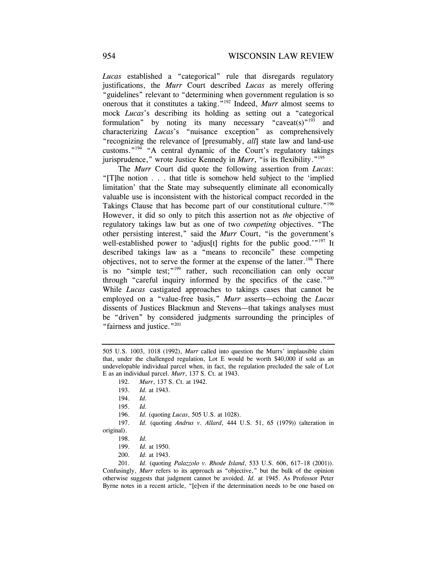*Lucas* established a "categorical" rule that disregards regulatory justifications, the *Murr* Court described *Lucas* as merely offering "guidelines" relevant to "determining when government regulation is so onerous that it constitutes a taking."192 Indeed, *Murr* almost seems to mock *Lucas*'s describing its holding as setting out a "categorical formulation" by noting its many necessary "caveat(s)"<sup>193</sup> and characterizing *Lucas*'s "nuisance exception" as comprehensively "recognizing the relevance of [presumably, *all*] state law and land-use customs."194 "A central dynamic of the Court's regulatory takings jurisprudence," wrote Justice Kennedy in *Murr*, "is its flexibility."195

 valuable use is inconsistent with the historical compact recorded in the The *Murr* Court did quote the following assertion from *Lucas*: "[T]he notion . . . that title is somehow held subject to the 'implied limitation' that the State may subsequently eliminate all economically Takings Clause that has become part of our constitutional culture."<sup>196</sup> However, it did so only to pitch this assertion not as *the* objective of regulatory takings law but as one of two *competing* objectives. "The other persisting interest," said the *Murr* Court, "is the government's well-established power to 'adjus[t] rights for the public good.'"<sup>197</sup> It described takings law as a "means to reconcile" these competing objectives, not to serve the former at the expense of the latter.<sup>198</sup> There is no "simple test;"<sup>199</sup> rather, such reconciliation can only occur through "careful inquiry informed by the specifics of the case." $200$ While *Lucas* castigated approaches to takings cases that cannot be employed on a "value-free basis," *Murr* asserts—echoing the *Lucas*  dissents of Justices Blackmun and Stevens—that takings analyses must be "driven" by considered judgments surrounding the principles of "fairness and justice."<sup>201</sup>

197. *Id.* (quoting *Andrus v. Allard*, 444 U.S. 51, 65 (1979)) (alteration in original).

quoting *Palazzolo v. Rhode Island*, 533 U.S. 606, 617–18 (2001)). 201. *Id.* ( Confusingly, *Murr* refers to its approach as "objective," but the bulk of the opinion otherwise suggests that judgment cannot be avoided. *Id.* at 1945. As Professor Peter Byrne notes in a recent article, "[e]ven if the determination needs to be one based on

<sup>505</sup> U.S. 1003, 1018 (1992), *Murr* called into question the Murrs' implausible claim that, under the challenged regulation, Lot E would be worth \$40,000 if sold as an undevelopable individual parcel when, in fact, the regulation precluded the sale of Lot E as an individual parcel. *Murr*, 137 S. Ct. at 1943.

<sup>192.</sup> *Murr*, 137 S. Ct. at 1942.

<sup>193.</sup> *Id.* at 1943.

 <sup>194.</sup> *Id.*

 <sup>195.</sup> *Id.*

<sup>196.</sup> *Id.* (quoting *Lucas*, 505 U.S. at 1028).

 <sup>198.</sup> *Id.*

<sup>199.</sup> *Id.* at 1950.

<sup>200.</sup> *Id.* at 1943.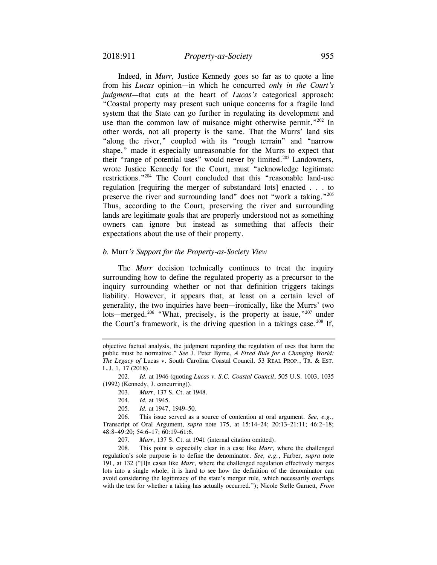Indeed, in *Murr,* Justice Kennedy goes so far as to quote a line from his *Lucas* opinion—in which he concurred *only in the Court's judgment—*that cuts at the heart of *Lucas's* categorical approach: "Coastal property may present such unique concerns for a fragile land system that the State can go further in regulating its development and use than the common law of nuisance might otherwise permit." $202$  In other words, not all property is the same. That the Murrs' land sits "along the river," coupled with its "rough terrain" and "narrow shape," made it especially unreasonable for the Murrs to expect that their "range of potential uses" would never by limited.<sup>203</sup> Landowners, wrote Justice Kennedy for the Court, must "acknowledge legitimate restrictions."204 The Court concluded that this "reasonable land-use regulation [requiring the merger of substandard lots] enacted . . . to preserve the river and surrounding land" does not "work a taking."205 Thus, according to the Court, preserving the river and surrounding lands are legitimate goals that are properly understood not as something owners can ignore but instead as something that affects their expectations about the use of their property.

#### *b.* Murr*'s Support for the Property-as-Society View*

The *Murr* decision technically continues to treat the inquiry surrounding how to define the regulated property as a precursor to the inquiry surrounding whether or not that definition triggers takings liability. However, it appears that, at least on a certain level of generality, the two inquiries have been—ironically, like the Murrs' two lots—merged.<sup>206</sup> "What, precisely, is the property at issue,"<sup>207</sup> under the Court's framework, is the driving question in a takings case.<sup>208</sup> If,

 *The Legacy of* Lucas v. South Carolina Coastal Council*,* 53 REAL PROP., TR. & EST. objective factual analysis, the judgment regarding the regulation of uses that harm the public must be normative." *See* J. Peter Byrne, *A Fixed Rule for a Changing World:*  L.J. 1, 17 (2018).

<sup>202.</sup> *Id.* at 1946 (quoting *Lucas v. S.C. Coastal Council*, 505 U.S. 1003, 1035 (1992) (Kennedy, J. concurring)).

<sup>203.</sup> *Murr*, 137 S*.* Ct. at 1948.

 <sup>204.</sup> *Id.* at 1945.

 <sup>205.</sup> *Id.* at 1947, 1949–50.

<sup>206.</sup> This issue served as a source of contention at oral argument. *See, e.g.*, Transcript of Oral Argument, *supra* note 175, at 15:14–24; 20:13–21:11; 46:2–18; 48:8–49:20; 54:6–17; 60:19–61:6.

<sup>207.</sup> *Murr*, 137 S. Ct. at 1941 (internal citation omitted).

<sup>208.</sup> This point is especially clear in a case like *Murr*, where the challenged regulation's sole purpose is to define the denominator. *See, e.g.*, Farber, *supra* note 191, at 132 ("[I]n cases like *Murr*, where the challenged regulation effectively merges lots into a single whole, it is hard to see how the definition of the denominator can avoid considering the legitimacy of the state's merger rule, which necessarily overlaps with the test for whether a taking has actually occurred."); Nicole Stelle Garnett, *From*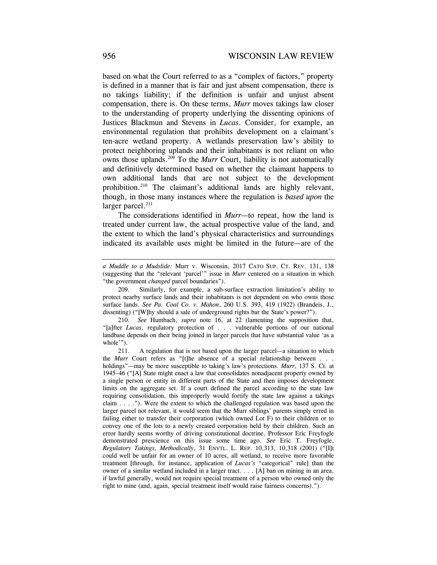based on what the Court referred to as a "complex of factors," property is defined in a manner that is fair and just absent compensation, there is no takings liability; if the definition is unfair and unjust absent compensation, there is. On these terms, *Murr* moves takings law closer to the understanding of property underlying the dissenting opinions of Justices Blackmun and Stevens in *Lucas*. Consider, for example, an environmental regulation that prohibits development on a claimant's ten-acre wetland property. A wetlands preservation law's ability to protect neighboring uplands and their inhabitants is not reliant on who owns those uplands.<sup>209</sup> To the *Murr* Court, liability is not automatically and definitively determined based on whether the claimant happens to own additional lands that are not subject to the development prohibition.<sup>210</sup> The claimant's additional lands are highly relevant, though, in those many instances where the regulation is *based upon* the larger parcel.<sup>211</sup>

The considerations identified in *Murr—*to repeat, how the land is treated under current law, the actual prospective value of the land, and the extent to which the land's physical characteristics and surroundings indicated its available uses might be limited in the future—are of the

 *a Muddle to a Mudslide:* Murr v. Wisconsin, 2017 CATO SUP. CT. REV. 131, 138 (suggesting that the "relevant 'parcel'" issue in *Murr* centered on a situation in which "the government *changed* parcel boundaries").

<sup>209.</sup> Similarly, for example, a sub-surface extraction limitation's ability to protect nearby surface lands and their inhabitants is not dependent on who owns those surface lands. *See Pa. Coal Co. v. Mahon*, 260 U.S. 393, 419 (1922) (Brandeis, J., dissenting) ("[W]hy should a sale of underground rights bar the State's power?").

<sup>210</sup>*. See* Humbach, *supra* note 16, at 22 (lamenting the supposition that, "[a]fter *Lucas*, regulatory protection of . . . vulnerable portions of our national landbase depends on their being joined in larger parcels that have substantial value 'as a whole'").

 *Regulatory Takings, Methodically*, 31 ENVTL. L. REP. 10,313, 10,318 (2001) ("[I]t 211. A regulation that is not based upon the larger parcel—a situation to which the *Murr* Court refers as "[t]he absence of a special relationship between . . . holdings"—may be more susceptible to taking's law's protections. *Murr*, 137 S. Ct. at 1945–46 ("[A] State might enact a law that consolidates nonadjacent property owned by a single person or entity in different parts of the State and then imposes development limits on the aggregate set. If a court defined the parcel according to the state law requiring consolidation, this improperly would fortify the state law against a takings claim . . . ."). Were the extent to which the challenged regulation was based upon the larger parcel not relevant, it would seem that the Murr siblings' parents simply erred in failing either to transfer their corporation (which owned Lot F) to their children or to convey one of the lots to a newly created corporation held by their children. Such an error hardly seems worthy of driving constitutional doctrine. Professor Eric Freyfogle demonstrated prescience on this issue some time ago. *See* Eric T. Freyfogle, could well be unfair for an owner of 10 acres, all wetland, to receive more favorable treatment [through, for instance, application of *Lucas's* "categorical" rule] than the owner of a similar wetland included in a larger tract. . . . [A] ban on mining in an area, if lawful generally, would not require special treatment of a person who owned only the right to mine (and, again, special treatment itself would raise fairness concerns).").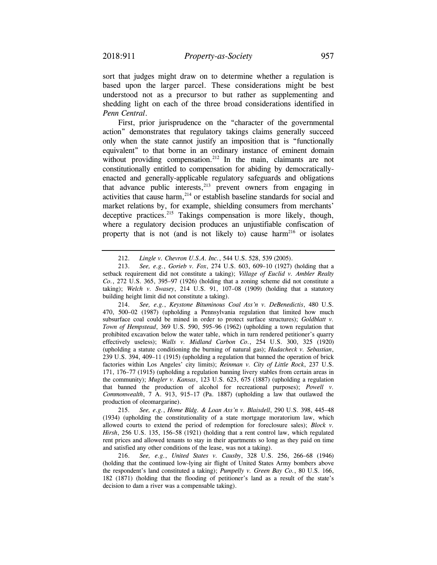sort that judges might draw on to determine whether a regulation is based upon the larger parcel. These considerations might be best understood not as a precursor to but rather as supplementing and shedding light on each of the three broad considerations identified in *Penn Central*.

First, prior jurisprudence on the "character of the governmental action" demonstrates that regulatory takings claims generally succeed only when the state cannot justify an imposition that is "functionally equivalent" to that borne in an ordinary instance of eminent domain without providing compensation.<sup>212</sup> In the main, claimants are not constitutionally entitled to compensation for abiding by democraticallyenacted and generally-applicable regulatory safeguards and obligations that advance public interests, $2^{13}$  prevent owners from engaging in activities that cause harm, $2^{14}$  or establish baseline standards for social and market relations by, for example, shielding consumers from merchants' deceptive practices.<sup>215</sup> Takings compensation is more likely, though, where a regulatory decision produces an unjustifiable confiscation of property that is not (and is not likely to) cause harm<sup>216</sup> or isolates

214. *See, e.g.*, *Keystone Bituminous Coal Ass'n v. DeBenedictis*, 480 U.S. 470, 500–02 (1987) (upholding a Pennsylvania regulation that limited how much subsurface coal could be mined in order to protect surface structures); *Goldblatt v. Town of Hempstead*, 369 U.S. 590, 595–96 (1962) (upholding a town regulation that prohibited excavation below the water table, which in turn rendered petitioner's quarry effectively useless); *Walls v. Midland Carbon Co.*, 254 U.S. 300, 325 (1920) (upholding a statute conditioning the burning of natural gas); *Hadacheck v. Sebastian*, 239 U.S. 394, 409–11 (1915) (upholding a regulation that banned the operation of brick factories within Los Angeles' city limits); *Reinman v. City of Little Rock*, 237 U.S. 171, 176–77 (1915) (upholding a regulation banning livery stables from certain areas in the community); *Mugler v. Kansas*, 123 U.S. 623, 675 (1887) (upholding a regulation that banned the production of alcohol for recreational purposes); *Powell v. Commonwealth*, 7 A. 913, 915–17 (Pa. 1887) (upholding a law that outlawed the production of oleomargarine).

215. *See, e.g.*, *Home Bldg. & Loan Ass'n v. Blaisdell*, 290 U.S. 398, 445–48 (1934) (upholding the constitutionality of a state mortgage moratorium law, which allowed courts to extend the period of redemption for foreclosure sales); *Block v. Hirsh*, 256 U.S. 135, 156–58 (1921) (holding that a rent control law, which regulated rent prices and allowed tenants to stay in their apartments so long as they paid on time and satisfied any other conditions of the lease, was not a taking).

216. *See, e.g.*, *United States v. Causby*, 328 U.S. 256, 266–68 (1946) (holding that the continued low-lying air flight of United States Army bombers above the respondent's land constituted a taking); *Pumpelly v. Green Bay Co.*, 80 U.S. 166, 182 (1871) (holding that the flooding of petitioner's land as a result of the state's decision to dam a river was a compensable taking).

<sup>212.</sup> *Lingle v. Chevron U.S.A. Inc.*, 544 U.S. 528, 539 (2005).

<sup>213.</sup> *See, e.g.*, *Gorieb v. Fox*, 274 U.S. 603, 609–10 (1927) (holding that a setback requirement did not constitute a taking); *Village of Euclid v. Ambler Realty Co.*, 272 U.S. 365, 395–97 (1926) (holding that a zoning scheme did not constitute a taking); *Welch v. Swasey*, 214 U.S. 91, 107–08 (1909) (holding that a statutory building height limit did not constitute a taking).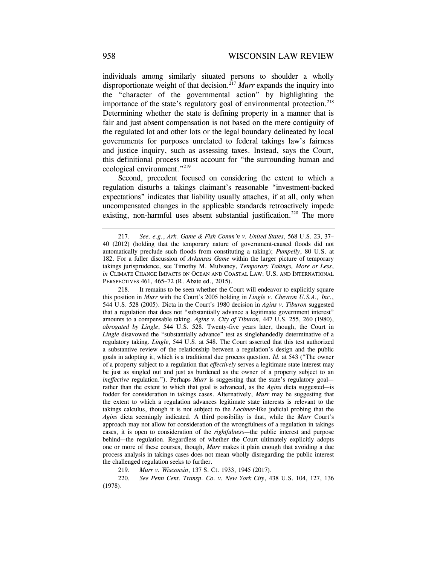individuals among similarly situated persons to shoulder a wholly disproportionate weight of that decision.217 *Murr* expands the inquiry into the "character of the governmental action" by highlighting the importance of the state's regulatory goal of environmental protection.<sup>218</sup> Determining whether the state is defining property in a manner that is fair and just absent compensation is not based on the mere contiguity of the regulated lot and other lots or the legal boundary delineated by local governments for purposes unrelated to federal takings law's fairness and justice inquiry, such as assessing taxes. Instead, says the Court, this definitional process must account for "the surrounding human and ecological environment."219

Second, precedent focused on considering the extent to which a regulation disturbs a takings claimant's reasonable "investment-backed expectations" indicates that liability usually attaches, if at all, only when uncompensated changes in the applicable standards retroactively impede existing, non-harmful uses absent substantial justification.<sup>220</sup> The more

 the extent to which a regulation advances legitimate state interests is relevant to the 218. It remains to be seen whether the Court will endeavor to explicitly square this position in *Murr* with the Court's 2005 holding in *Lingle v. Chevron U.S.A., Inc.*, 544 U.S. 528 (2005). Dicta in the Court's 1980 decision in *Agins v. Tiburon* suggested that a regulation that does not "substantially advance a legitimate government interest" amounts to a compensable taking. *Agins v. City of Tiburon*, 447 U.S. 255, 260 (1980), *abrogated by Lingle*, 544 U.S. 528. Twenty-five years later, though, the Court in *Lingle* disavowed the "substantially advance" test as singlehandedly determinative of a regulatory taking. *Lingle*, 544 U.S. at 548. The Court asserted that this test authorized a substantive review of the relationship between a regulation's design and the public goals in adopting it, which is a traditional due process question. *Id.* at 543 ("The owner of a property subject to a regulation that *effectively* serves a legitimate state interest may be just as singled out and just as burdened as the owner of a property subject to an *ineffective* regulation."). Perhaps *Murr* is suggesting that the state's regulatory goal rather than the extent to which that goal is advanced, as the *Agins* dicta suggested—is fodder for consideration in takings cases. Alternatively, *Murr* may be suggesting that takings calculus, though it is not subject to the *Lochner*-like judicial probing that the *Agins* dicta seemingly indicated. A third possibility is that, while the *Murr* Court's approach may not allow for consideration of the wrongfulness of a regulation in takings cases, it is open to consideration of the *rightfulness*—the public interest and purpose behind—the regulation. Regardless of whether the Court ultimately explicitly adopts one or more of these courses, though, *Murr* makes it plain enough that avoiding a due process analysis in takings cases does not mean wholly disregarding the public interest the challenged regulation seeks to further.

219. *Murr v. Wisconsin*, 137 S. Ct. 1933, 1945 (2017).

220. *See Penn Cent. Transp. Co. v. New York City*, 438 U.S. 104, 127, 136 (1978).

<sup>217.</sup> *See, e.g.*, *Ark. Game & Fish Comm'n v. United States*, 568 U.S. 23, 37– 40 (2012) (holding that the temporary nature of government-caused floods did not automatically preclude such floods from constituting a taking); *Pumpelly*, 80 U.S. at 182. For a fuller discussion of *Arkansas Game* within the larger picture of temporary takings jurisprudence, see Timothy M. Mulvaney, *Temporary Takings, More or Less*, *in* CLIMATE CHANGE IMPACTS ON OCEAN AND COASTAL LAW: U.S. AND INTERNATIONAL PERSPECTIVES 461, 465–72 (R. Abate ed., 2015).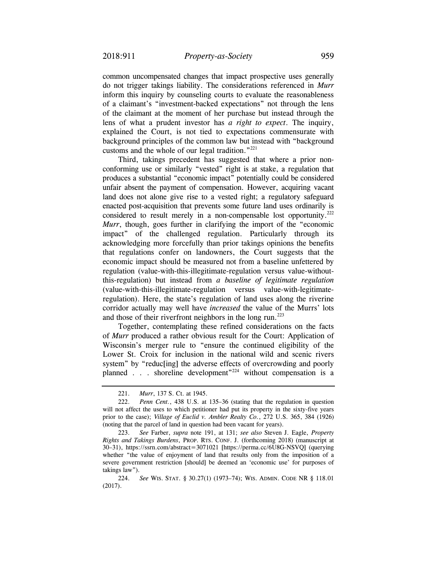do not trigger takings liability. The considerations referenced in *Murr*  common uncompensated changes that impact prospective uses generally inform this inquiry by counseling courts to evaluate the reasonableness of a claimant's "investment-backed expectations" not through the lens of the claimant at the moment of her purchase but instead through the lens of what a prudent investor has *a right to expect*. The inquiry, explained the Court, is not tied to expectations commensurate with background principles of the common law but instead with "background customs and the whole of our legal tradition."221

 Third, takings precedent has suggested that where a prior nonconforming use or similarly "vested" right is at stake, a regulation that produces a substantial "economic impact" potentially could be considered unfair absent the payment of compensation. However, acquiring vacant land does not alone give rise to a vested right; a regulatory safeguard enacted post-acquisition that prevents some future land uses ordinarily is considered to result merely in a non-compensable lost opportunity.<sup>222</sup> *Murr*, though, goes further in clarifying the import of the "economic impact" of the challenged regulation. Particularly through its acknowledging more forcefully than prior takings opinions the benefits that regulations confer on landowners, the Court suggests that the economic impact should be measured not from a baseline unfettered by regulation (value-with-this-illegitimate-regulation versus value-withoutthis-regulation) but instead from *a baseline of legitimate regulation*  (value-with-this-illegitimate-regulation versus value-with-legitimateregulation). Here, the state's regulation of land uses along the riverine corridor actually may well have *increased* the value of the Murrs' lots and those of their riverfront neighbors in the long run.<sup>223</sup>

 system" by "reduc[ing] the adverse effects of overcrowding and poorly Together, contemplating these refined considerations on the facts of *Murr* produced a rather obvious result for the Court: Application of Wisconsin's merger rule to "ensure the continued eligibility of the Lower St. Croix for inclusion in the national wild and scenic rivers planned . . . shoreline development"224 without compensation is a

<sup>221.</sup> *Murr*, 137 S. Ct. at 1945.

 <sup>222.</sup> *Penn Cent.*, 438 U.S. at 135–36 (stating that the regulation in question will not affect the uses to which petitioner had put its property in the sixty-five years prior to the case); *Village of Euclid v. Ambler Realty Co.*, 272 U.S. 365, 384 (1926) (noting that the parcel of land in question had been vacant for years).

 *Rights and Takings Burdens*, PROP. RTS. CONF. J. (forthcoming 2018) (manuscript at 223. *See* Farber, *supra* note 191, at 131; *see also* Steven J. Eagle, *Property*  30–31), <https://ssrn.com/abstract=3071021> [\[https://perma.cc/6U8G-NSVQ\]](https://perma.cc/6U8G-NSVQ) (querying whether "the value of enjoyment of land that results only from the imposition of a severe government restriction [should] be deemed an 'economic use' for purposes of takings law").

 224. *See* WIS. STAT. § 30.27(1) (1973–74); WIS. ADMIN. CODE NR § 118.01 (2017).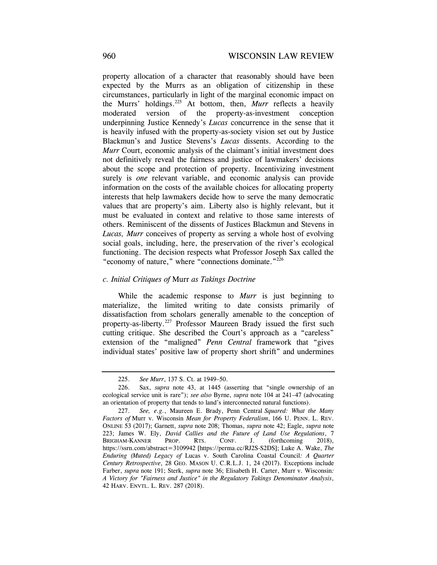property allocation of a character that reasonably should have been expected by the Murrs as an obligation of citizenship in these circumstances, particularly in light of the marginal economic impact on the Murrs' holdings.225 At bottom, then, *Murr* reflects a heavily moderated version of the property-as-investment conception underpinning Justice Kennedy's *Lucas* concurrence in the sense that it is heavily infused with the property-as-society vision set out by Justice Blackmun's and Justice Stevens's *Lucas* dissents. According to the *Murr* Court, economic analysis of the claimant's initial investment does not definitively reveal the fairness and justice of lawmakers' decisions about the scope and protection of property. Incentivizing investment surely is *one* relevant variable, and economic analysis can provide information on the costs of the available choices for allocating property interests that help lawmakers decide how to serve the many democratic values that are property's aim. Liberty also is highly relevant, but it must be evaluated in context and relative to those same interests of others. Reminiscent of the dissents of Justices Blackmun and Stevens in *Lucas, Murr* conceives of property as serving a whole host of evolving social goals, including, here, the preservation of the river's ecological functioning. The decision respects what Professor Joseph Sax called the "economy of nature," where "connections dominate."<sup>226</sup>

### *c. Initial Critiques of* Murr *as Takings Doctrine*

While the academic response to *Murr* is just beginning to materialize, the limited writing to date consists primarily of dissatisfaction from scholars generally amenable to the conception of property-as-liberty.<sup>227</sup> Professor Maureen Brady issued the first such cutting critique. She described the Court's approach as a "careless" extension of the "maligned" *Penn Central* framework that "gives individual states' positive law of property short shrift" and undermines

<sup>225.</sup> *See Murr*, 137 S. Ct. at 1949–50.

<sup>226.</sup> Sax, *supra* note 43, at 1445 (asserting that "single ownership of an ecological service unit is rare"); *see also* Byrne, *supra* note 104 at 241–47 (advocating an orientation of property that tends to land's interconnected natural functions).

 *Factors of* Murr v. Wisconsin *Mean for Property Federalism*, 166 U. PENN. L. REV. PROP. 42 HARV. ENVTL. L. REV. 287 (2018). 227. *See, e.g.*, Maureen E. Brady, Penn Central *Squared: What the Many*  ONLINE 53 (2017); Garnett, *supra* note 208; Thomas, *supra* note 42; Eagle, *supra* note 223; James W. Ely, *David Callies and the Future of Land Use Regulations*, 7 BRIGHAM-KANNER PROP. RTS. CONF. J. (forthcoming 2018), <https://ssrn.com/abstract=3109942> [<https://perma.cc/RJ2S-S2DS>]; Luke A. Wake, *The Enduring (Muted) Legacy of* Lucas v. South Carolina Coastal Council*: A Quarter Century Retrospective*, 28 GEO. MASON U. C.R.L.J. 1, 24 (2017). Exceptions include Farber, *supra* note 191; Sterk, *supra* note 36; Elisabeth H. Carter, Murr v. Wisconsin*: A Victory for "Fairness and Justice" in the Regulatory Takings Denominator Analysis*,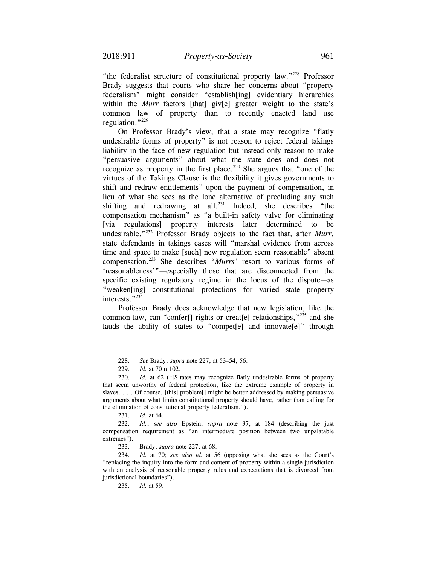"the federalist structure of constitutional property law."228 Professor Brady suggests that courts who share her concerns about "property federalism" might consider "establish[ing] evidentiary hierarchies within the *Murr* factors [that] giv[e] greater weight to the state's common law of property than to recently enacted land use regulation."229

On Professor Brady's view, that a state may recognize "flatly undesirable forms of property" is not reason to reject federal takings liability in the face of new regulation but instead only reason to make "persuasive arguments" about what the state does and does not recognize as property in the first place.<sup>230</sup> She argues that "one of the virtues of the Takings Clause is the flexibility it gives governments to shift and redraw entitlements" upon the payment of compensation, in lieu of what she sees as the lone alternative of precluding any such shifting and redrawing at all.<sup>231</sup> Indeed, she describes "the compensation mechanism" as "a built-in safety valve for eliminating [via regulations] property interests later determined to be undesirable."232 Professor Brady objects to the fact that, after *Murr*, state defendants in takings cases will "marshal evidence from across time and space to make [such] new regulation seem reasonable" absent compensation.233 She describes "*Murrs'* resort to various forms of 'reasonableness'"—especially those that are disconnected from the specific existing regulatory regime in the locus of the dispute—as "weaken[ing] constitutional protections for varied state property interests."<sup>234</sup>

Professor Brady does acknowledge that new legislation, like the common law, can "confer<sup>[]</sup> rights or creat<sup>[e]</sup> relationships,<sup>"235</sup> and she lauds the ability of states to "compet[e] and innovate[e]" through

231. *Id*. at 64.

233. Brady, *supra* note 227, at 68.

<sup>228.</sup> *See* Brady, *supra* note 227, at 53–54, 56.

<sup>229.</sup> *Id.* at 70 n.102.

 <sup>230.</sup> *Id.* at 62 ("[S]tates may recognize flatly undesirable forms of property that seem unworthy of federal protection, like the extreme example of property in slaves. . . . Of course, [this] problem[] might be better addressed by making persuasive arguments about what limits constitutional property should have, rather than calling for the elimination of constitutional property federalism.").

<sup>232.</sup> *Id.*; *see also* Epstein, *supra* note 37, at 184 (describing the just compensation requirement as "an intermediate position between two unpalatable extremes").

<sup>234.</sup> *Id.* at 70; *see also id.* at 56 (opposing what she sees as the Court's "replacing the inquiry into the form and content of property within a single jurisdiction with an analysis of reasonable property rules and expectations that is divorced from jurisdictional boundaries").

 <sup>235.</sup> *Id.* at 59.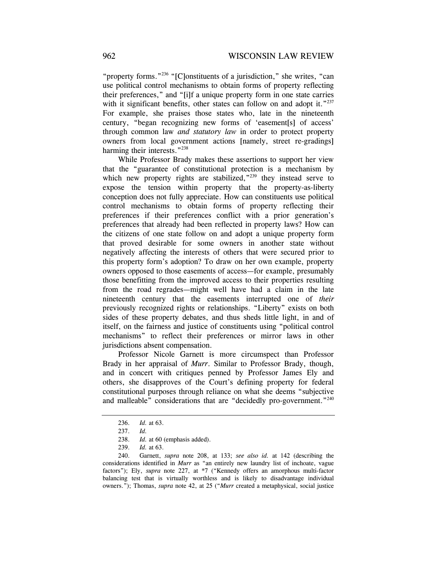"property forms."<sup>236</sup> "[C]onstituents of a jurisdiction," she writes, "can use political control mechanisms to obtain forms of property reflecting their preferences," and "[i]f a unique property form in one state carries with it significant benefits, other states can follow on and adopt it."237 For example, she praises those states who, late in the nineteenth century, "began recognizing new forms of 'easement[s] of access' through common law *and statutory law* in order to protect property owners from local government actions [namely, street re-gradings] harming their interests."<sup>238</sup>

While Professor Brady makes these assertions to support her view that the "guarantee of constitutional protection is a mechanism by which new property rights are stabilized," $239$  they instead serve to expose the tension within property that the property-as-liberty conception does not fully appreciate. How can constituents use political control mechanisms to obtain forms of property reflecting their preferences if their preferences conflict with a prior generation's preferences that already had been reflected in property laws? How can the citizens of one state follow on and adopt a unique property form that proved desirable for some owners in another state without negatively affecting the interests of others that were secured prior to this property form's adoption? To draw on her own example, property owners opposed to those easements of access—for example, presumably those benefitting from the improved access to their properties resulting from the road regrades—might well have had a claim in the late nineteenth century that the easements interrupted one of *their*  previously recognized rights or relationships. "Liberty" exists on both sides of these property debates, and thus sheds little light, in and of itself, on the fairness and justice of constituents using "political control mechanisms" to reflect their preferences or mirror laws in other jurisdictions absent compensation.

Professor Nicole Garnett is more circumspect than Professor Brady in her appraisal of *Murr*. Similar to Professor Brady, though, and in concert with critiques penned by Professor James Ely and others, she disapproves of the Court's defining property for federal constitutional purposes through reliance on what she deems "subjective and malleable" considerations that are "decidedly pro-government."<sup>240</sup>

<sup>236.</sup> *Id.* at 63.

<sup>237.</sup> *Id.*

 <sup>238.</sup> *Id.* at 60 (emphasis added).

<sup>239.</sup> *Id.* at 63.

<sup>240.</sup> Garnett, *supra* note 208, at 133; *see also id.* at 142 (describing the considerations identified in *Murr* as "an entirely new laundry list of inchoate, vague factors"); Ely, *supra* note 227, at \*7 ("Kennedy offers an amorphous multi-factor balancing test that is virtually worthless and is likely to disadvantage individual owners."); Thomas, *supra* note 42, at 25 ("*Murr* created a metaphysical, social justice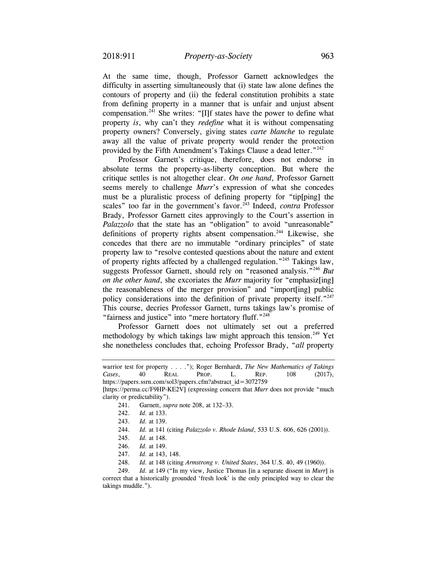At the same time, though, Professor Garnett acknowledges the difficulty in asserting simultaneously that (i) state law alone defines the contours of property and (ii) the federal constitution prohibits a state from defining property in a manner that is unfair and unjust absent compensation.<sup>241</sup> She writes: "[I]f states have the power to define what property *is*, why can't they *redefine* what it is without compensating property owners? Conversely, giving states *carte blanche* to regulate away all the value of private property would render the protection provided by the Fifth Amendment's Takings Clause a dead letter."<sup>242</sup>

 property law to "resolve contested questions about the nature and extent Professor Garnett's critique, therefore, does not endorse in absolute terms the property-as-liberty conception. But where the critique settles is not altogether clear. *On one hand*, Professor Garnett seems merely to challenge *Murr*'s expression of what she concedes must be a pluralistic process of defining property for "tip[ping] the scales" too far in the government's favor.<sup>243</sup> Indeed, *contra* Professor Brady, Professor Garnett cites approvingly to the Court's assertion in *Palazzolo* that the state has an "obligation" to avoid "unreasonable" definitions of property rights absent compensation.<sup>244</sup> Likewise, she concedes that there are no immutable "ordinary principles" of state of property rights affected by a challenged regulation."245 Takings law, suggests Professor Garnett, should rely on "reasoned analysis."246 *But on the other hand*, she excoriates the *Murr* majority for "emphasiz[ing] the reasonableness of the merger provision" and "import[ing] public policy considerations into the definition of private property itself."<sup>247</sup> This course, decries Professor Garnett, turns takings law's promise of "fairness and justice" into "mere hortatory fluff."<sup>248</sup>

Professor Garnett does not ultimately set out a preferred methodology by which takings law might approach this tension.<sup>249</sup> Yet she nonetheless concludes that, echoing Professor Brady, "*all* property

PROP. warrior test for property . . . ."); Roger Bernhardt, *The New Mathematics of Takings Cases*, 40 REAL PROP. L. REP. 108 (2017), https://papers.ssrn.com/sol3/papers.cfm?abstract\_id=3072759

<sup>[</sup>[https://perma.cc/F9HP-KE2V\]](https://perma.cc/F9HP-KE2V) (expressing concern that *Murr* does not provide "much clarity or predictability").

<sup>241.</sup> Garnett, *supra* note 208, at 132–33.

<sup>242.</sup> *Id.* at 133.

<sup>243.</sup> *Id.* at 139.

<sup>244.</sup> *Id.* at 141 (citing *Palazzolo v. Rhode Island*, 533 U.S. 606, 626 (2001)).

 <sup>245.</sup> *Id.* at 148.

<sup>246.</sup> *Id.* at 149.

<sup>247.</sup> *Id.* at 143, 148.

 <sup>248.</sup> *Id.* at 148 (citing *Armstrong v. United States*, 364 U.S. 40, 49 (1960)).

 <sup>249.</sup> *Id.* at 149 ("In my view, Justice Thomas [in a separate dissent in *Murr*] is correct that a historically grounded 'fresh look' is the only principled way to clear the takings muddle.").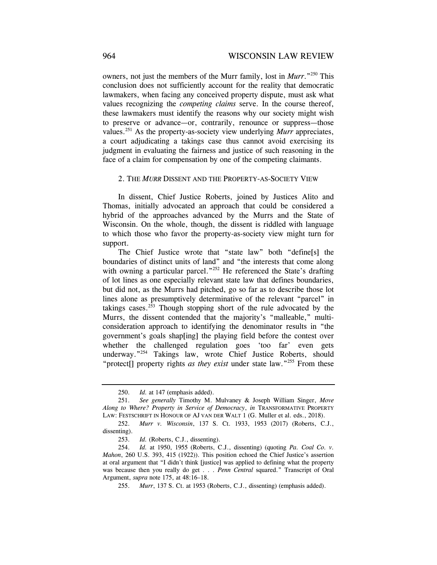owners, not just the members of the Murr family, lost in *Murr*."250 This conclusion does not sufficiently account for the reality that democratic lawmakers, when facing any conceived property dispute, must ask what values recognizing the *competing claims* serve. In the course thereof, these lawmakers must identify the reasons why our society might wish to preserve or advance—or, contrarily, renounce or suppress—those values.251 As the property-as-society view underlying *Murr* appreciates, a court adjudicating a takings case thus cannot avoid exercising its judgment in evaluating the fairness and justice of such reasoning in the face of a claim for compensation by one of the competing claimants.

#### 2. THE *MURR* DISSENT AND THE PROPERTY-AS-SOCIETY VIEW

In dissent, Chief Justice Roberts, joined by Justices Alito and Thomas, initially advocated an approach that could be considered a hybrid of the approaches advanced by the Murrs and the State of Wisconsin. On the whole, though, the dissent is riddled with language to which those who favor the property-as-society view might turn for support.

The Chief Justice wrote that "state law" both "define[s] the boundaries of distinct units of land" and "the interests that come along with owning a particular parcel."<sup>252</sup> He referenced the State's drafting of lot lines as one especially relevant state law that defines boundaries, but did not, as the Murrs had pitched, go so far as to describe those lot lines alone as presumptively determinative of the relevant "parcel" in takings cases. $253$  Though stopping short of the rule advocated by the Murrs, the dissent contended that the majority's "malleable," multiconsideration approach to identifying the denominator results in "the government's goals shap[ing] the playing field before the contest over whether the challenged regulation goes 'too far' even gets underway."<sup>254</sup> Takings law, wrote Chief Justice Roberts, should "protect<sup>[]</sup> property rights *as they exist* under state law."<sup>255</sup> From these

<sup>250.</sup> *Id.* at 147 (emphasis added).

<sup>251.</sup> *See generally* Timothy M. Mulvaney & Joseph William Singer, *Move Along to Where? Property in Service of Democracy*, *in* TRANSFORMATIVE PROPERTY LAW: FESTSCHRIFT IN HONOUR OF AJ VAN DER WALT 1 (G. Muller et al. eds., 2018).

 <sup>252.</sup> *Murr v. Wisconsin*, 137 S. Ct. 1933, 1953 (2017) (Roberts, C.J., dissenting).

<sup>253.</sup> *Id.* (Roberts, C.J., dissenting).

<sup>254.</sup> *Id.* at 1950, 1955 (Roberts, C.J., dissenting) (quoting *Pa. Coal Co. v. Mahon*, 260 U.S. 393, 415 (1922)). This position echoed the Chief Justice's assertion at oral argument that "I didn't think [justice] was applied to defining what the property was because then you really do get . . . *Penn Central* squared." Transcript of Oral Argument, *supra* note 175, at 48:16–18.

 <sup>255.</sup> *Murr*, 137 S. Ct. at 1953 (Roberts, C.J., dissenting) (emphasis added).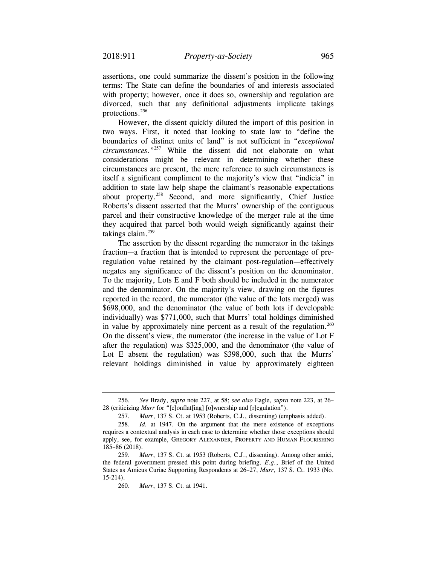assertions, one could summarize the dissent's position in the following terms: The State can define the boundaries of and interests associated with property; however, once it does so, ownership and regulation are divorced, such that any definitional adjustments implicate takings protections.<sup>256</sup>

However, the dissent quickly diluted the import of this position in two ways. First, it noted that looking to state law to "define the boundaries of distinct units of land" is not sufficient in "*exceptional circumstances*."257 While the dissent did not elaborate on what considerations might be relevant in determining whether these circumstances are present, the mere reference to such circumstances is itself a significant compliment to the majority's view that "indicia" in addition to state law help shape the claimant's reasonable expectations about property.258 Second, and more significantly, Chief Justice Roberts's dissent asserted that the Murrs' ownership of the contiguous parcel and their constructive knowledge of the merger rule at the time they acquired that parcel both would weigh significantly against their takings claim. $259$ 

The assertion by the dissent regarding the numerator in the takings fraction—a fraction that is intended to represent the percentage of preregulation value retained by the claimant post-regulation—effectively negates any significance of the dissent's position on the denominator. To the majority, Lots E and F both should be included in the numerator and the denominator. On the majority's view, drawing on the figures reported in the record, the numerator (the value of the lots merged) was \$698,000, and the denominator (the value of both lots if developable individually) was \$771,000, such that Murrs' total holdings diminished in value by approximately nine percent as a result of the regulation.<sup>260</sup> On the dissent's view, the numerator (the increase in the value of Lot F after the regulation) was \$325,000, and the denominator (the value of Lot E absent the regulation) was \$398,000, such that the Murrs' relevant holdings diminished in value by approximately eighteen

<sup>256.</sup> *See* Brady, *supra* note 227, at 58; *see also* Eagle, *supra* note 223, at 26– 28 (criticizing *Murr* for "[c]onflat[ing] [o]wnership and [r]egulation").

<sup>257.</sup> *Murr*, 137 S. Ct. at 1953 (Roberts, C.J., dissenting) (emphasis added).

 <sup>258.</sup> *Id.* at 1947. On the argument that the mere existence of exceptions requires a contextual analysis in each case to determine whether those exceptions should apply, see, for example, GREGORY ALEXANDER, PROPERTY AND HUMAN FLOURISHING 185–86 (2018).

 <sup>259.</sup> *Murr*, 137 S. Ct. at 1953 (Roberts, C.J., dissenting). Among other amici, the federal government pressed this point during briefing. *E.g.*, Brief of the United States as Amicus Curiae Supporting Respondents at 26–27, *Murr*, 137 S. Ct. 1933 (No. 15-214).

 <sup>260.</sup> *Murr*, 137 S. Ct. at 1941.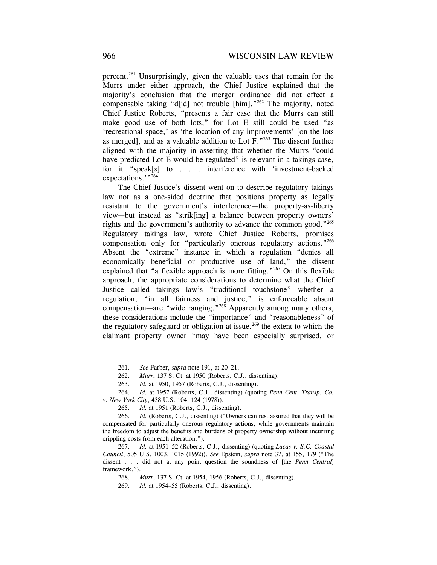percent.261 Unsurprisingly, given the valuable uses that remain for the Murrs under either approach, the Chief Justice explained that the majority's conclusion that the merger ordinance did not effect a compensable taking "d[id] not trouble [him]."<sup>262</sup> The majority, noted Chief Justice Roberts, "presents a fair case that the Murrs can still make good use of both lots," for Lot E still could be used "as 'recreational space,' as 'the location of any improvements' [on the lots as merged], and as a valuable addition to Lot F."263 The dissent further aligned with the majority in asserting that whether the Murrs "could have predicted Lot E would be regulated" is relevant in a takings case, for it "speak[s] to . . . interference with 'investment-backed expectations."<sup>264</sup>

The Chief Justice's dissent went on to describe regulatory takings law not as a one-sided doctrine that positions property as legally resistant to the government's interference—the property-as-liberty view—but instead as "strik[ing] a balance between property owners' rights and the government's authority to advance the common good."265 Regulatory takings law, wrote Chief Justice Roberts, promises compensation only for "particularly onerous regulatory actions."<sup>266</sup> Absent the "extreme" instance in which a regulation "denies all economically beneficial or productive use of land," the dissent explained that "a flexible approach is more fitting."<sup>267</sup> On this flexible approach, the appropriate considerations to determine what the Chief Justice called takings law's "traditional touchstone"—whether a regulation, "in all fairness and justice," is enforceable absent compensation—are "wide ranging."268 Apparently among many others, these considerations include the "importance" and "reasonableness" of the regulatory safeguard or obligation at issue,  $269$  the extent to which the claimant property owner "may have been especially surprised, or

264. *Id.* at 1957 (Roberts, C.J., dissenting) (quoting *Penn Cent. Transp. Co. v. New York City*, 438 U.S. 104, 124 (1978)).

266. *Id.* (Roberts, C.J., dissenting) ("Owners can rest assured that they will be compensated for particularly onerous regulatory actions, while governments maintain the freedom to adjust the benefits and burdens of property ownership without incurring crippling costs from each alteration.").

267. *Id.* at 1951–52 (Roberts, C.J., dissenting) (quoting *Lucas v. S.C. Coastal Council*, 505 U.S. 1003, 1015 (1992)). *See* Epstein, *supra* note 37, at 155, 179 ("The dissent . . . did not at any point question the soundness of [the *Penn Central*] framework.").

268. *Murr*, 137 S. Ct. at 1954, 1956 (Roberts, C.J., dissenting).

<sup>261.</sup> *See* Farber, *supra* note 191, at 20–21.

 <sup>262.</sup> *Murr*, 137 S. Ct. at 1950 (Roberts, C.J., dissenting).

<sup>263.</sup> *Id.* at 1950, 1957 (Roberts, C.J., dissenting).

 <sup>265.</sup> *Id.* at 1951 (Roberts, C.J., dissenting).

<sup>269.</sup> *Id.* at 1954–55 (Roberts, C.J., dissenting).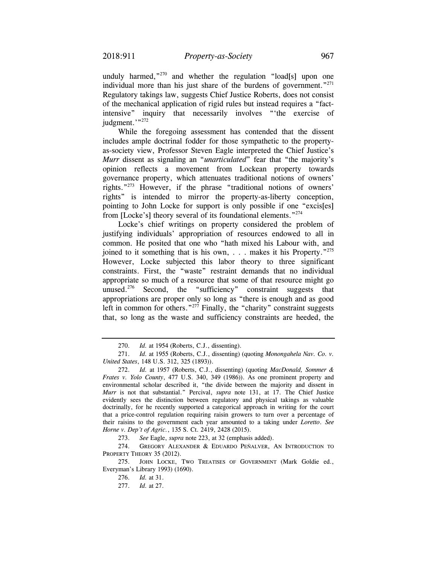unduly harmed," $270$  and whether the regulation "load[s] upon one individual more than his just share of the burdens of government." $^{271}$ Regulatory takings law, suggests Chief Justice Roberts, does not consist of the mechanical application of rigid rules but instead requires a "factintensive" inquiry that necessarily involves "'the exercise of judgment."?272

from [Locke's] theory several of its foundational elements."<sup>274</sup> While the foregoing assessment has contended that the dissent includes ample doctrinal fodder for those sympathetic to the propertyas-society view, Professor Steven Eagle interpreted the Chief Justice's *Murr* dissent as signaling an "*unarticulated*" fear that "the majority's opinion reflects a movement from Lockean property towards governance property, which attenuates traditional notions of owners' rights."273 However, if the phrase "traditional notions of owners' rights" is intended to mirror the property-as-liberty conception, pointing to John Locke for support is only possible if one "excis[es]

Locke's chief writings on property considered the problem of justifying individuals' appropriation of resources endowed to all in common. He posited that one who "hath mixed his Labour with, and joined to it something that is his own, . . . makes it his Property."<sup>275</sup> However, Locke subjected this labor theory to three significant constraints. First, the "waste" restraint demands that no individual appropriate so much of a resource that some of that resource might go unused.<sup>276</sup> Second, the "sufficiency" constraint suggests that appropriations are proper only so long as "there is enough and as good left in common for others."<sup>277</sup> Finally, the "charity" constraint suggests that, so long as the waste and sufficiency constraints are heeded, the

<sup>270.</sup> *Id.* at 1954 (Roberts, C.J., dissenting).

<sup>271.</sup> *Id.* at 1955 (Roberts, C.J., dissenting) (quoting *Monongahela Nav. Co. v. United States*, 148 U.S. 312, 325 (1893)).

 <sup>272.</sup> *Id.* at 1957 (Roberts, C.J., dissenting) (quoting *MacDonald, Sommer & Frates v. Yolo County*, 477 U.S. 340, 349 (1986)). As one prominent property and environmental scholar described it, "the divide between the majority and dissent in *Murr* is not that substantial." Percival, *supra* note 131, at 17. The Chief Justice evidently sees the distinction between regulatory and physical takings as valuable doctrinally, for he recently supported a categorical approach in writing for the court that a price-control regulation requiring raisin growers to turn over a percentage of their raisins to the government each year amounted to a taking under *Loretto*. *See Horne v. Dep't of Agric.*, 135 S. Ct. 2419, 2428 (2015).

<sup>273.</sup> *See* Eagle, *supra* note 223, at 32 (emphasis added).

<sup>274.</sup> GREGORY ALEXANDER & EDUARDO PEÑALVER, AN INTRODUCTION TO PROPERTY THEORY 35 (2012).

<sup>275.</sup> JOHN LOCKE, TWO TREATISES OF GOVERNMENT (Mark Goldie ed., Everyman's Library 1993) (1690).

 <sup>276.</sup> *Id.* at 31.

<sup>277.</sup> *Id.* at 27.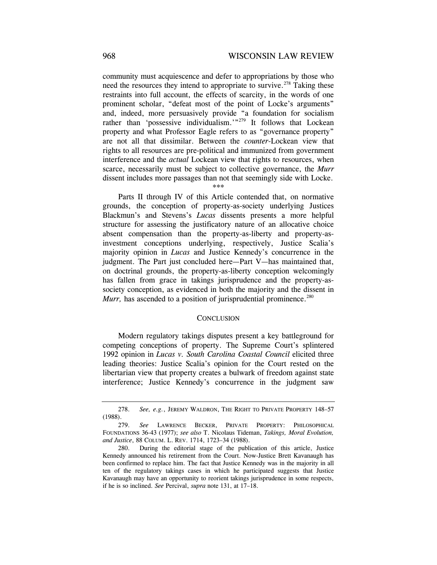community must acquiescence and defer to appropriations by those who need the resources they intend to appropriate to survive.<sup>278</sup> Taking these restraints into full account, the effects of scarcity, in the words of one prominent scholar, "defeat most of the point of Locke's arguments" and, indeed, more persuasively provide "a foundation for socialism rather than 'possessive individualism.'"<sup>279</sup> It follows that Lockean property and what Professor Eagle refers to as "governance property" are not all that dissimilar. Between the *counter*-Lockean view that rights to all resources are pre-political and immunized from government interference and the *actual* Lockean view that rights to resources, when scarce, necessarily must be subject to collective governance, the *Murr*  dissent includes more passages than not that seemingly side with Locke.

#### \*\*\*

Parts II through IV of this Article contended that, on normative grounds, the conception of property-as-society underlying Justices Blackmun's and Stevens's *Lucas* dissents presents a more helpful structure for assessing the justificatory nature of an allocative choice absent compensation than the property-as-liberty and property-asinvestment conceptions underlying, respectively, Justice Scalia's majority opinion in *Lucas* and Justice Kennedy's concurrence in the judgment. The Part just concluded here—Part V—has maintained that, on doctrinal grounds, the property-as-liberty conception welcomingly has fallen from grace in takings jurisprudence and the property-associety conception, as evidenced in both the majority and the dissent in *Murr*, has ascended to a position of jurisprudential prominence.<sup>280</sup>

#### **CONCLUSION**

Modern regulatory takings disputes present a key battleground for competing conceptions of property. The Supreme Court's splintered 1992 opinion in *Lucas v. South Carolina Coastal Council* elicited three leading theories: Justice Scalia's opinion for the Court rested on the libertarian view that property creates a bulwark of freedom against state interference; Justice Kennedy's concurrence in the judgment saw

<sup>278.</sup> *See, e.g.*, JEREMY WALDRON, THE RIGHT TO PRIVATE PROPERTY 148–57 (1988).

 *and Justice*, 88 COLUM. L. REV. 1714, 1723–34 (1988). 279. *See* LAWRENCE BECKER, PRIVATE PROPERTY: PHILOSOPHICAL FOUNDATIONS 36-43 (1977); *see also* T. Nicolaus Tideman, *Takings, Moral Evolution,* 

<sup>280.</sup> During the editorial stage of the publication of this article, Justice Kennedy announced his retirement from the Court. Now-Justice Brett Kavanaugh has been confirmed to replace him. The fact that Justice Kennedy was in the majority in all ten of the regulatory takings cases in which he participated suggests that Justice Kavanaugh may have an opportunity to reorient takings jurisprudence in some respects, if he is so inclined. *See* Percival, *supra* note 131, at 17–18.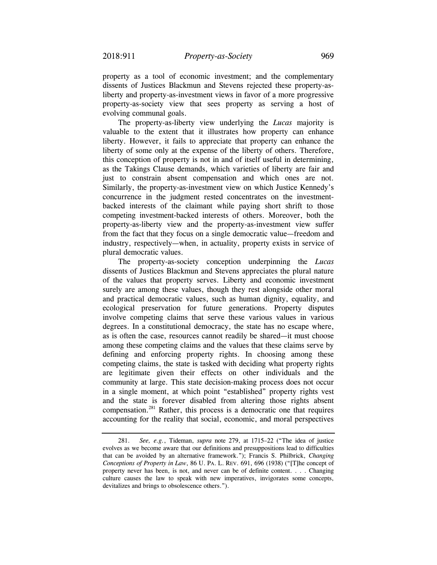property as a tool of economic investment; and the complementary dissents of Justices Blackmun and Stevens rejected these property-asliberty and property-as-investment views in favor of a more progressive property-as-society view that sees property as serving a host of evolving communal goals.

The property-as-liberty view underlying the *Lucas* majority is valuable to the extent that it illustrates how property can enhance liberty. However, it fails to appreciate that property can enhance the liberty of some only at the expense of the liberty of others. Therefore, this conception of property is not in and of itself useful in determining, as the Takings Clause demands, which varieties of liberty are fair and just to constrain absent compensation and which ones are not. Similarly, the property-as-investment view on which Justice Kennedy's concurrence in the judgment rested concentrates on the investmentbacked interests of the claimant while paying short shrift to those competing investment-backed interests of others. Moreover, both the property-as-liberty view and the property-as-investment view suffer from the fact that they focus on a single democratic value—freedom and industry, respectively—when, in actuality, property exists in service of plural democratic values.

The property-as-society conception underpinning the *Lucas*  dissents of Justices Blackmun and Stevens appreciates the plural nature of the values that property serves. Liberty and economic investment surely are among these values, though they rest alongside other moral and practical democratic values, such as human dignity, equality, and ecological preservation for future generations. Property disputes involve competing claims that serve these various values in various degrees. In a constitutional democracy, the state has no escape where, as is often the case, resources cannot readily be shared—it must choose among these competing claims and the values that these claims serve by defining and enforcing property rights. In choosing among these competing claims, the state is tasked with deciding what property rights are legitimate given their effects on other individuals and the community at large. This state decision-making process does not occur in a single moment, at which point "established" property rights vest and the state is forever disabled from altering those rights absent compensation.281 Rather, this process is a democratic one that requires accounting for the reality that social, economic, and moral perspectives

 *Conceptions of Property in Law*, 86 U. PA. L. REV. 691, 696 (1938) ("[T]he concept of 281. *See, e.g.*, Tideman, *supra* note 279, at 1715–22 ("The idea of justice evolves as we become aware that our definitions and presuppositions lead to difficulties that can be avoided by an alternative framework."); Francis S. Philbrick, *Changing*  property never has been, is not, and never can be of definite content. . . . Changing culture causes the law to speak with new imperatives, invigorates some concepts, devitalizes and brings to obsolescence others.").